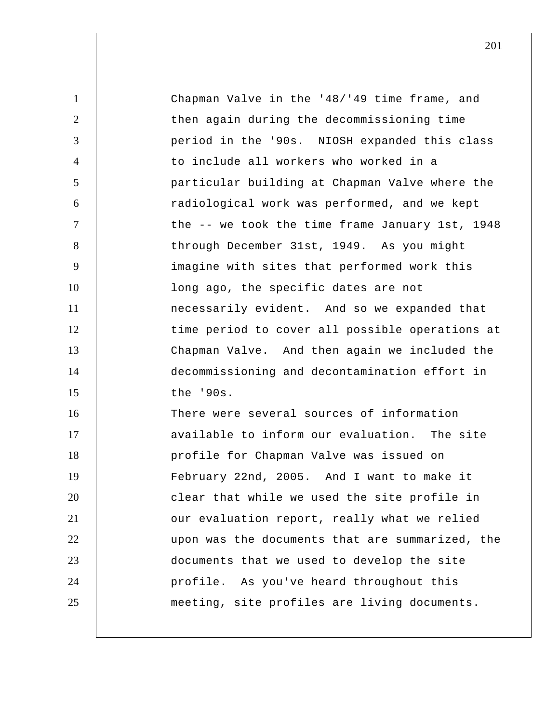| $\mathbf{1}$   | Chapman Valve in the '48/'49 time frame, and    |
|----------------|-------------------------------------------------|
| $\overline{2}$ | then again during the decommissioning time      |
| 3              | period in the '90s. NIOSH expanded this class   |
| $\overline{4}$ | to include all workers who worked in a          |
| $\mathfrak{S}$ | particular building at Chapman Valve where the  |
| 6              | radiological work was performed, and we kept    |
| $\tau$         | the -- we took the time frame January 1st, 1948 |
| 8              | through December 31st, 1949. As you might       |
| 9              | imagine with sites that performed work this     |
| 10             | long ago, the specific dates are not            |
| 11             | necessarily evident. And so we expanded that    |
| 12             | time period to cover all possible operations at |
| 13             | Chapman Valve. And then again we included the   |
| 14             | decommissioning and decontamination effort in   |
| 15             | the '90s.                                       |
| 16             | There were several sources of information       |
| 17             | available to inform our evaluation. The site    |
| 18             | profile for Chapman Valve was issued on         |
| 19             | February 22nd, 2005. And I want to make it      |
| 20             | clear that while we used the site profile in    |
| 21             | our evaluation report, really what we relied    |
| 22             | upon was the documents that are summarized, the |
| 23             | documents that we used to develop the site      |
| 24             | profile. As you've heard throughout this        |
| 25             | meeting, site profiles are living documents.    |
|                |                                                 |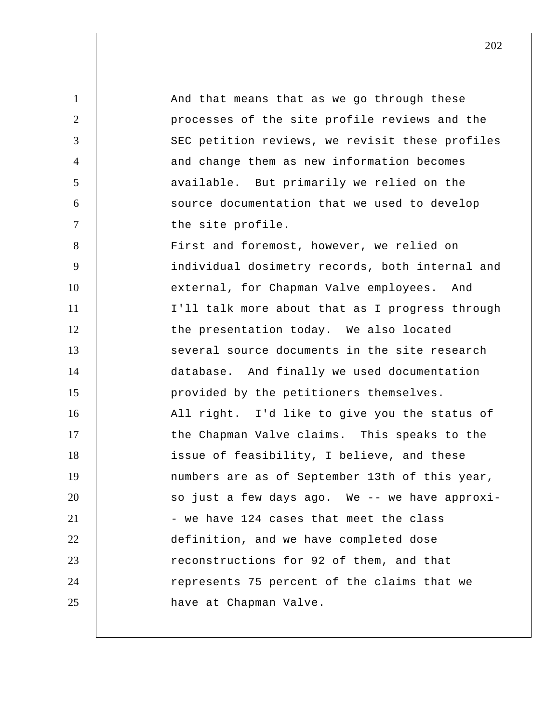1 2 3 4 5 6 7 8 9 10 11 12 13 14 15 16 17 18 19 20 21 22 23 24 25 And that means that as we go through these processes of the site profile reviews and the SEC petition reviews, we revisit these profiles and change them as new information becomes available. But primarily we relied on the source documentation that we used to develop the site profile. First and foremost, however, we relied on individual dosimetry records, both internal and external, for Chapman Valve employees. And I'll talk more about that as I progress through the presentation today. We also located several source documents in the site research database. And finally we used documentation provided by the petitioners themselves. All right. I'd like to give you the status of the Chapman Valve claims. This speaks to the issue of feasibility, I believe, and these numbers are as of September 13th of this year, so just a few days ago. We -- we have approxi - we have 124 cases that meet the class definition, and we have completed dose reconstructions for 92 of them, and that represents 75 percent of the claims that we have at Chapman Valve.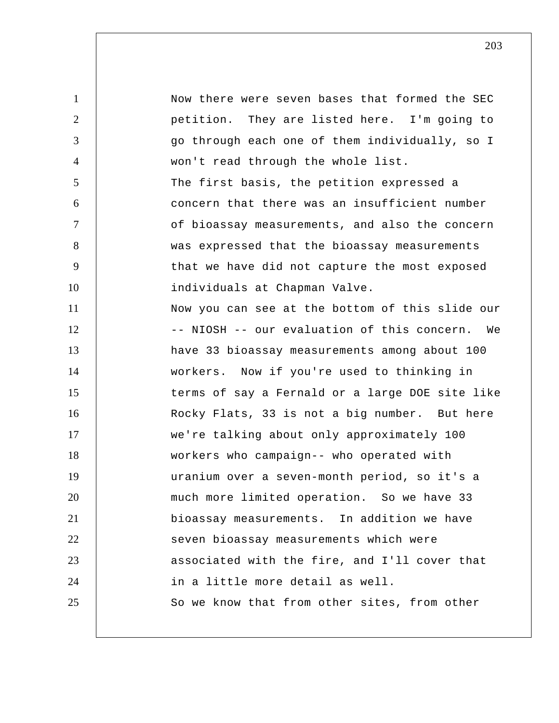1 2 3 4 5 6 7 8 9 10 11 12 13 14 15 16 17 18 19 20 21 22 23 24 25 Now there were seven bases that formed the SEC petition. They are listed here. I'm going to go through each one of them individually, so I won't read through the whole list. The first basis, the petition expressed a concern that there was an insufficient number of bioassay measurements, and also the concern was expressed that the bioassay measurements that we have did not capture the most exposed individuals at Chapman Valve. Now you can see at the bottom of this slide our -- NIOSH -- our evaluation of this concern. We have 33 bioassay measurements among about 100 workers. Now if you're used to thinking in terms of say a Fernald or a large DOE site like Rocky Flats, 33 is not a big number. But here we're talking about only approximately 100 workers who campaign-- who operated with uranium over a seven-month period, so it's a much more limited operation. So we have 33 bioassay measurements. In addition we have seven bioassay measurements which were associated with the fire, and I'll cover that in a little more detail as well. So we know that from other sites, from other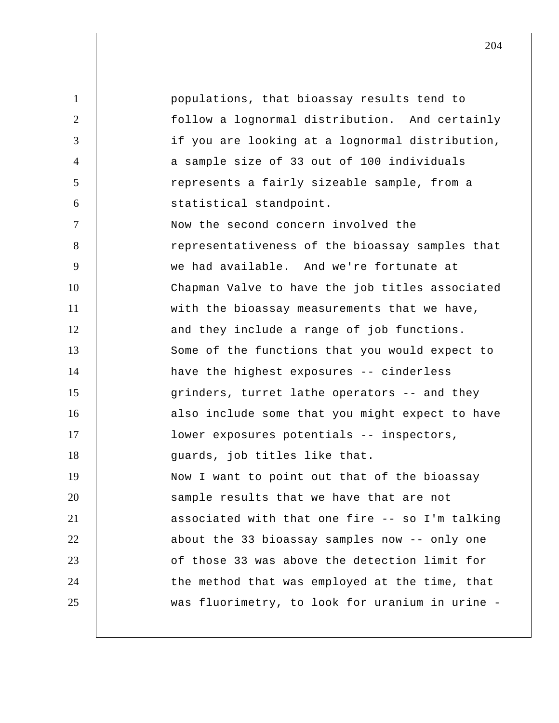1 2 3 4 5 6 7 8 9 10 11 12 13 14 15 16 17 18 19 20 21 22 23 24 25 populations, that bioassay results tend to follow a lognormal distribution. And certainly if you are looking at a lognormal distribution, a sample size of 33 out of 100 individuals represents a fairly sizeable sample, from a statistical standpoint. Now the second concern involved the representativeness of the bioassay samples that we had available. And we're fortunate at Chapman Valve to have the job titles associated with the bioassay measurements that we have, and they include a range of job functions. Some of the functions that you would expect to have the highest exposures -- cinderless grinders, turret lathe operators -- and they also include some that you might expect to have lower exposures potentials -- inspectors, guards, job titles like that. Now I want to point out that of the bioassay sample results that we have that are not associated with that one fire -- so I'm talking about the 33 bioassay samples now -- only one of those 33 was above the detection limit for the method that was employed at the time, that was fluorimetry, to look for uranium in urine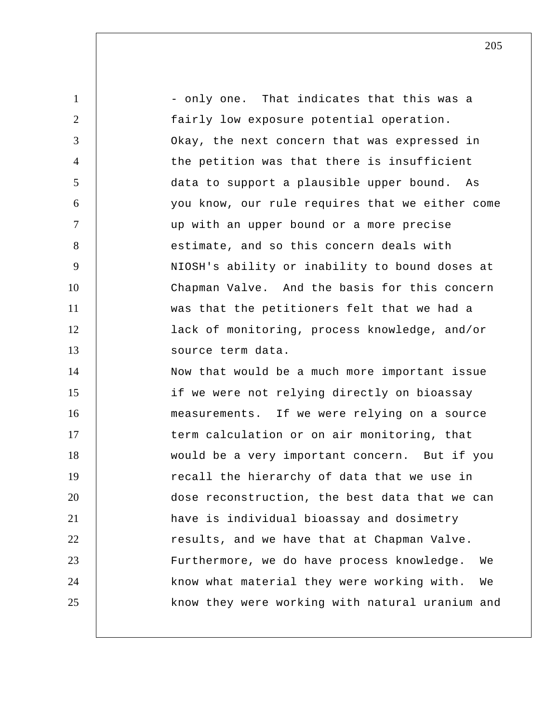1 2 3 4 5 6 7 8 9 10 11 12 13 14 15 16 17 18 19 20 21 22 23 24 25 - only one. That indicates that this was a fairly low exposure potential operation. Okay, the next concern that was expressed in the petition was that there is insufficient data to support a plausible upper bound. As you know, our rule requires that we either come up with an upper bound or a more precise estimate, and so this concern deals with NIOSH's ability or inability to bound doses at Chapman Valve. And the basis for this concern was that the petitioners felt that we had a lack of monitoring, process knowledge, and/or source term data. Now that would be a much more important issue if we were not relying directly on bioassay measurements. If we were relying on a source term calculation or on air monitoring, that would be a very important concern. But if you recall the hierarchy of data that we use in dose reconstruction, the best data that we can have is individual bioassay and dosimetry results, and we have that at Chapman Valve. Furthermore, we do have process knowledge. We know what material they were working with. We know they were working with natural uranium and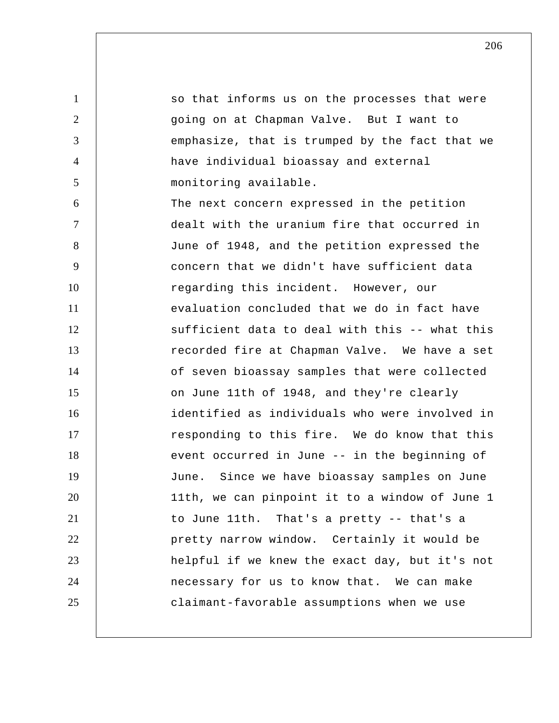1 2 3 4 5 6 7 8 9 10 11 12 13 14 15 16 17 18 19 20 21 22 23 24 25 so that informs us on the processes that were going on at Chapman Valve. But I want to emphasize, that is trumped by the fact that we have individual bioassay and external monitoring available. The next concern expressed in the petition dealt with the uranium fire that occurred in June of 1948, and the petition expressed the concern that we didn't have sufficient data regarding this incident. However, our evaluation concluded that we do in fact have sufficient data to deal with this -- what this recorded fire at Chapman Valve. We have a set of seven bioassay samples that were collected on June 11th of 1948, and they're clearly identified as individuals who were involved in responding to this fire. We do know that this event occurred in June -- in the beginning of June. Since we have bioassay samples on June 11th, we can pinpoint it to a window of June 1 to June 11th. That's a pretty -- that's a pretty narrow window. Certainly it would be helpful if we knew the exact day, but it's not necessary for us to know that. We can make claimant-favorable assumptions when we use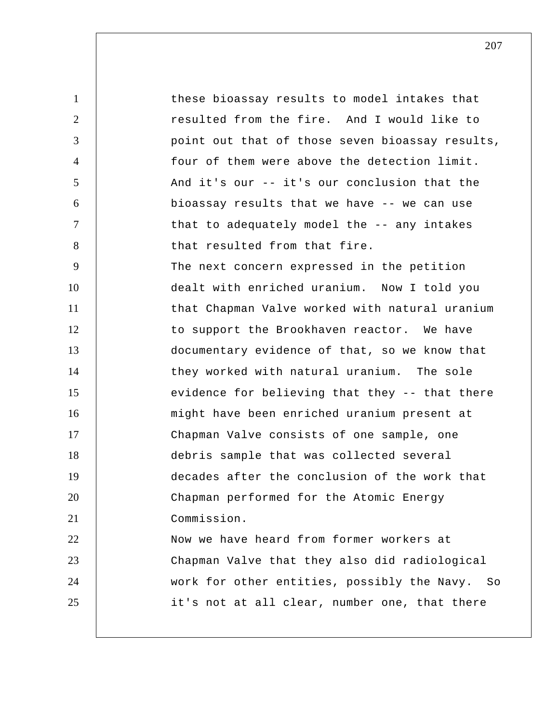1 2 3 4 5 6 7 8 9 10 11 12 13 14 15 16 17 18 19 20 21 22 23 24 25 these bioassay results to model intakes that resulted from the fire. And I would like to point out that of those seven bioassay results, four of them were above the detection limit. And it's our -- it's our conclusion that the bioassay results that we have -- we can use that to adequately model the -- any intakes that resulted from that fire. The next concern expressed in the petition dealt with enriched uranium. Now I told you that Chapman Valve worked with natural uranium to support the Brookhaven reactor. We have documentary evidence of that, so we know that they worked with natural uranium. The sole evidence for believing that they -- that there might have been enriched uranium present at Chapman Valve consists of one sample, one debris sample that was collected several decades after the conclusion of the work that Chapman performed for the Atomic Energy Commission. Now we have heard from former workers at Chapman Valve that they also did radiological work for other entities, possibly the Navy. So it's not at all clear, number one, that there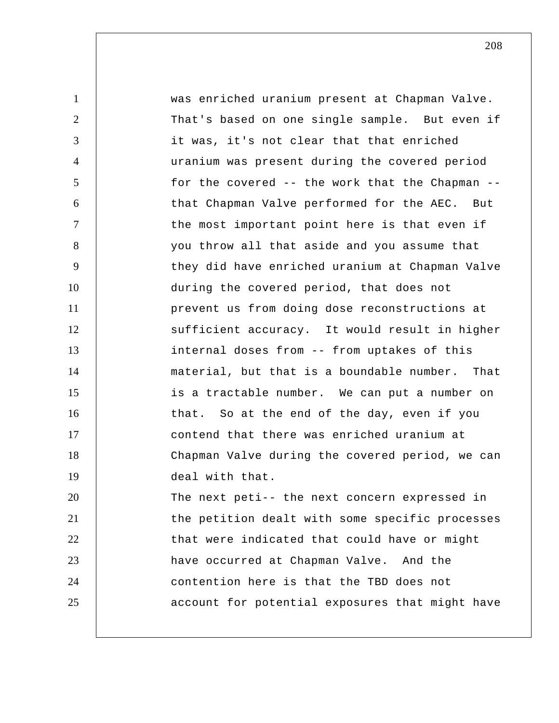1 2 3 4 5 6 7 8 9 10 11 12 13 14 15 16 17 18 19 20 21 22 23 24 25 was enriched uranium present at Chapman Valve. That's based on one single sample. But even if it was, it's not clear that that enriched uranium was present during the covered period for the covered -- the work that the Chapman - that Chapman Valve performed for the AEC. But the most important point here is that even if you throw all that aside and you assume that they did have enriched uranium at Chapman Valve during the covered period, that does not prevent us from doing dose reconstructions at sufficient accuracy. It would result in higher internal doses from -- from uptakes of this material, but that is a boundable number. That is a tractable number. We can put a number on that. So at the end of the day, even if you contend that there was enriched uranium at Chapman Valve during the covered period, we can deal with that. The next peti-- the next concern expressed in the petition dealt with some specific processes that were indicated that could have or might have occurred at Chapman Valve. And the contention here is that the TBD does not account for potential exposures that might have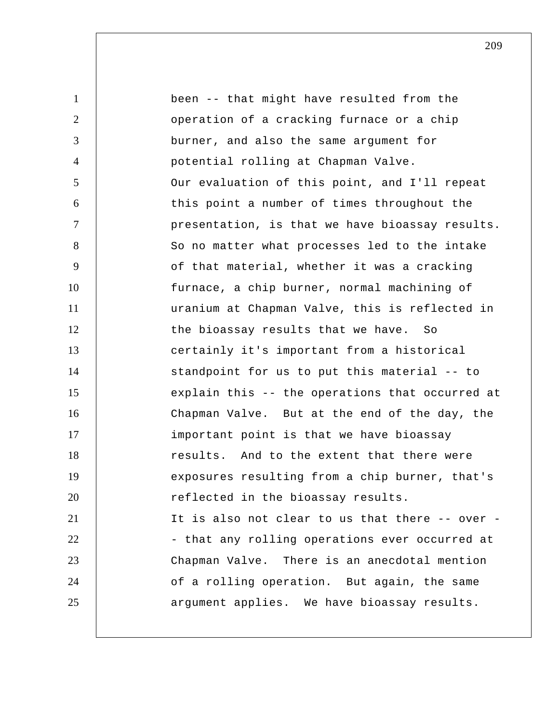1 2 3 4 5 6 7 8 9 10 11 12 13 14 15 16 17 18 19 20 21 22 23 24 25 been -- that might have resulted from the operation of a cracking furnace or a chip burner, and also the same argument for potential rolling at Chapman Valve. Our evaluation of this point, and I'll repeat this point a number of times throughout the presentation, is that we have bioassay results. So no matter what processes led to the intake of that material, whether it was a cracking furnace, a chip burner, normal machining of uranium at Chapman Valve, this is reflected in the bioassay results that we have. So certainly it's important from a historical standpoint for us to put this material -- to explain this -- the operations that occurred at Chapman Valve. But at the end of the day, the important point is that we have bioassay results. And to the extent that there were exposures resulting from a chip burner, that's reflected in the bioassay results. It is also not clear to us that there -- over - that any rolling operations ever occurred at Chapman Valve. There is an anecdotal mention of a rolling operation. But again, the same argument applies. We have bioassay results.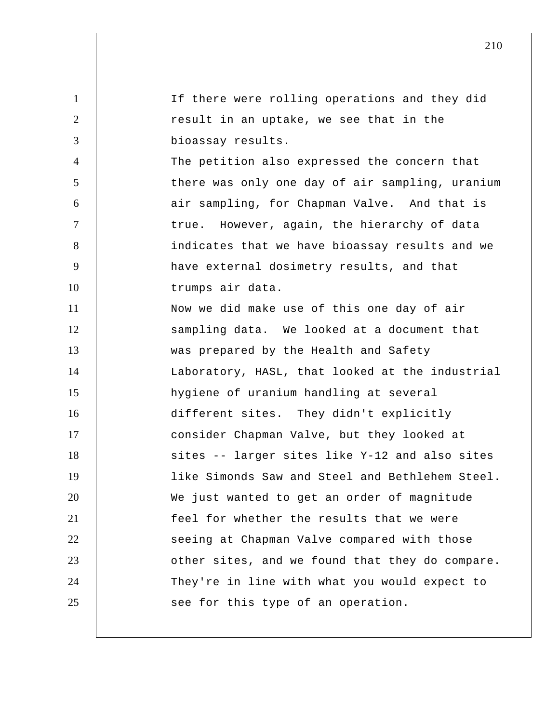| $\mathbf{1}$   | If there were rolling operations and they did   |
|----------------|-------------------------------------------------|
| $\overline{2}$ | result in an uptake, we see that in the         |
| 3              | bioassay results.                               |
| $\overline{4}$ | The petition also expressed the concern that    |
| 5              | there was only one day of air sampling, uranium |
| 6              | air sampling, for Chapman Valve. And that is    |
| $\tau$         | true. However, again, the hierarchy of data     |
| 8              | indicates that we have bioassay results and we  |
| 9              | have external dosimetry results, and that       |
| 10             | trumps air data.                                |
| 11             | Now we did make use of this one day of air      |
| 12             | sampling data. We looked at a document that     |
| 13             | was prepared by the Health and Safety           |
| 14             | Laboratory, HASL, that looked at the industrial |
| 15             | hygiene of uranium handling at several          |
| 16             | different sites. They didn't explicitly         |
| 17             | consider Chapman Valve, but they looked at      |
| 18             | sites -- larger sites like Y-12 and also sites  |
| 19             | like Simonds Saw and Steel and Bethlehem Steel. |
| 20             | We just wanted to get an order of magnitude     |
| 21             | feel for whether the results that we were       |
| 22             | seeing at Chapman Valve compared with those     |
| 23             | other sites, and we found that they do compare. |
| 24             | They're in line with what you would expect to   |
| 25             | see for this type of an operation.              |
|                |                                                 |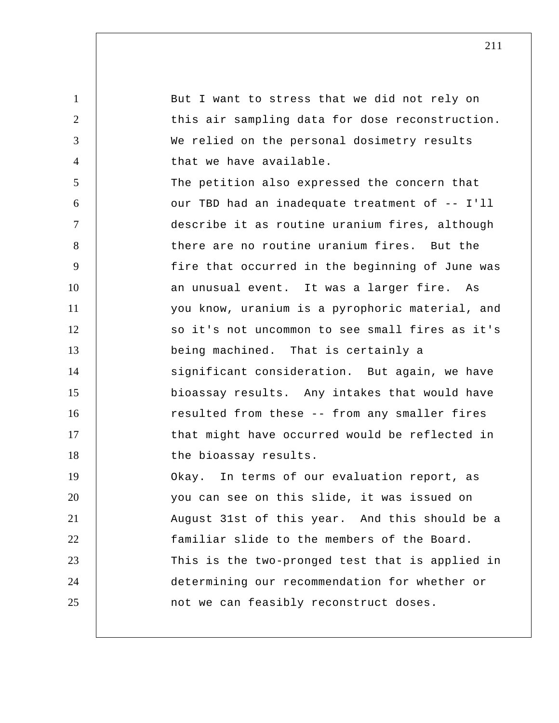1 2 3 4 5 6 7 8 9 10 11 12 13 14 15 16 17 18 19 20 21 22 23 24 25 But I want to stress that we did not rely on this air sampling data for dose reconstruction. We relied on the personal dosimetry results that we have available. The petition also expressed the concern that our TBD had an inadequate treatment of -- I'll describe it as routine uranium fires, although there are no routine uranium fires. But the fire that occurred in the beginning of June was an unusual event. It was a larger fire. As you know, uranium is a pyrophoric material, and so it's not uncommon to see small fires as it's being machined. That is certainly a significant consideration. But again, we have bioassay results. Any intakes that would have resulted from these -- from any smaller fires that might have occurred would be reflected in the bioassay results. Okay. In terms of our evaluation report, as you can see on this slide, it was issued on August 31st of this year. And this should be a familiar slide to the members of the Board. This is the two-pronged test that is applied in determining our recommendation for whether or not we can feasibly reconstruct doses.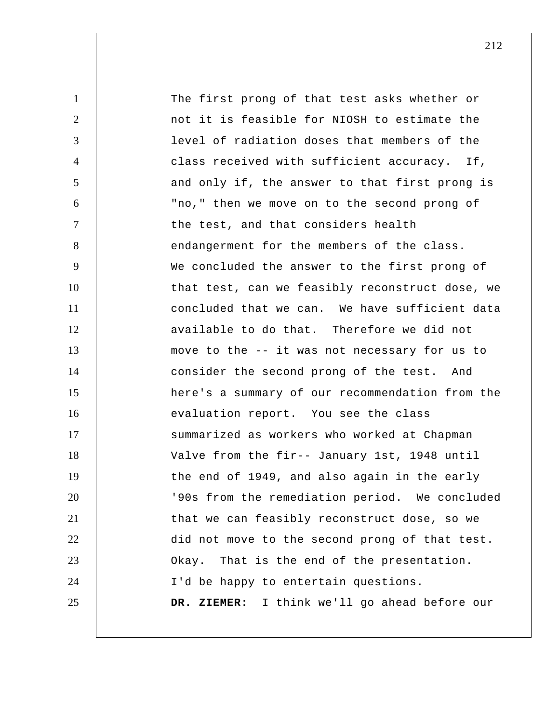| $\mathbf{1}$   | The first prong of that test asks whether or    |
|----------------|-------------------------------------------------|
| 2              | not it is feasible for NIOSH to estimate the    |
| 3              | level of radiation doses that members of the    |
| $\overline{4}$ | class received with sufficient accuracy. If,    |
| 5              | and only if, the answer to that first prong is  |
| 6              | "no," then we move on to the second prong of    |
| $\tau$         | the test, and that considers health             |
| 8              | endangerment for the members of the class.      |
| 9              | We concluded the answer to the first prong of   |
| 10             | that test, can we feasibly reconstruct dose, we |
| 11             | concluded that we can. We have sufficient data  |
| 12             | available to do that. Therefore we did not      |
| 13             | move to the -- it was not necessary for us to   |
| 14             | consider the second prong of the test. And      |
| 15             | here's a summary of our recommendation from the |
| 16             | evaluation report. You see the class            |
| 17             | summarized as workers who worked at Chapman     |
| 18             | Valve from the fir-- January 1st, 1948 until    |
| 19             | the end of 1949, and also again in the early    |
| 20             | '90s from the remediation period. We concluded  |
| 21             | that we can feasibly reconstruct dose, so we    |
| 22             | did not move to the second prong of that test.  |
| 23             | Okay. That is the end of the presentation.      |
| 24             | I'd be happy to entertain questions.            |
| 25             | DR. ZIEMER: I think we'll go ahead before our   |
|                |                                                 |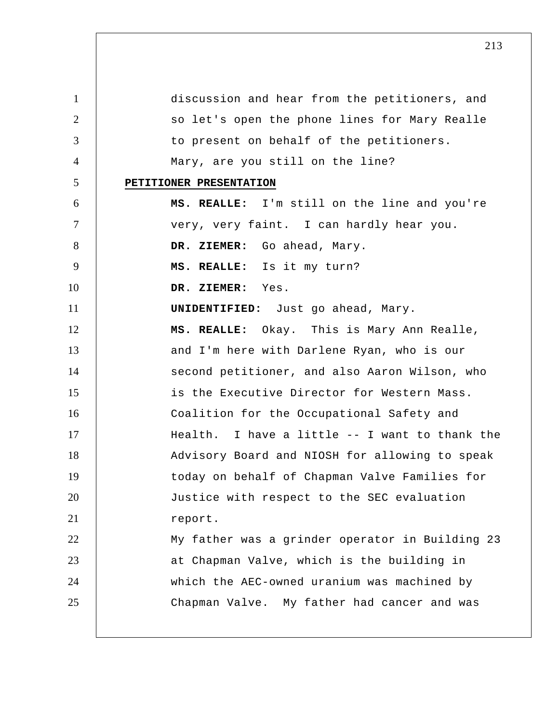1 2 3 4 5 6 7 8 9 10 11 12 13 14 15 16 17 18 19 20 21 22 23 24 25 discussion and hear from the petitioners, and so let's open the phone lines for Mary Realle to present on behalf of the petitioners. Mary, are you still on the line? **PETITIONER PRESENTATION MS. REALLE:** I'm still on the line and you're very, very faint. I can hardly hear you.  **DR. ZIEMER:** Go ahead, Mary.  **MS. REALLE:** Is it my turn?  **DR. ZIEMER:** Yes. **UNIDENTIFIED:** Just go ahead, Mary.  **MS. REALLE:** Okay. This is Mary Ann Realle, and I'm here with Darlene Ryan, who is our second petitioner, and also Aaron Wilson, who is the Executive Director for Western Mass. Coalition for the Occupational Safety and Health. I have a little -- I want to thank the Advisory Board and NIOSH for allowing to speak today on behalf of Chapman Valve Families for Justice with respect to the SEC evaluation report. My father was a grinder operator in Building 23 at Chapman Valve, which is the building in which the AEC-owned uranium was machined by Chapman Valve. My father had cancer and was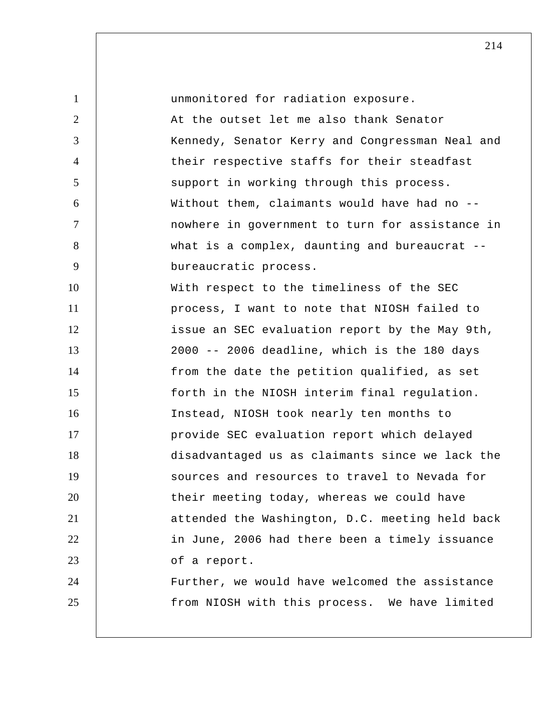1 2 3 4 5 6 7 8 9 10 11 12 13 14 15 16 17 18 19 20 21 22 23 24 25 unmonitored for radiation exposure. At the outset let me also thank Senator Kennedy, Senator Kerry and Congressman Neal and their respective staffs for their steadfast support in working through this process. Without them, claimants would have had no -nowhere in government to turn for assistance in what is a complex, daunting and bureaucrat -bureaucratic process. With respect to the timeliness of the SEC process, I want to note that NIOSH failed to issue an SEC evaluation report by the May 9th, 2000 -- 2006 deadline, which is the 180 days from the date the petition qualified, as set forth in the NIOSH interim final regulation. Instead, NIOSH took nearly ten months to provide SEC evaluation report which delayed disadvantaged us as claimants since we lack the sources and resources to travel to Nevada for their meeting today, whereas we could have attended the Washington, D.C. meeting held back in June, 2006 had there been a timely issuance of a report. Further, we would have welcomed the assistance from NIOSH with this process. We have limited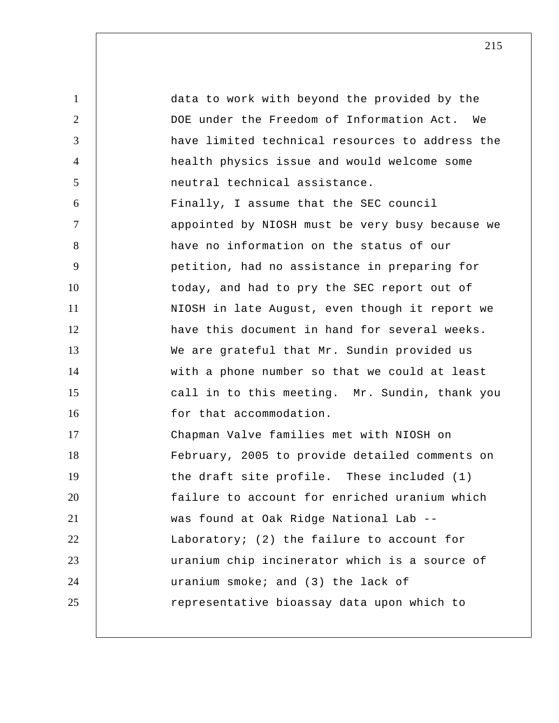1 2 3 4 5 6 7 8 9 10 11 12 13 14 15 16 17 18 19 20 21 22 23 24 25 data to work with beyond the provided by the DOE under the Freedom of Information Act. We have limited technical resources to address the health physics issue and would welcome some neutral technical assistance. Finally, I assume that the SEC council appointed by NIOSH must be very busy because we have no information on the status of our petition, had no assistance in preparing for today, and had to pry the SEC report out of NIOSH in late August, even though it report we have this document in hand for several weeks. We are grateful that Mr. Sundin provided us with a phone number so that we could at least call in to this meeting. Mr. Sundin, thank you for that accommodation. Chapman Valve families met with NIOSH on February, 2005 to provide detailed comments on the draft site profile. These included (1) failure to account for enriched uranium which was found at Oak Ridge National Lab -- Laboratory; (2) the failure to account for uranium chip incinerator which is a source of uranium smoke; and (3) the lack of representative bioassay data upon which to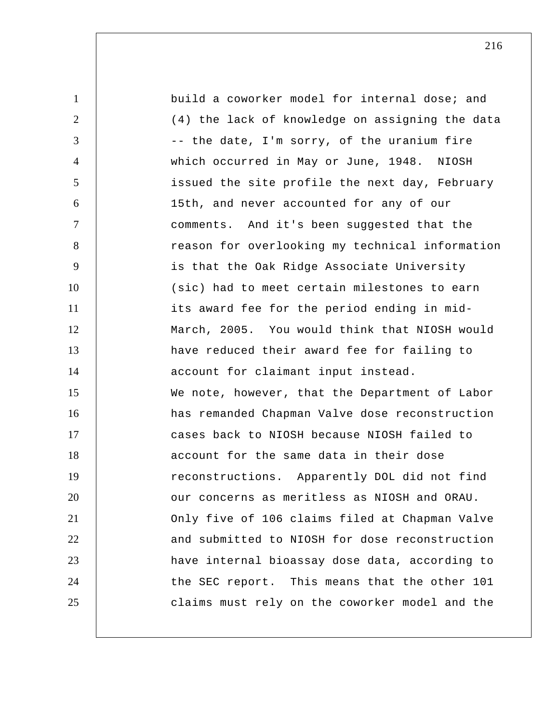1 2 3 4 5 6 7 8 9 10 11 12 13 14 15 16 17 18 19 20 21 22 23 24 25 build a coworker model for internal dose; and (4) the lack of knowledge on assigning the data -- the date, I'm sorry, of the uranium fire which occurred in May or June, 1948. NIOSH issued the site profile the next day, February 15th, and never accounted for any of our comments. And it's been suggested that the reason for overlooking my technical information is that the Oak Ridge Associate University (sic) had to meet certain milestones to earn its award fee for the period ending in mid-March, 2005. You would think that NIOSH would have reduced their award fee for failing to account for claimant input instead. We note, however, that the Department of Labor has remanded Chapman Valve dose reconstruction cases back to NIOSH because NIOSH failed to account for the same data in their dose reconstructions. Apparently DOL did not find our concerns as meritless as NIOSH and ORAU. Only five of 106 claims filed at Chapman Valve and submitted to NIOSH for dose reconstruction have internal bioassay dose data, according to the SEC report. This means that the other 101 claims must rely on the coworker model and the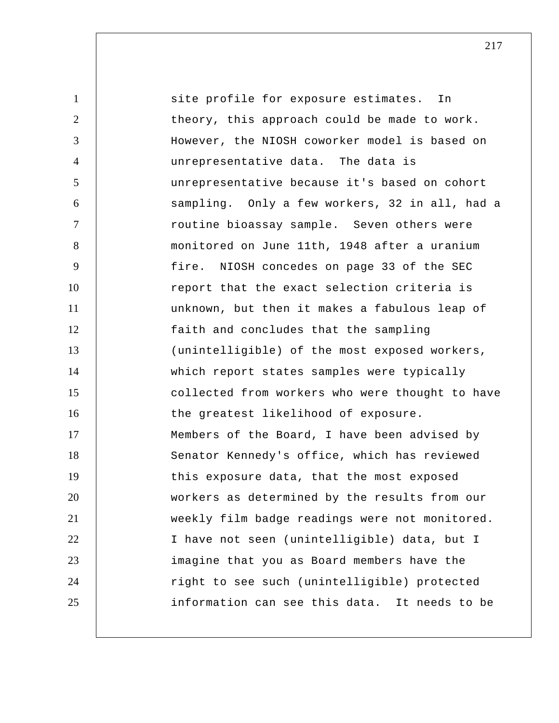1 2 3 4 5 6 7 8 9 10 11 12 13 14 15 16 17 18 19 20 21 22 23 24 25 site profile for exposure estimates. In theory, this approach could be made to work. However, the NIOSH coworker model is based on unrepresentative data. The data is unrepresentative because it's based on cohort sampling. Only a few workers, 32 in all, had a routine bioassay sample. Seven others were monitored on June 11th, 1948 after a uranium fire. NIOSH concedes on page 33 of the SEC report that the exact selection criteria is unknown, but then it makes a fabulous leap of faith and concludes that the sampling (unintelligible) of the most exposed workers, which report states samples were typically collected from workers who were thought to have the greatest likelihood of exposure. Members of the Board, I have been advised by Senator Kennedy's office, which has reviewed this exposure data, that the most exposed workers as determined by the results from our weekly film badge readings were not monitored. I have not seen (unintelligible) data, but I imagine that you as Board members have the right to see such (unintelligible) protected information can see this data. It needs to be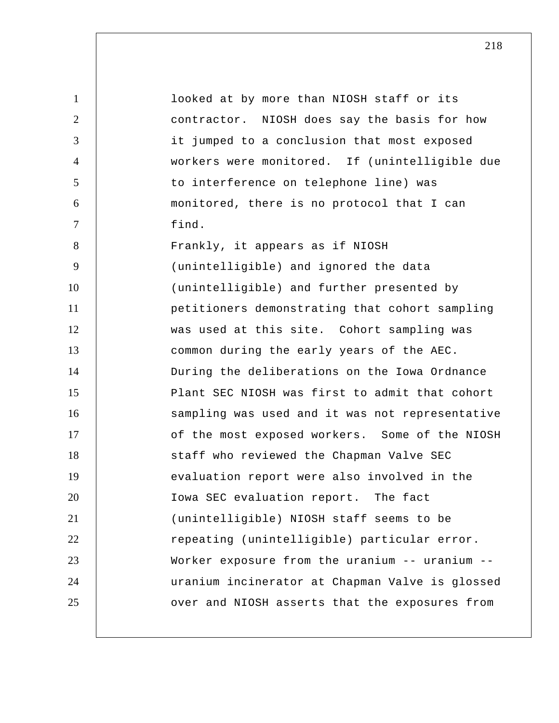1 2 3 4 5 6 7 8 9 10 11 12 13 14 15 16 17 18 19 20 21 22 23 24 25 looked at by more than NIOSH staff or its contractor. NIOSH does say the basis for how it jumped to a conclusion that most exposed workers were monitored. If (unintelligible due to interference on telephone line) was monitored, there is no protocol that I can find. Frankly, it appears as if NIOSH (unintelligible) and ignored the data (unintelligible) and further presented by petitioners demonstrating that cohort sampling was used at this site. Cohort sampling was common during the early years of the AEC. During the deliberations on the Iowa Ordnance Plant SEC NIOSH was first to admit that cohort sampling was used and it was not representative of the most exposed workers. Some of the NIOSH staff who reviewed the Chapman Valve SEC evaluation report were also involved in the Iowa SEC evaluation report. The fact (unintelligible) NIOSH staff seems to be repeating (unintelligible) particular error. Worker exposure from the uranium -- uranium - uranium incinerator at Chapman Valve is glossed over and NIOSH asserts that the exposures from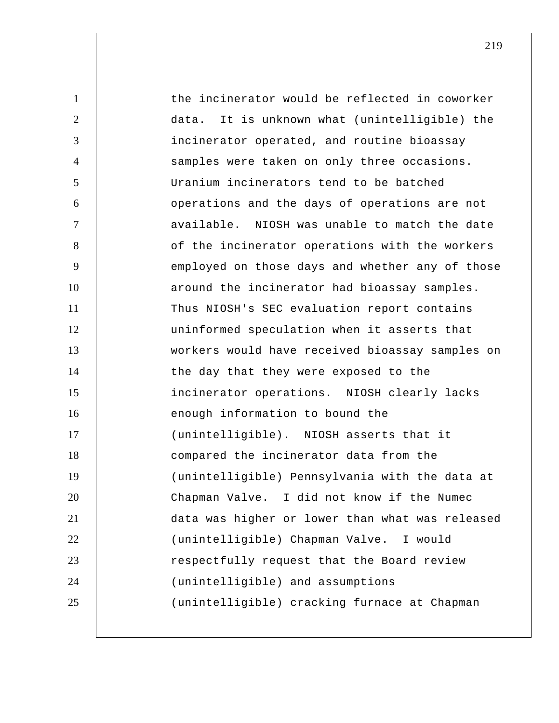| $\mathbf{1}$   | the incinerator would be reflected in coworker   |
|----------------|--------------------------------------------------|
| $\overline{2}$ | It is unknown what (unintelligible) the<br>data. |
| 3              | incinerator operated, and routine bioassay       |
| $\overline{4}$ | samples were taken on only three occasions.      |
| 5              | Uranium incinerators tend to be batched          |
| 6              | operations and the days of operations are not    |
| $\tau$         | available. NIOSH was unable to match the date    |
| 8              | of the incinerator operations with the workers   |
| 9              | employed on those days and whether any of those  |
| 10             | around the incinerator had bioassay samples.     |
| 11             | Thus NIOSH's SEC evaluation report contains      |
| 12             | uninformed speculation when it asserts that      |
| 13             | workers would have received bioassay samples on  |
| 14             | the day that they were exposed to the            |
| 15             | incinerator operations. NIOSH clearly lacks      |
| 16             | enough information to bound the                  |
| 17             | (unintelligible). NIOSH asserts that it          |
| 18             | compared the incinerator data from the           |
| 19             | (unintelligible) Pennsylvania with the data at   |
| 20             | Chapman Valve. I did not know if the Numec       |
| 21             | data was higher or lower than what was released  |
| 22             | (unintelligible) Chapman Valve. I would          |
| 23             | respectfully request that the Board review       |
| 24             | (unintelligible) and assumptions                 |
| 25             | (unintelligible) cracking furnace at Chapman     |
|                |                                                  |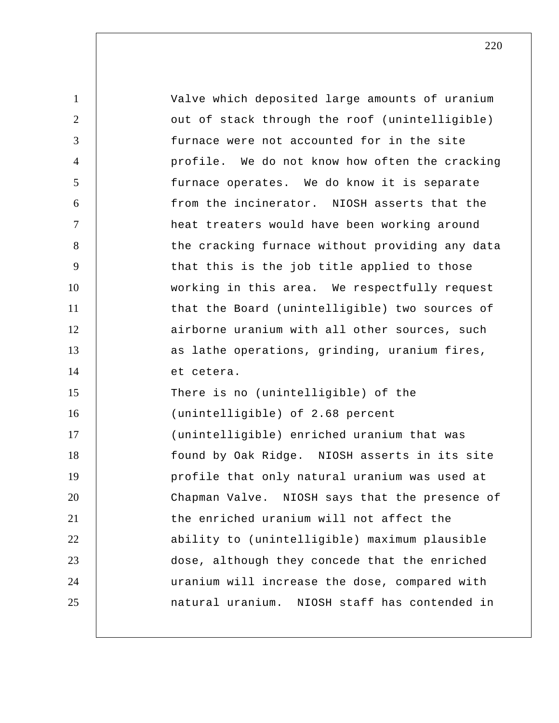1 2 3 4 5 6 7 8 9 10 11 12 13 14 15 16 17 18 19 20 21 22 23 24 25 Valve which deposited large amounts of uranium out of stack through the roof (unintelligible) furnace were not accounted for in the site profile. We do not know how often the cracking furnace operates. We do know it is separate from the incinerator. NIOSH asserts that the heat treaters would have been working around the cracking furnace without providing any data that this is the job title applied to those working in this area. We respectfully request that the Board (unintelligible) two sources of airborne uranium with all other sources, such as lathe operations, grinding, uranium fires, et cetera. There is no (unintelligible) of the (unintelligible) of 2.68 percent (unintelligible) enriched uranium that was found by Oak Ridge. NIOSH asserts in its site profile that only natural uranium was used at Chapman Valve. NIOSH says that the presence of the enriched uranium will not affect the ability to (unintelligible) maximum plausible dose, although they concede that the enriched uranium will increase the dose, compared with natural uranium. NIOSH staff has contended in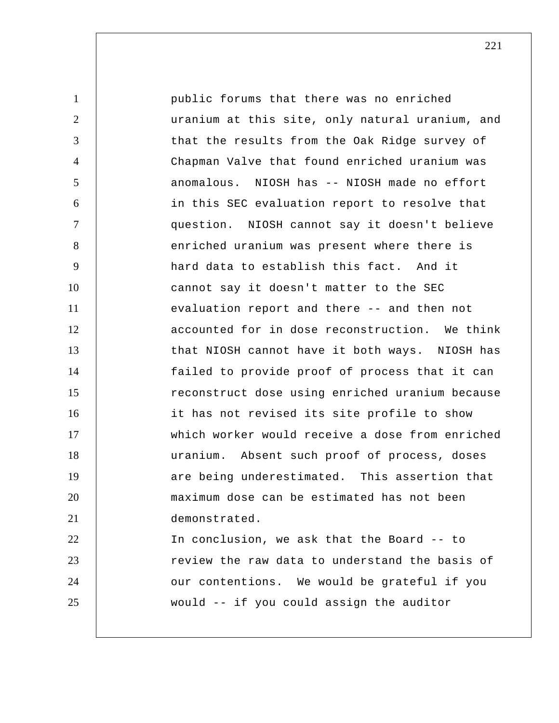1 2 3 4 5 6 7 8 9 10 11 12 13 14 15 16 17 18 19 20 21 22 23 24 25 public forums that there was no enriched uranium at this site, only natural uranium, and that the results from the Oak Ridge survey of Chapman Valve that found enriched uranium was anomalous. NIOSH has -- NIOSH made no effort in this SEC evaluation report to resolve that question. NIOSH cannot say it doesn't believe enriched uranium was present where there is hard data to establish this fact. And it cannot say it doesn't matter to the SEC evaluation report and there -- and then not accounted for in dose reconstruction. We think that NIOSH cannot have it both ways. NIOSH has failed to provide proof of process that it can reconstruct dose using enriched uranium because it has not revised its site profile to show which worker would receive a dose from enriched uranium. Absent such proof of process, doses are being underestimated. This assertion that maximum dose can be estimated has not been demonstrated. In conclusion, we ask that the Board -- to review the raw data to understand the basis of our contentions. We would be grateful if you would -- if you could assign the auditor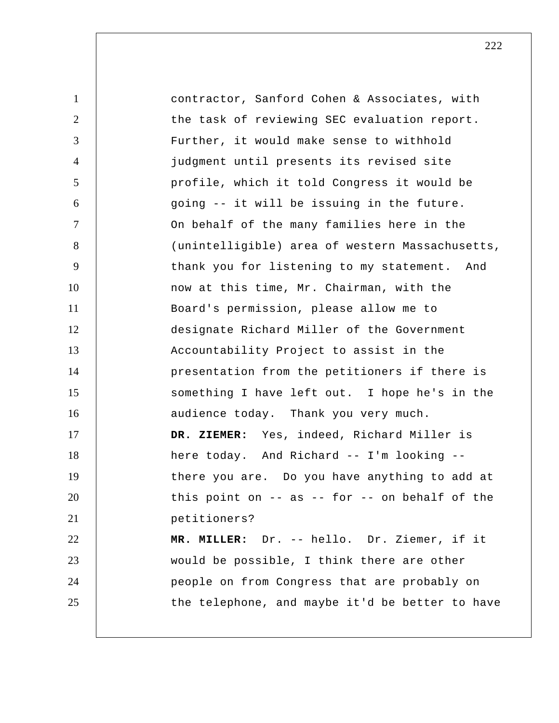1 2 3 4 5 6 7 8 9 10 11 12 13 14 15 16 17 18 19 20 21 22 23 24 25 contractor, Sanford Cohen & Associates, with the task of reviewing SEC evaluation report. Further, it would make sense to withhold judgment until presents its revised site profile, which it told Congress it would be going -- it will be issuing in the future. On behalf of the many families here in the (unintelligible) area of western Massachusetts, thank you for listening to my statement. And now at this time, Mr. Chairman, with the Board's permission, please allow me to designate Richard Miller of the Government Accountability Project to assist in the presentation from the petitioners if there is something I have left out. I hope he's in the audience today. Thank you very much.  **DR. ZIEMER:** Yes, indeed, Richard Miller is here today. And Richard -- I'm looking - there you are. Do you have anything to add at this point on  $-$  as  $-$  for  $-$  on behalf of the petitioners?  **MR. MILLER:** Dr. -- hello. Dr. Ziemer, if it would be possible, I think there are other people on from Congress that are probably on the telephone, and maybe it'd be better to have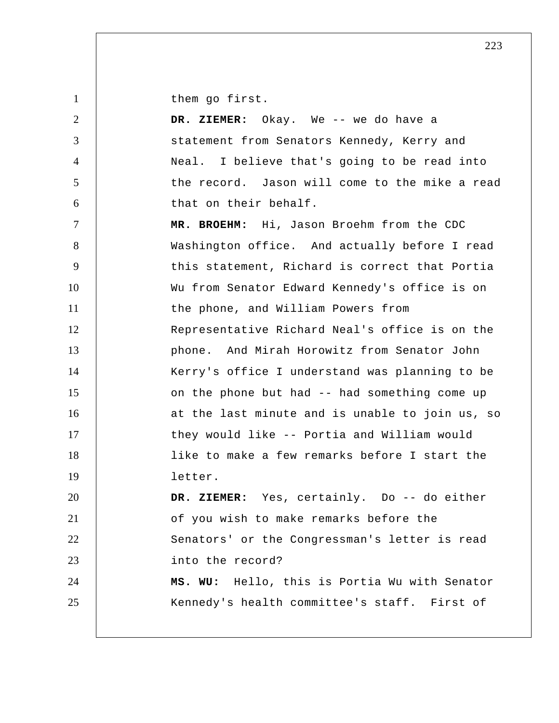them go first.

| 2              | DR. ZIEMER: Okay. We -- we do have a            |
|----------------|-------------------------------------------------|
| 3              | statement from Senators Kennedy, Kerry and      |
| $\overline{4}$ | Neal. I believe that's going to be read into    |
| 5              | the record. Jason will come to the mike a read  |
| 6              | that on their behalf.                           |
| $\tau$         | MR. BROEHM: Hi, Jason Broehm from the CDC       |
| 8              | Washington office. And actually before I read   |
| 9              | this statement, Richard is correct that Portia  |
| 10             | Wu from Senator Edward Kennedy's office is on   |
| 11             | the phone, and William Powers from              |
| 12             | Representative Richard Neal's office is on the  |
| 13             | phone. And Mirah Horowitz from Senator John     |
| 14             | Kerry's office I understand was planning to be  |
| 15             | on the phone but had -- had something come up   |
| 16             | at the last minute and is unable to join us, so |
| 17             | they would like -- Portia and William would     |
| 18             | like to make a few remarks before I start the   |
| 19             | letter.                                         |
| 20             | DR. ZIEMER: Yes, certainly. Do -- do either     |
| 21             | of you wish to make remarks before the          |
| 22             | Senators' or the Congressman's letter is read   |
| 23             | into the record?                                |
| 24             | MS. WU: Hello, this is Portia Wu with Senator   |
| 25             | Kennedy's health committee's staff. First of    |
|                |                                                 |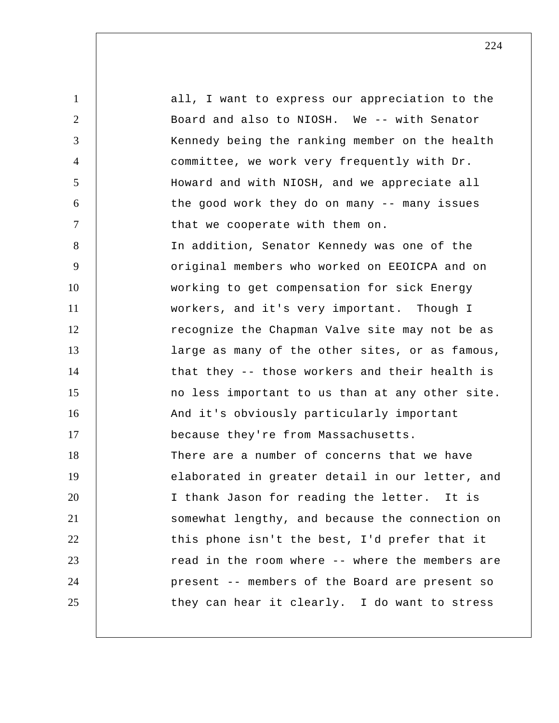1 2 3 4 5 6 7 8 9 10 11 12 13 14 15 16 17 18 19 20 21 22 23 24 25 all, I want to express our appreciation to the Board and also to NIOSH. We -- with Senator Kennedy being the ranking member on the health committee, we work very frequently with Dr. Howard and with NIOSH, and we appreciate all the good work they do on many -- many issues that we cooperate with them on. In addition, Senator Kennedy was one of the original members who worked on EEOICPA and on working to get compensation for sick Energy workers, and it's very important. Though I recognize the Chapman Valve site may not be as large as many of the other sites, or as famous, that they -- those workers and their health is no less important to us than at any other site. And it's obviously particularly important because they're from Massachusetts. There are a number of concerns that we have elaborated in greater detail in our letter, and I thank Jason for reading the letter. It is somewhat lengthy, and because the connection on this phone isn't the best, I'd prefer that it read in the room where -- where the members are present -- members of the Board are present so they can hear it clearly. I do want to stress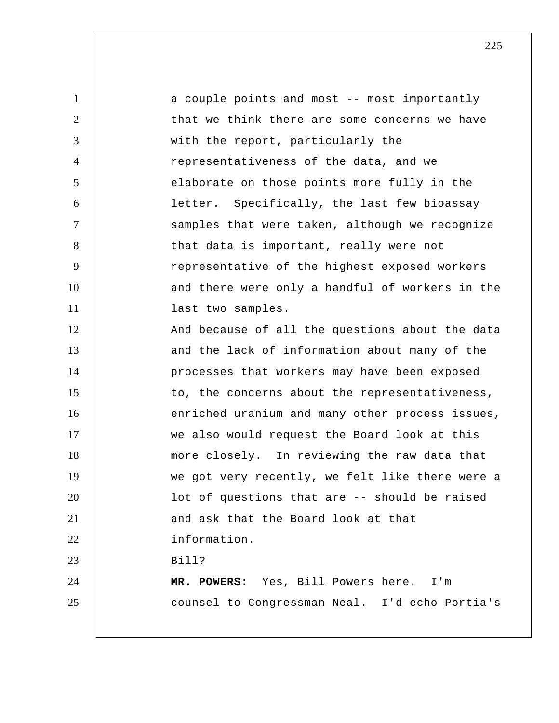1 2 3 4 5 6 7 8 9 10 11 12 13 14 15 16 17 18 19 20 21 22 23 24 25 a couple points and most -- most importantly that we think there are some concerns we have with the report, particularly the representativeness of the data, and we elaborate on those points more fully in the letter. Specifically, the last few bioassay samples that were taken, although we recognize that data is important, really were not representative of the highest exposed workers and there were only a handful of workers in the last two samples. And because of all the questions about the data and the lack of information about many of the processes that workers may have been exposed to, the concerns about the representativeness, enriched uranium and many other process issues, we also would request the Board look at this more closely. In reviewing the raw data that we got very recently, we felt like there were a lot of questions that are -- should be raised and ask that the Board look at that information. Bill?  **MR. POWERS:** Yes, Bill Powers here. I'm counsel to Congressman Neal. I'd echo Portia's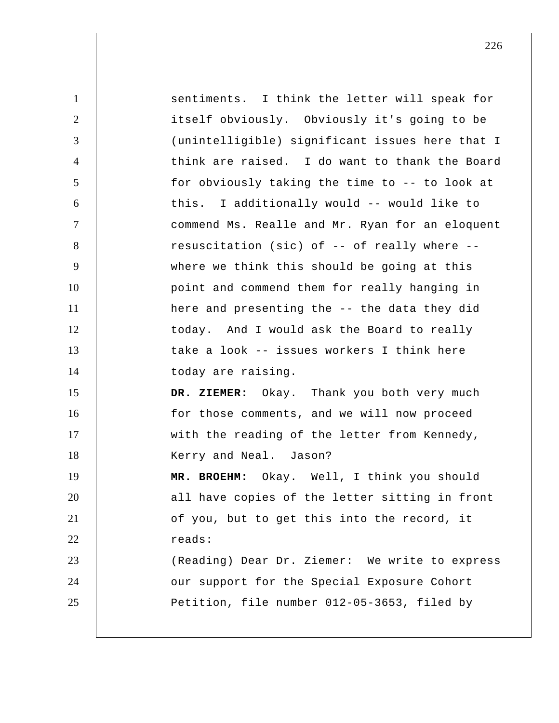| $\mathbf{1}$   | sentiments. I think the letter will speak for   |
|----------------|-------------------------------------------------|
| $\overline{2}$ | itself obviously. Obviously it's going to be    |
| 3              | (unintelligible) significant issues here that I |
| $\overline{4}$ | think are raised. I do want to thank the Board  |
| 5              | for obviously taking the time to -- to look at  |
| 6              | this. I additionally would -- would like to     |
| $\overline{7}$ | commend Ms. Realle and Mr. Ryan for an eloquent |
| 8              | resuscitation (sic) of -- of really where --    |
| 9              | where we think this should be going at this     |
| 10             | point and commend them for really hanging in    |
| 11             | here and presenting the -- the data they did    |
| 12             | today. And I would ask the Board to really      |
| 13             | take a look -- issues workers I think here      |
| 14             | today are raising.                              |
| 15             | DR. ZIEMER: Okay. Thank you both very much      |
| 16             | for those comments, and we will now proceed     |
| 17             | with the reading of the letter from Kennedy,    |
| 18             | Kerry and Neal. Jason?                          |
| 19             | MR. BROEHM: Okay. Well, I think you should      |
| 20             | all have copies of the letter sitting in front  |
| 21             | of you, but to get this into the record, it     |
| 22             | reads:                                          |
| 23             | (Reading) Dear Dr. Ziemer: We write to express  |
| 24             | our support for the Special Exposure Cohort     |
| 25             | Petition, file number 012-05-3653, filed by     |
|                |                                                 |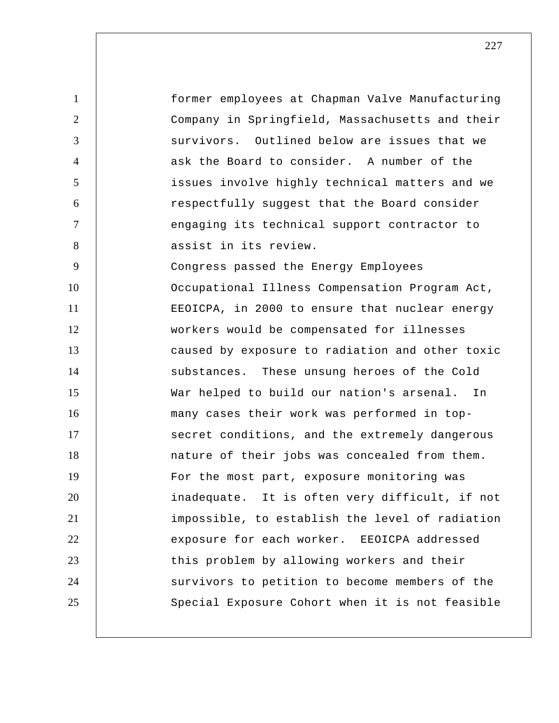1 2 3 4 5 6 7 8 9 10 11 12 13 14 15 16 17 18 19 20 21 22 23 24 25 former employees at Chapman Valve Manufacturing Company in Springfield, Massachusetts and their survivors. Outlined below are issues that we ask the Board to consider. A number of the issues involve highly technical matters and we respectfully suggest that the Board consider engaging its technical support contractor to assist in its review. Congress passed the Energy Employees Occupational Illness Compensation Program Act, EEOICPA, in 2000 to ensure that nuclear energy workers would be compensated for illnesses caused by exposure to radiation and other toxic substances. These unsung heroes of the Cold War helped to build our nation's arsenal. In many cases their work was performed in topsecret conditions, and the extremely dangerous nature of their jobs was concealed from them. For the most part, exposure monitoring was inadequate. It is often very difficult, if not impossible, to establish the level of radiation exposure for each worker. EEOICPA addressed this problem by allowing workers and their survivors to petition to become members of the Special Exposure Cohort when it is not feasible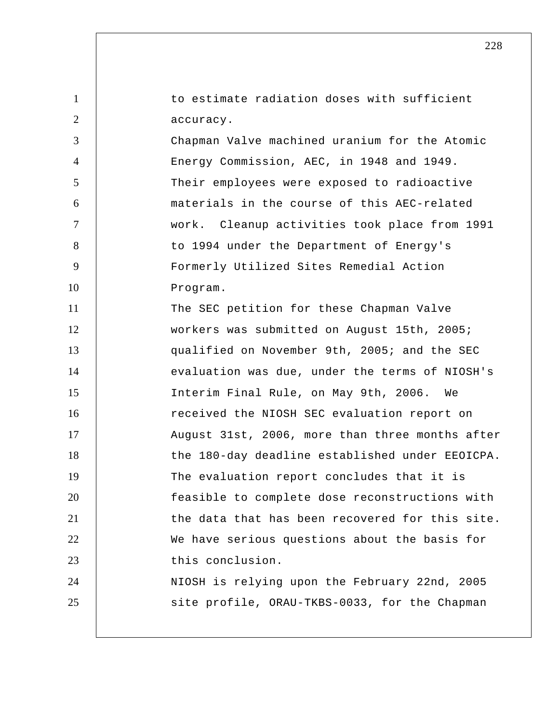1 2 3 4 5 6 7 8 9 10 11 12 13 14 15 16 17 18 19 20 21 22 23 24 25 to estimate radiation doses with sufficient accuracy. Chapman Valve machined uranium for the Atomic Energy Commission, AEC, in 1948 and 1949. Their employees were exposed to radioactive materials in the course of this AEC-related work. Cleanup activities took place from 1991 to 1994 under the Department of Energy's Formerly Utilized Sites Remedial Action Program. The SEC petition for these Chapman Valve workers was submitted on August 15th, 2005; qualified on November 9th, 2005; and the SEC evaluation was due, under the terms of NIOSH's Interim Final Rule, on May 9th, 2006. We received the NIOSH SEC evaluation report on August 31st, 2006, more than three months after the 180-day deadline established under EEOICPA. The evaluation report concludes that it is feasible to complete dose reconstructions with the data that has been recovered for this site. We have serious questions about the basis for this conclusion. NIOSH is relying upon the February 22nd, 2005 site profile, ORAU-TKBS-0033, for the Chapman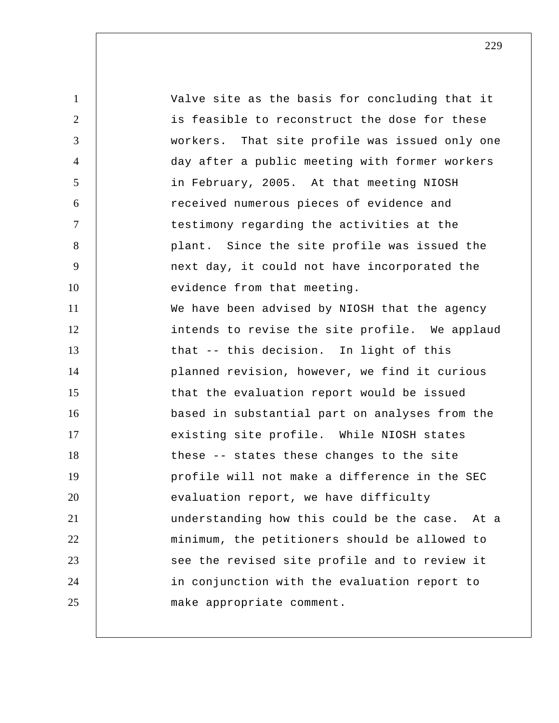1 2 3 4 5 6 7 8 9 10 11 12 13 14 15 16 17 18 19 20 21 22 23 24 25 Valve site as the basis for concluding that it is feasible to reconstruct the dose for these workers. That site profile was issued only one day after a public meeting with former workers in February, 2005. At that meeting NIOSH received numerous pieces of evidence and testimony regarding the activities at the plant. Since the site profile was issued the next day, it could not have incorporated the evidence from that meeting. We have been advised by NIOSH that the agency intends to revise the site profile. We applaud that -- this decision. In light of this planned revision, however, we find it curious that the evaluation report would be issued based in substantial part on analyses from the existing site profile. While NIOSH states these -- states these changes to the site profile will not make a difference in the SEC evaluation report, we have difficulty understanding how this could be the case. At a minimum, the petitioners should be allowed to see the revised site profile and to review it in conjunction with the evaluation report to make appropriate comment.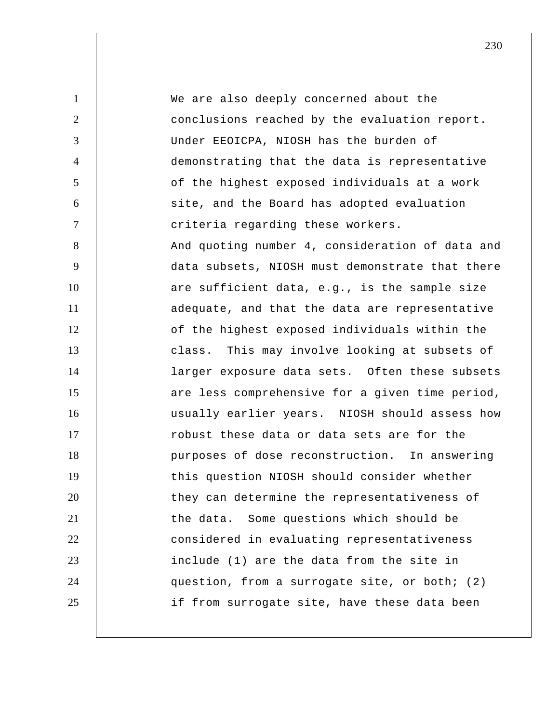1 2 3 4 5 6 7 8 9 10 11 12 13 14 15 16 17 18 19 20 21 22 23 24 25 We are also deeply concerned about the conclusions reached by the evaluation report. Under EEOICPA, NIOSH has the burden of demonstrating that the data is representative of the highest exposed individuals at a work site, and the Board has adopted evaluation criteria regarding these workers. And quoting number 4, consideration of data and data subsets, NIOSH must demonstrate that there are sufficient data, e.g., is the sample size adequate, and that the data are representative of the highest exposed individuals within the class. This may involve looking at subsets of larger exposure data sets. Often these subsets are less comprehensive for a given time period, usually earlier years. NIOSH should assess how robust these data or data sets are for the purposes of dose reconstruction. In answering this question NIOSH should consider whether they can determine the representativeness of the data. Some questions which should be considered in evaluating representativeness include (1) are the data from the site in question, from a surrogate site, or both; (2) if from surrogate site, have these data been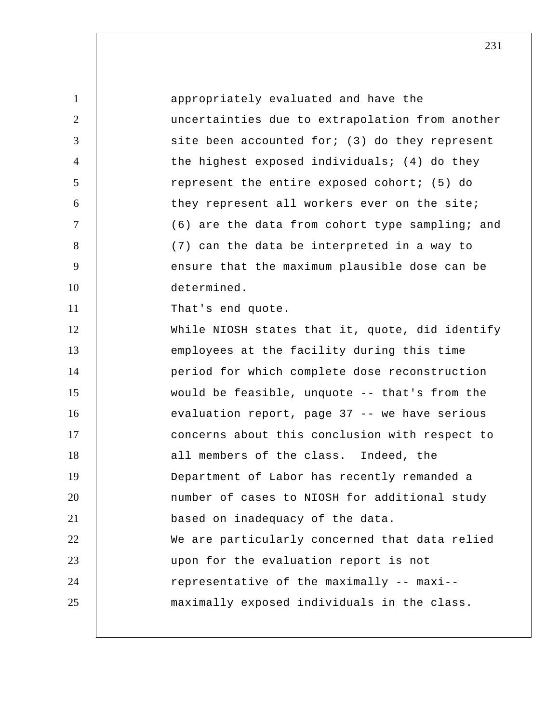| 1              | appropriately evaluated and have the            |
|----------------|-------------------------------------------------|
| 2              | uncertainties due to extrapolation from another |
| 3              | site been accounted for; (3) do they represent  |
| $\overline{4}$ | the highest exposed individuals; (4) do they    |
| 5              | represent the entire exposed cohort; (5) do     |
| 6              | they represent all workers ever on the site;    |
| $\overline{7}$ | (6) are the data from cohort type sampling; and |
| 8              | (7) can the data be interpreted in a way to     |
| 9              | ensure that the maximum plausible dose can be   |
| 10             | determined.                                     |
| 11             | That's end quote.                               |
| 12             | While NIOSH states that it, quote, did identify |
| 13             | employees at the facility during this time      |
| 14             | period for which complete dose reconstruction   |
| 15             | would be feasible, unquote -- that's from the   |
| 16             | evaluation report, page 37 -- we have serious   |
| 17             | concerns about this conclusion with respect to  |
| 18             | all members of the class. Indeed, the           |
| 19             | Department of Labor has recently remanded a     |
| 20             | number of cases to NIOSH for additional study   |
| 21             | based on inadequacy of the data.                |
| 22             | We are particularly concerned that data relied  |
| 23             | upon for the evaluation report is not           |
| 24             | representative of the maximally -- maxi--       |
| 25             | maximally exposed individuals in the class.     |
|                |                                                 |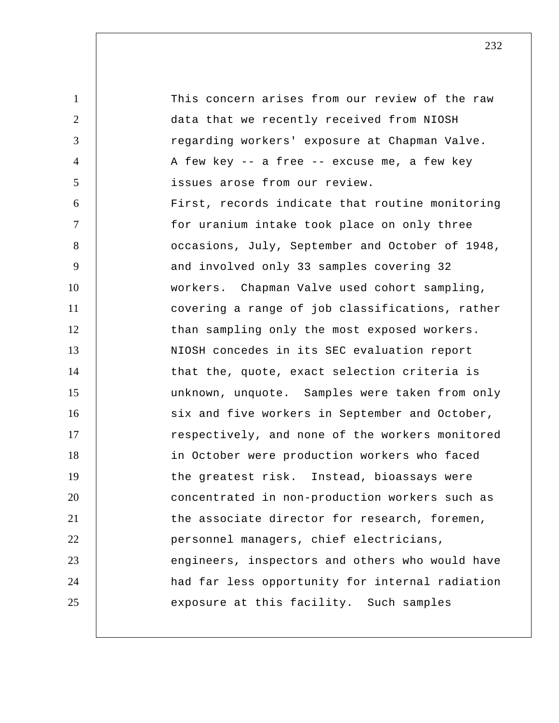1 2 3 4 5 6 7 8 9 10 11 12 13 14 15 16 17 18 19 20 21 22 23 24 25 This concern arises from our review of the raw data that we recently received from NIOSH regarding workers' exposure at Chapman Valve. A few key -- a free -- excuse me, a few key issues arose from our review. First, records indicate that routine monitoring for uranium intake took place on only three occasions, July, September and October of 1948, and involved only 33 samples covering 32 workers. Chapman Valve used cohort sampling, covering a range of job classifications, rather than sampling only the most exposed workers. NIOSH concedes in its SEC evaluation report that the, quote, exact selection criteria is unknown, unquote. Samples were taken from only six and five workers in September and October, respectively, and none of the workers monitored in October were production workers who faced the greatest risk. Instead, bioassays were concentrated in non-production workers such as the associate director for research, foremen, personnel managers, chief electricians, engineers, inspectors and others who would have had far less opportunity for internal radiation exposure at this facility. Such samples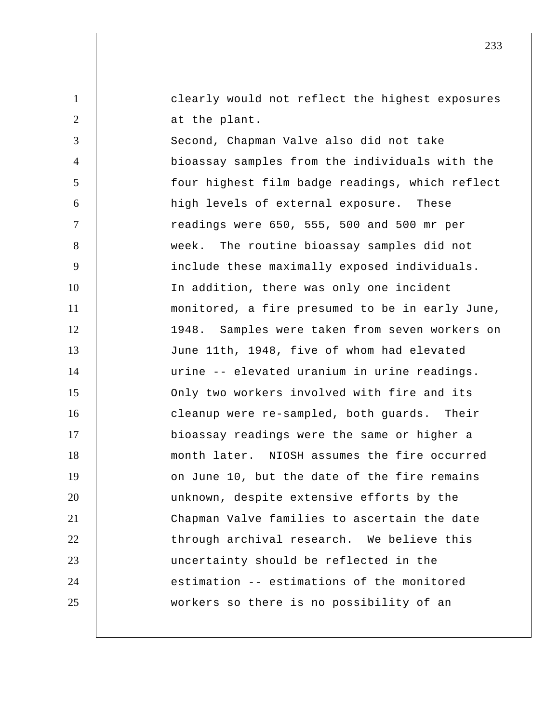clearly would not reflect the highest exposures at the plant.

1

2

3 4 5 6 7 8 9 10 11 12 13 14 15 16 17 18 19 20 21 22 23 24 25 Second, Chapman Valve also did not take bioassay samples from the individuals with the four highest film badge readings, which reflect high levels of external exposure. These readings were 650, 555, 500 and 500 mr per week. The routine bioassay samples did not include these maximally exposed individuals. In addition, there was only one incident monitored, a fire presumed to be in early June, 1948. Samples were taken from seven workers on June 11th, 1948, five of whom had elevated urine -- elevated uranium in urine readings. Only two workers involved with fire and its cleanup were re-sampled, both guards. Their bioassay readings were the same or higher a month later. NIOSH assumes the fire occurred on June 10, but the date of the fire remains unknown, despite extensive efforts by the Chapman Valve families to ascertain the date through archival research. We believe this uncertainty should be reflected in the estimation -- estimations of the monitored workers so there is no possibility of an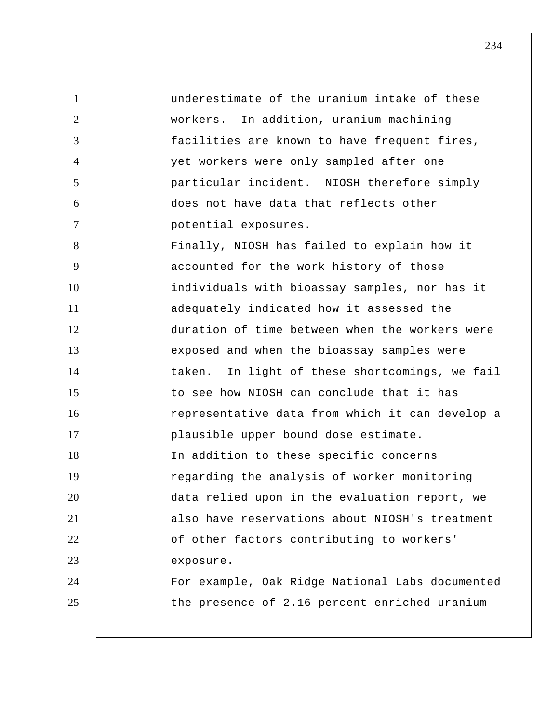1 2 3 4 5 6 7 8 9 10 11 12 13 14 15 16 17 18 19 20 21 22 23 24 25 underestimate of the uranium intake of these workers. In addition, uranium machining facilities are known to have frequent fires, yet workers were only sampled after one particular incident. NIOSH therefore simply does not have data that reflects other potential exposures. Finally, NIOSH has failed to explain how it accounted for the work history of those individuals with bioassay samples, nor has it adequately indicated how it assessed the duration of time between when the workers were exposed and when the bioassay samples were taken. In light of these shortcomings, we fail to see how NIOSH can conclude that it has representative data from which it can develop a plausible upper bound dose estimate. In addition to these specific concerns regarding the analysis of worker monitoring data relied upon in the evaluation report, we also have reservations about NIOSH's treatment of other factors contributing to workers' exposure. For example, Oak Ridge National Labs documented the presence of 2.16 percent enriched uranium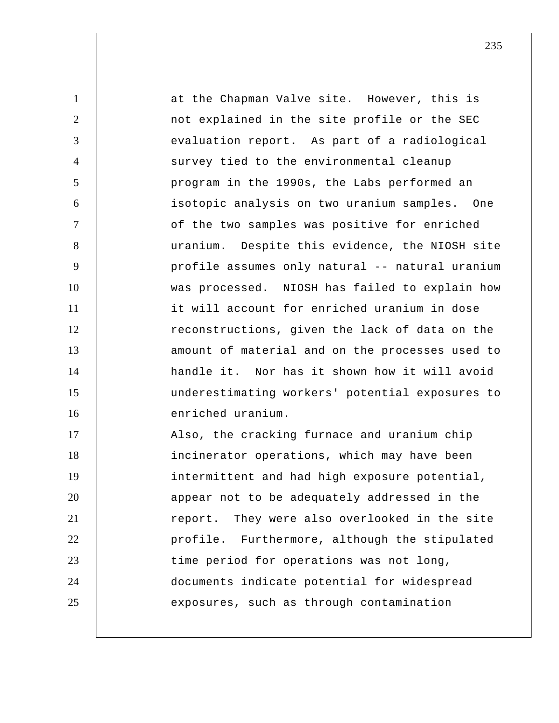1 2 3 4 5 6 7 8 9 10 11 12 13 14 15 16 17 18 19 20 21 22 23 24 25 at the Chapman Valve site. However, this is not explained in the site profile or the SEC evaluation report. As part of a radiological survey tied to the environmental cleanup program in the 1990s, the Labs performed an isotopic analysis on two uranium samples. One of the two samples was positive for enriched uranium. Despite this evidence, the NIOSH site profile assumes only natural -- natural uranium was processed. NIOSH has failed to explain how it will account for enriched uranium in dose reconstructions, given the lack of data on the amount of material and on the processes used to handle it. Nor has it shown how it will avoid underestimating workers' potential exposures to enriched uranium. Also, the cracking furnace and uranium chip incinerator operations, which may have been intermittent and had high exposure potential, appear not to be adequately addressed in the report. They were also overlooked in the site profile. Furthermore, although the stipulated time period for operations was not long, documents indicate potential for widespread exposures, such as through contamination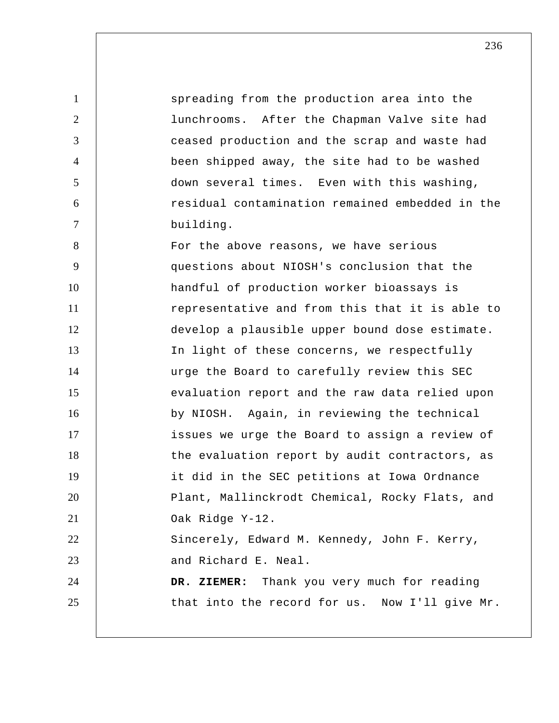1 2 3 4 5 6 7 8 9 10 11 12 13 14 15 16 17 18 19 20 21 22 23 24 25 spreading from the production area into the lunchrooms. After the Chapman Valve site had ceased production and the scrap and waste had been shipped away, the site had to be washed down several times. Even with this washing, residual contamination remained embedded in the building. For the above reasons, we have serious questions about NIOSH's conclusion that the handful of production worker bioassays is representative and from this that it is able to develop a plausible upper bound dose estimate. In light of these concerns, we respectfully urge the Board to carefully review this SEC evaluation report and the raw data relied upon by NIOSH. Again, in reviewing the technical issues we urge the Board to assign a review of the evaluation report by audit contractors, as it did in the SEC petitions at Iowa Ordnance Plant, Mallinckrodt Chemical, Rocky Flats, and Oak Ridge Y-12. Sincerely, Edward M. Kennedy, John F. Kerry, and Richard E. Neal.  **DR. ZIEMER:** Thank you very much for reading that into the record for us. Now I'll give Mr.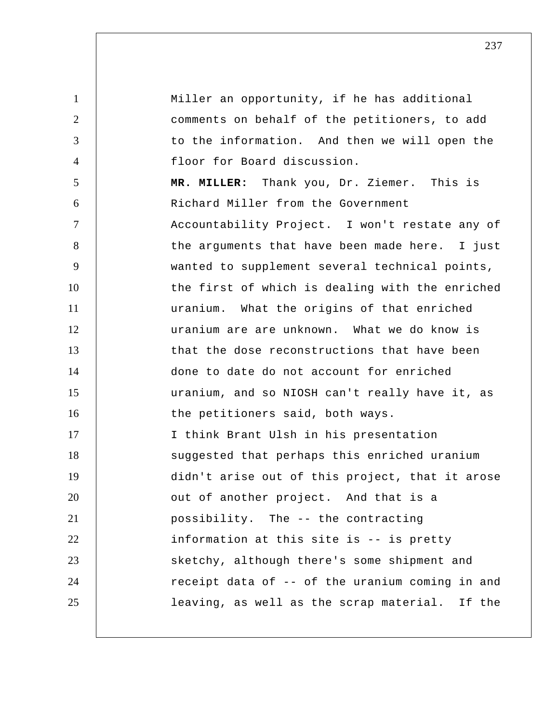1 2 3 4 5 6 7 8 9 10 11 12 13 14 15 16 17 18 19 20 21 22 23 24 25 Miller an opportunity, if he has additional comments on behalf of the petitioners, to add to the information. And then we will open the floor for Board discussion.  **MR. MILLER:** Thank you, Dr. Ziemer. This is Richard Miller from the Government Accountability Project. I won't restate any of the arguments that have been made here. I just wanted to supplement several technical points, the first of which is dealing with the enriched uranium. What the origins of that enriched uranium are are unknown. What we do know is that the dose reconstructions that have been done to date do not account for enriched uranium, and so NIOSH can't really have it, as the petitioners said, both ways. I think Brant Ulsh in his presentation suggested that perhaps this enriched uranium didn't arise out of this project, that it arose out of another project. And that is a possibility. The -- the contracting information at this site is -- is pretty sketchy, although there's some shipment and receipt data of -- of the uranium coming in and leaving, as well as the scrap material. If the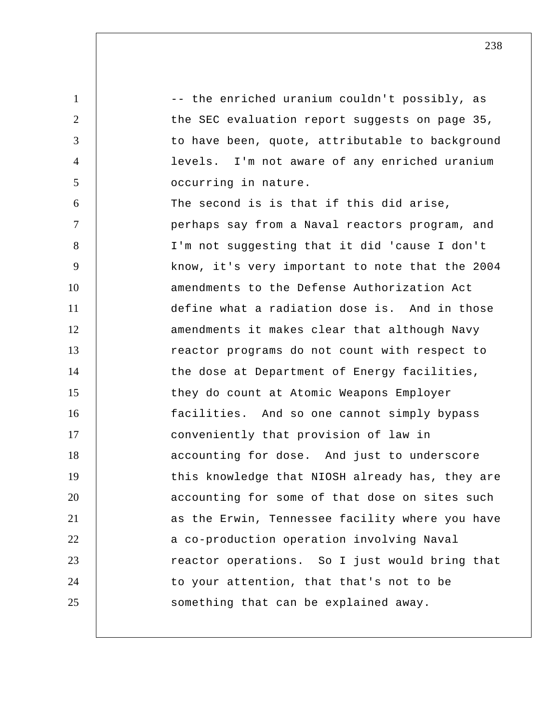1 2 3 4 5 6 7 8 9 10 11 12 13 14 15 16 17 18 19 20 21 22 23 24 25 -- the enriched uranium couldn't possibly, as the SEC evaluation report suggests on page 35, to have been, quote, attributable to background levels. I'm not aware of any enriched uranium occurring in nature. The second is is that if this did arise, perhaps say from a Naval reactors program, and I'm not suggesting that it did 'cause I don't know, it's very important to note that the 2004 amendments to the Defense Authorization Act define what a radiation dose is. And in those amendments it makes clear that although Navy reactor programs do not count with respect to the dose at Department of Energy facilities, they do count at Atomic Weapons Employer facilities. And so one cannot simply bypass conveniently that provision of law in accounting for dose. And just to underscore this knowledge that NIOSH already has, they are accounting for some of that dose on sites such as the Erwin, Tennessee facility where you have a co-production operation involving Naval reactor operations. So I just would bring that to your attention, that that's not to be something that can be explained away.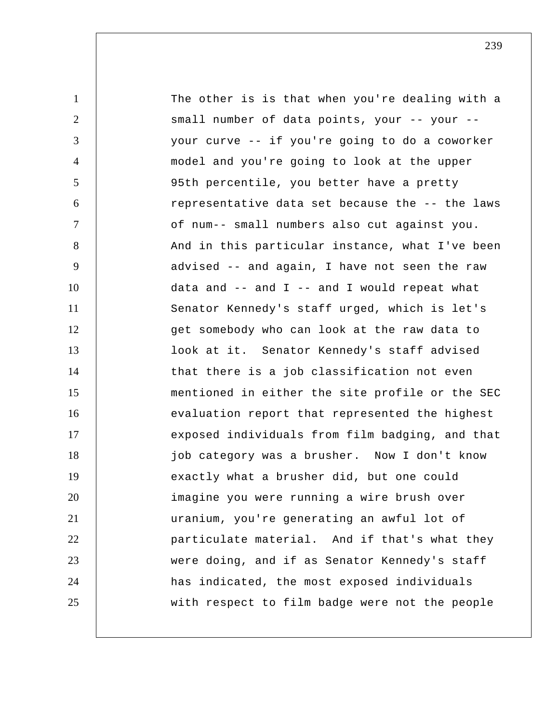1 2 3 4 5 6 7 8 9 10 11 12 13 14 15 16 17 18 19 20 21 22 23 24 25 The other is is that when you're dealing with a small number of data points, your -- your - your curve -- if you're going to do a coworker model and you're going to look at the upper 95th percentile, you better have a pretty representative data set because the -- the laws of num-- small numbers also cut against you. And in this particular instance, what I've been advised -- and again, I have not seen the raw data and  $--$  and  $I$   $--$  and  $I$  would repeat what Senator Kennedy's staff urged, which is let's get somebody who can look at the raw data to look at it. Senator Kennedy's staff advised that there is a job classification not even mentioned in either the site profile or the SEC evaluation report that represented the highest exposed individuals from film badging, and that job category was a brusher. Now I don't know exactly what a brusher did, but one could imagine you were running a wire brush over uranium, you're generating an awful lot of particulate material. And if that's what they were doing, and if as Senator Kennedy's staff has indicated, the most exposed individuals with respect to film badge were not the people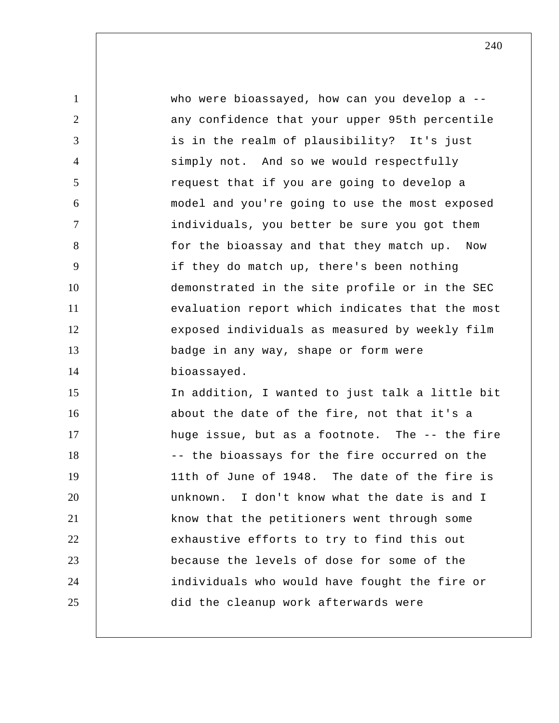1 2 3 4 5 6 7 8 9 10 11 12 13 14 15 16 17 18 19 20 21 22 23 24 25 who were bioassayed, how can you develop a -any confidence that your upper 95th percentile is in the realm of plausibility? It's just simply not. And so we would respectfully request that if you are going to develop a model and you're going to use the most exposed individuals, you better be sure you got them for the bioassay and that they match up. Now if they do match up, there's been nothing demonstrated in the site profile or in the SEC evaluation report which indicates that the most exposed individuals as measured by weekly film badge in any way, shape or form were bioassayed. In addition, I wanted to just talk a little bit about the date of the fire, not that it's a huge issue, but as a footnote. The -- the fire -- the bioassays for the fire occurred on the 11th of June of 1948. The date of the fire is unknown. I don't know what the date is and I know that the petitioners went through some exhaustive efforts to try to find this out because the levels of dose for some of the individuals who would have fought the fire or did the cleanup work afterwards were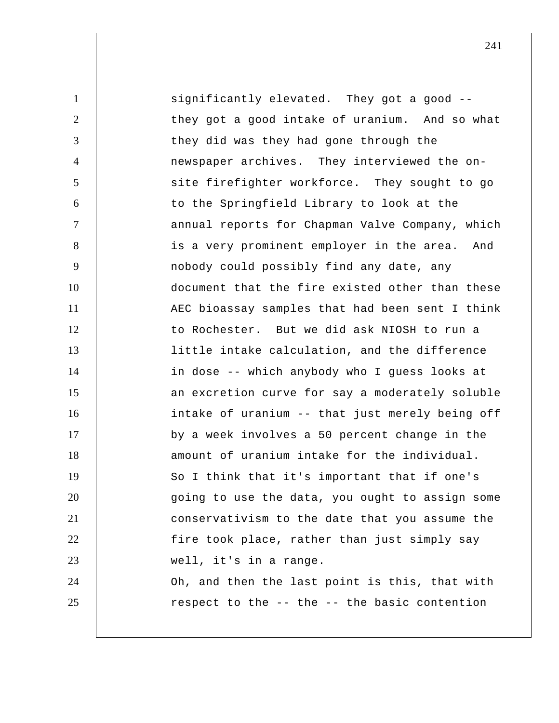1 2 3 4 5 6 7 8 9 10 11 12 13 14 15 16 17 18 19 20 21 22 23 24 25 significantly elevated. They got a good -they got a good intake of uranium. And so what they did was they had gone through the newspaper archives. They interviewed the on site firefighter workforce. They sought to go to the Springfield Library to look at the annual reports for Chapman Valve Company, which is a very prominent employer in the area. And nobody could possibly find any date, any document that the fire existed other than these AEC bioassay samples that had been sent I think to Rochester. But we did ask NIOSH to run a little intake calculation, and the difference in dose -- which anybody who I guess looks at an excretion curve for say a moderately soluble intake of uranium -- that just merely being off by a week involves a 50 percent change in the amount of uranium intake for the individual. So I think that it's important that if one's going to use the data, you ought to assign some conservativism to the date that you assume the fire took place, rather than just simply say well, it's in a range. Oh, and then the last point is this, that with respect to the -- the -- the basic contention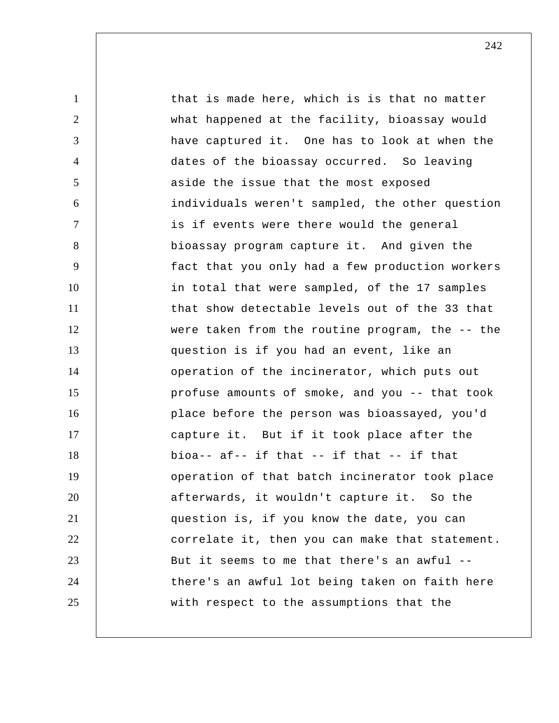1 2 3 4 5 6 7 8 9 10 11 12 13 14 15 16 17 18 19 20 21 22 23 24 25 that is made here, which is is that no matter what happened at the facility, bioassay would have captured it. One has to look at when the dates of the bioassay occurred. So leaving aside the issue that the most exposed individuals weren't sampled, the other question is if events were there would the general bioassay program capture it. And given the fact that you only had a few production workers in total that were sampled, of the 17 samples that show detectable levels out of the 33 that were taken from the routine program, the -- the question is if you had an event, like an operation of the incinerator, which puts out profuse amounts of smoke, and you -- that took place before the person was bioassayed, you'd capture it. But if it took place after the bioa-- af-- if that -- if that -- if that operation of that batch incinerator took place afterwards, it wouldn't capture it. So the question is, if you know the date, you can correlate it, then you can make that statement. But it seems to me that there's an awful - there's an awful lot being taken on faith here with respect to the assumptions that the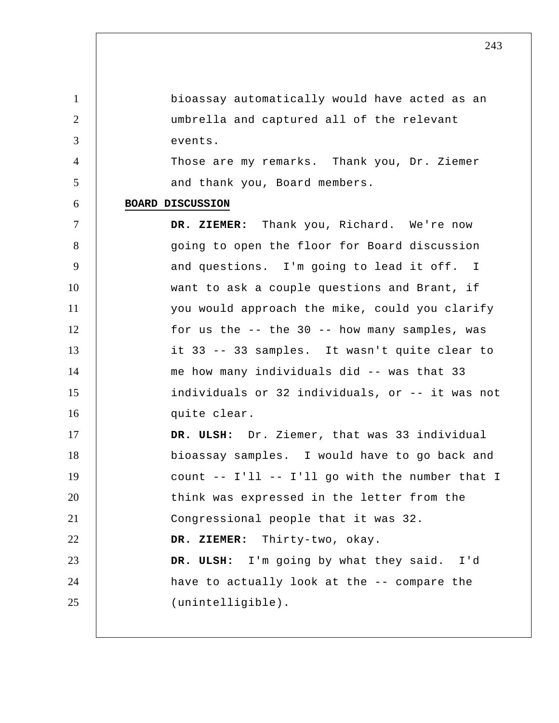1 2 3 4 5 6 7 8 9 10 11 12 13 14 15 16 17 18 19 20 21 22 23 24 25 bioassay automatically would have acted as an umbrella and captured all of the relevant events. Those are my remarks. Thank you, Dr. Ziemer and thank you, Board members. **BOARD DISCUSSION DR. ZIEMER:** Thank you, Richard. We're now going to open the floor for Board discussion and questions. I'm going to lead it off. I want to ask a couple questions and Brant, if you would approach the mike, could you clarify for us the -- the 30 -- how many samples, was it 33 -- 33 samples. It wasn't quite clear to me how many individuals did -- was that 33 individuals or 32 individuals, or -- it was not quite clear.  **DR. ULSH:** Dr. Ziemer, that was 33 individual bioassay samples. I would have to go back and count -- I'll -- I'll go with the number that I think was expressed in the letter from the Congressional people that it was 32.  **DR. ZIEMER:** Thirty-two, okay.  **DR. ULSH:** I'm going by what they said. I'd have to actually look at the -- compare the (unintelligible).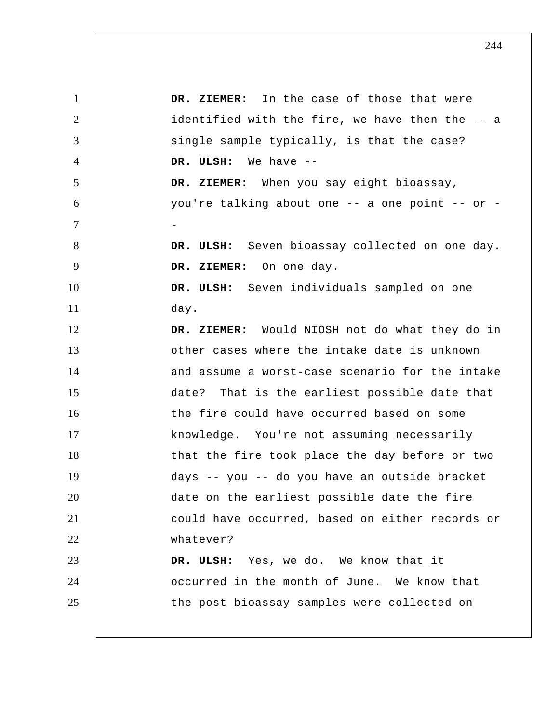| $\mathbf{1}$   | DR. ZIEMER: In the case of those that were      |
|----------------|-------------------------------------------------|
| 2              | identified with the fire, we have then the -- a |
| 3              | single sample typically, is that the case?      |
| $\overline{4}$ | DR. ULSH: We have --                            |
| 5              | DR. ZIEMER: When you say eight bioassay,        |
| 6              | you're talking about one -- a one point -- or - |
| $\overline{7}$ |                                                 |
| 8              | DR. ULSH: Seven bioassay collected on one day.  |
| 9              | DR. ZIEMER: On one day.                         |
| 10             | DR. ULSH: Seven individuals sampled on one      |
| 11             | day.                                            |
| 12             | DR. ZIEMER: Would NIOSH not do what they do in  |
| 13             | other cases where the intake date is unknown    |
| 14             | and assume a worst-case scenario for the intake |
| 15             | date? That is the earliest possible date that   |
| 16             | the fire could have occurred based on some      |
| 17             | knowledge. You're not assuming necessarily      |
| 18             | that the fire took place the day before or two  |
| 19             | days -- you -- do you have an outside bracket   |
| 20             | date on the earliest possible date the fire     |
| 21             | could have occurred, based on either records or |
| 22             | whatever?                                       |
| 23             | DR. ULSH: Yes, we do. We know that it           |
| 24             | occurred in the month of June. We know that     |
| 25             | the post bioassay samples were collected on     |
|                |                                                 |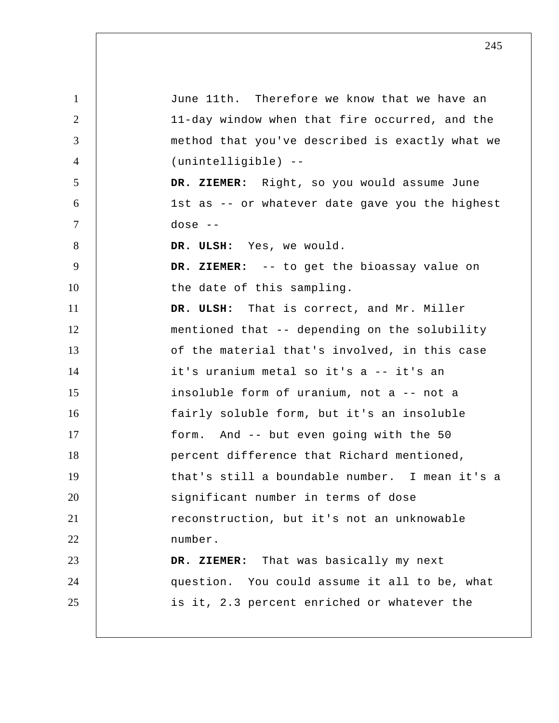| $\mathbf{1}$   | June 11th. Therefore we know that we have an    |
|----------------|-------------------------------------------------|
| $\overline{2}$ | 11-day window when that fire occurred, and the  |
| 3              | method that you've described is exactly what we |
| $\overline{4}$ | (unintelligible) --                             |
| 5              | DR. ZIEMER: Right, so you would assume June     |
| 6              | 1st as -- or whatever date gave you the highest |
| $\tau$         | dose $--$                                       |
| 8              | DR. ULSH: Yes, we would.                        |
| 9              | DR. ZIEMER: -- to get the bioassay value on     |
| 10             | the date of this sampling.                      |
| 11             | DR. ULSH: That is correct, and Mr. Miller       |
| 12             | mentioned that -- depending on the solubility   |
| 13             | of the material that's involved, in this case   |
| 14             | it's uranium metal so it's a -- it's an         |
| 15             | insoluble form of uranium, not a -- not a       |
| 16             | fairly soluble form, but it's an insoluble      |
| 17             | And -- but even going with the 50<br>form.      |
| 18             | percent difference that Richard mentioned,      |
| 19             | that's still a boundable number. I mean it's a  |
| 20             | significant number in terms of dose             |
| 21             | reconstruction, but it's not an unknowable      |
| 22             | number.                                         |
| 23             | DR. ZIEMER: That was basically my next          |
| 24             | question. You could assume it all to be, what   |
| 25             | is it, 2.3 percent enriched or whatever the     |
|                |                                                 |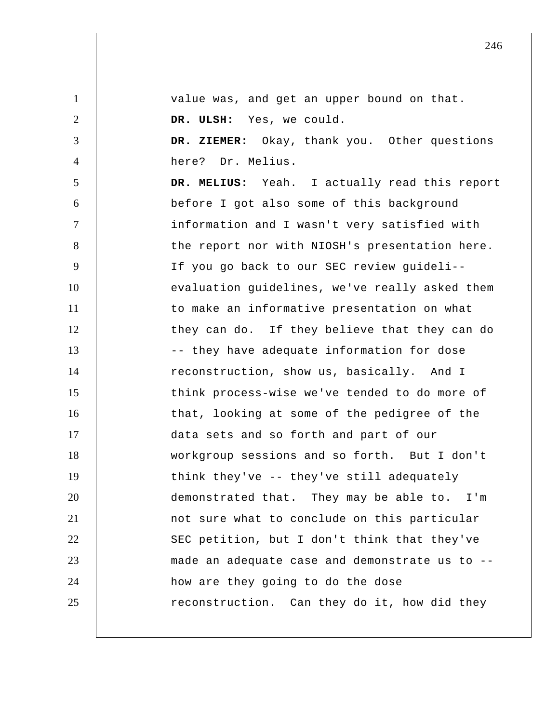| $\mathbf{1}$   | value was, and get an upper bound on that.     |
|----------------|------------------------------------------------|
| $\overline{2}$ | DR. ULSH: Yes, we could.                       |
| 3              | DR. ZIEMER: Okay, thank you. Other questions   |
| $\overline{4}$ | here? Dr. Melius.                              |
| $\mathfrak{S}$ | DR. MELIUS: Yeah. I actually read this report  |
| 6              | before I got also some of this background      |
| $\tau$         | information and I wasn't very satisfied with   |
| 8              | the report nor with NIOSH's presentation here. |
| 9              | If you go back to our SEC review guideli--     |
| 10             | evaluation guidelines, we've really asked them |
| 11             | to make an informative presentation on what    |
| 12             | they can do. If they believe that they can do  |
| 13             | -- they have adequate information for dose     |
| 14             | reconstruction, show us, basically. And I      |
| 15             | think process-wise we've tended to do more of  |
| 16             | that, looking at some of the pedigree of the   |
| 17             | data sets and so forth and part of our         |
| 18             | workgroup sessions and so forth. But I don't   |
| 19             | think they've -- they've still adequately      |
| 20             | demonstrated that. They may be able to. I'm    |
| 21             | not sure what to conclude on this particular   |
| 22             | SEC petition, but I don't think that they've   |
| 23             | made an adequate case and demonstrate us to -- |
| 24             | how are they going to do the dose              |
| 25             | reconstruction. Can they do it, how did they   |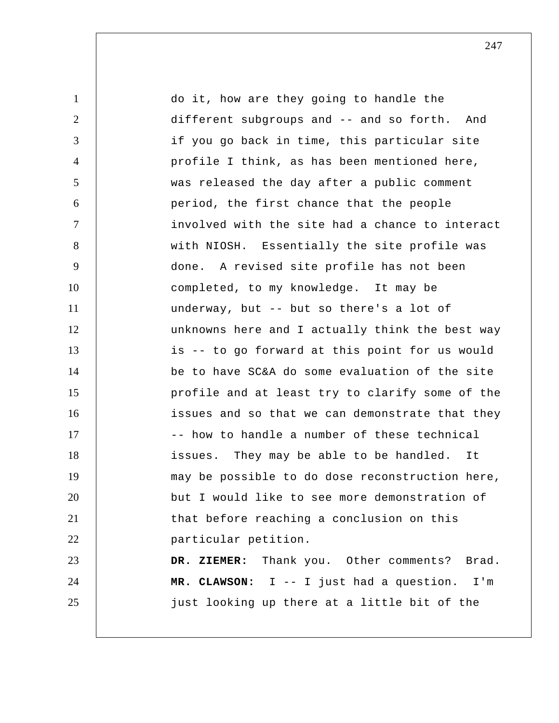1 2 3 4 5 6 7 8 9 10 11 12 13 14 15 16 17 18 19 20 21 22 23 24 25 do it, how are they going to handle the different subgroups and -- and so forth. And if you go back in time, this particular site profile I think, as has been mentioned here, was released the day after a public comment period, the first chance that the people involved with the site had a chance to interact with NIOSH. Essentially the site profile was done. A revised site profile has not been completed, to my knowledge. It may be underway, but -- but so there's a lot of unknowns here and I actually think the best way is -- to go forward at this point for us would be to have SC&A do some evaluation of the site profile and at least try to clarify some of the issues and so that we can demonstrate that they -- how to handle a number of these technical issues. They may be able to be handled. It may be possible to do dose reconstruction here, but I would like to see more demonstration of that before reaching a conclusion on this particular petition.  **DR. ZIEMER:** Thank you. Other comments? Brad.  **MR. CLAWSON:** I -- I just had a question. I'm just looking up there at a little bit of the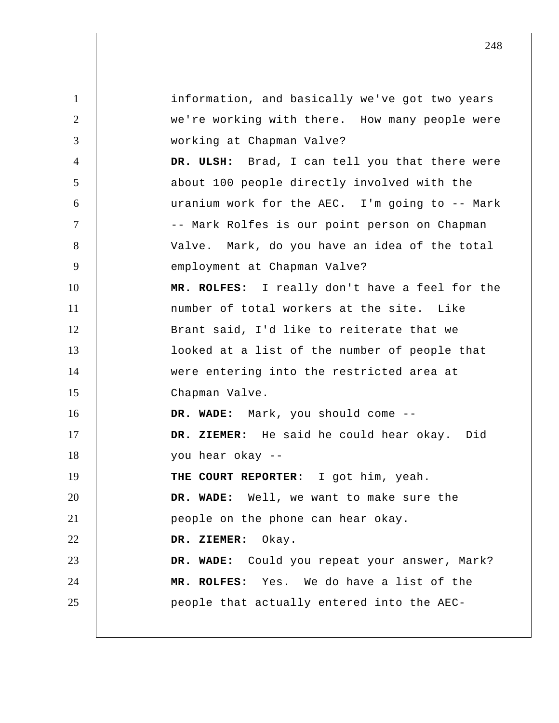1 2 3 4 5 6 7 8 9 10 11 12 13 14 15 16 17 18 19 20 21 22 23 24 25 information, and basically we've got two years we're working with there. How many people were working at Chapman Valve?  **DR. ULSH:** Brad, I can tell you that there were about 100 people directly involved with the uranium work for the AEC. I'm going to -- Mark -- Mark Rolfes is our point person on Chapman Valve. Mark, do you have an idea of the total employment at Chapman Valve?  **MR. ROLFES:** I really don't have a feel for the number of total workers at the site. Like Brant said, I'd like to reiterate that we looked at a list of the number of people that were entering into the restricted area at Chapman Valve.  **DR. WADE:** Mark, you should come --  **DR. ZIEMER:** He said he could hear okay. Did you hear okay --**THE COURT REPORTER:** I got him, yeah.  **DR. WADE:** Well, we want to make sure the people on the phone can hear okay.  **DR. ZIEMER:** Okay.  **DR. WADE:** Could you repeat your answer, Mark?  **MR. ROLFES:** Yes. We do have a list of the people that actually entered into the AEC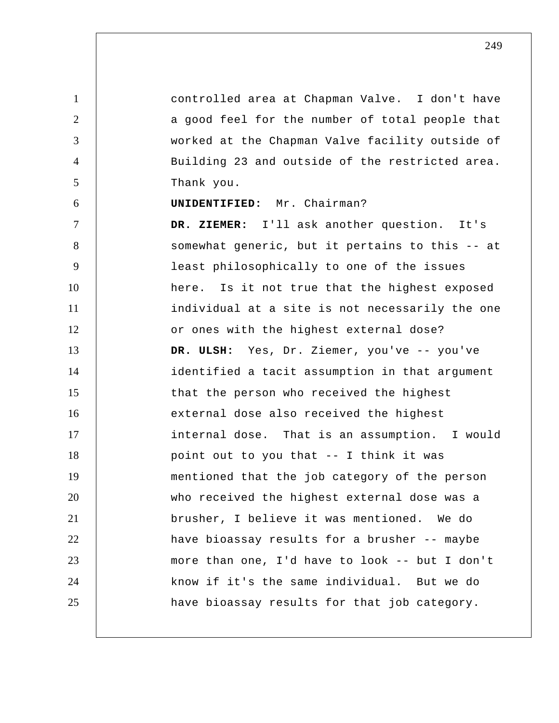1 2 3 4 5 6 7 8 9 10 11 12 13 14 15 16 17 18 19 20 21 22 23 24 25 controlled area at Chapman Valve. I don't have a good feel for the number of total people that worked at the Chapman Valve facility outside of Building 23 and outside of the restricted area. Thank you. **UNIDENTIFIED:** Mr. Chairman?  **DR. ZIEMER:** I'll ask another question. It's somewhat generic, but it pertains to this -- at least philosophically to one of the issues here. Is it not true that the highest exposed individual at a site is not necessarily the one or ones with the highest external dose?  **DR. ULSH:** Yes, Dr. Ziemer, you've -- you've identified a tacit assumption in that argument that the person who received the highest external dose also received the highest internal dose. That is an assumption. I would point out to you that -- I think it was mentioned that the job category of the person who received the highest external dose was a brusher, I believe it was mentioned. We do have bioassay results for a brusher -- maybe more than one, I'd have to look -- but I don't know if it's the same individual. But we do have bioassay results for that job category.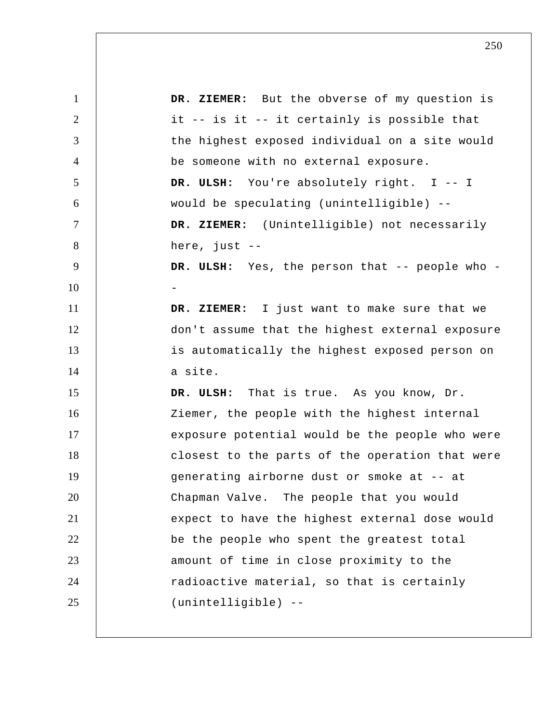| $\mathbf{1}$   | DR. ZIEMER: But the obverse of my question is   |
|----------------|-------------------------------------------------|
| $\overline{2}$ | it -- is it -- it certainly is possible that    |
| 3              | the highest exposed individual on a site would  |
| $\overline{4}$ | be someone with no external exposure.           |
| 5              | DR. ULSH: You're absolutely right. I -- I       |
| 6              | would be speculating (unintelligible) --        |
| $\tau$         | DR. ZIEMER: (Unintelligible) not necessarily    |
| 8              | here, just $--$                                 |
| 9              | DR. ULSH: Yes, the person that -- people who -  |
| 10             |                                                 |
| 11             | DR. ZIEMER: I just want to make sure that we    |
| 12             | don't assume that the highest external exposure |
| 13             | is automatically the highest exposed person on  |
| 14             | a site.                                         |
| 15             | DR. ULSH: That is true. As you know, Dr.        |
| 16             | Ziemer, the people with the highest internal    |
| 17             | exposure potential would be the people who were |
| 18             | closest to the parts of the operation that were |
| 19             | generating airborne dust or smoke at -- at      |
| 20             | Chapman Valve. The people that you would        |
| 21             | expect to have the highest external dose would  |
| 22             | be the people who spent the greatest total      |
| 23             | amount of time in close proximity to the        |
| 24             | radioactive material, so that is certainly      |
| 25             | (unintelligible) --                             |
|                |                                                 |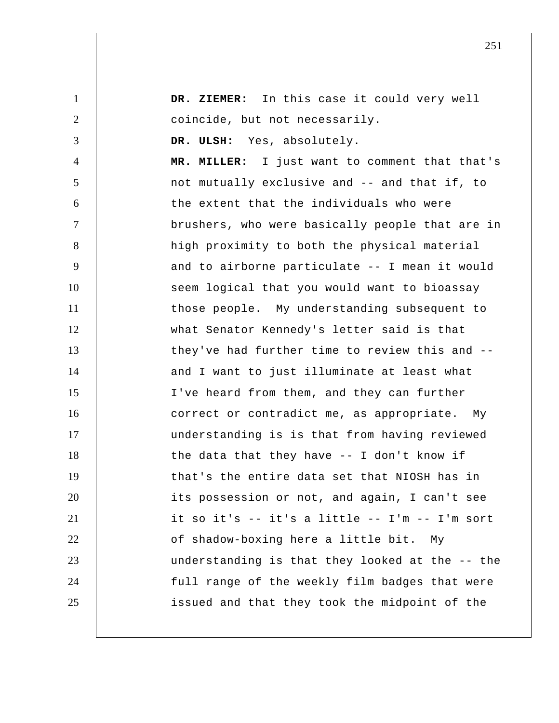| $\mathbf{1}$   | DR. ZIEMER: In this case it could very well     |
|----------------|-------------------------------------------------|
| $\overline{2}$ | coincide, but not necessarily.                  |
| 3              | DR. ULSH: Yes, absolutely.                      |
| 4              | MR. MILLER: I just want to comment that that's  |
| 5              | not mutually exclusive and -- and that if, to   |
| 6              | the extent that the individuals who were        |
| 7              | brushers, who were basically people that are in |
| 8              | high proximity to both the physical material    |
| 9              | and to airborne particulate -- I mean it would  |
| 10             | seem logical that you would want to bioassay    |
| 11             | those people. My understanding subsequent to    |
| 12             | what Senator Kennedy's letter said is that      |
| 13             | they've had further time to review this and --  |
| 14             | and I want to just illuminate at least what     |
| 15             | I've heard from them, and they can further      |
| 16             | correct or contradict me, as appropriate. My    |
| 17             | understanding is is that from having reviewed   |
| 18             | the data that they have $-$ I don't know if     |
| 19             | that's the entire data set that NIOSH has in    |
| 20             | its possession or not, and again, I can't see   |
| 21             | it so it's -- it's a little -- I'm -- I'm sort  |
| 22             | of shadow-boxing here a little bit.<br>Мy       |
| 23             | understanding is that they looked at the -- the |
| 24             | full range of the weekly film badges that were  |
| 25             | issued and that they took the midpoint of the   |
|                |                                                 |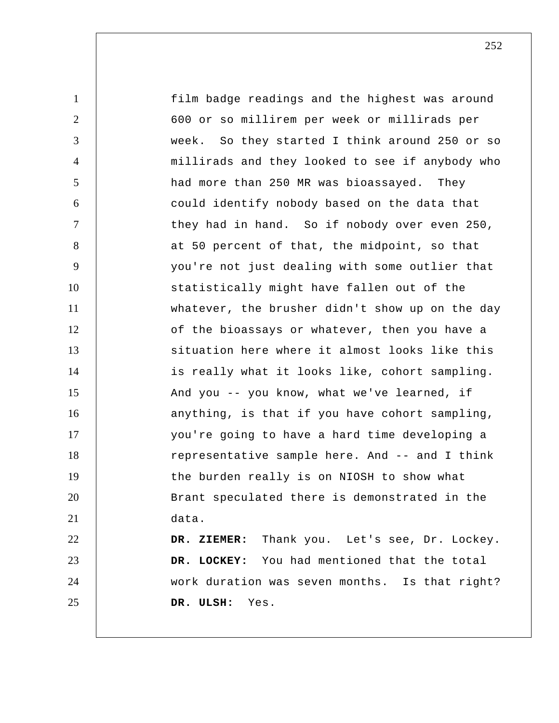| $\mathbf{1}$   | film badge readings and the highest was around  |
|----------------|-------------------------------------------------|
| $\overline{2}$ | 600 or so millirem per week or millirads per    |
| 3              | week. So they started I think around 250 or so  |
| 4              | millirads and they looked to see if anybody who |
| 5              | had more than 250 MR was bioassayed. They       |
| 6              | could identify nobody based on the data that    |
| $\overline{7}$ | they had in hand. So if nobody over even 250,   |
| 8              | at 50 percent of that, the midpoint, so that    |
| 9              | you're not just dealing with some outlier that  |
| 10             | statistically might have fallen out of the      |
| 11             | whatever, the brusher didn't show up on the day |
| 12             | of the bioassays or whatever, then you have a   |
| 13             | situation here where it almost looks like this  |
| 14             | is really what it looks like, cohort sampling.  |
| 15             | And you -- you know, what we've learned, if     |
| 16             | anything, is that if you have cohort sampling,  |
| 17             | you're going to have a hard time developing a   |
| 18             | representative sample here. And -- and I think  |
| 19             | the burden really is on NIOSH to show what      |
| 20             | Brant speculated there is demonstrated in the   |
| 21             | data.                                           |
| 22             | DR. ZIEMER: Thank you. Let's see, Dr. Lockey.   |
| 23             | DR. LOCKEY: You had mentioned that the total    |
| 24             | work duration was seven months. Is that right?  |
| 25             | DR. ULSH:<br>Yes.                               |
|                |                                                 |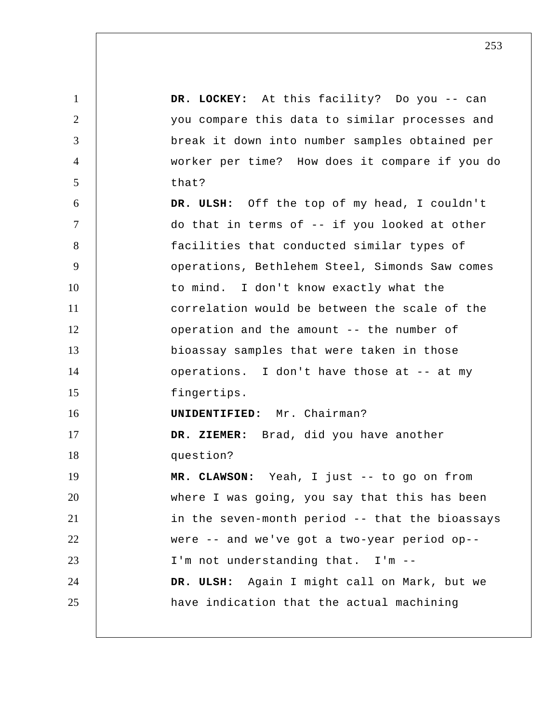1 2 3 4 5 6 7 8 9 10 11 12 13 14 15 16 17 18 19 20 21 22 23 24 25  **DR. LOCKEY:** At this facility? Do you -- can you compare this data to similar processes and break it down into number samples obtained per worker per time? How does it compare if you do that?  **DR. ULSH:** Off the top of my head, I couldn't do that in terms of -- if you looked at other facilities that conducted similar types of operations, Bethlehem Steel, Simonds Saw comes to mind. I don't know exactly what the correlation would be between the scale of the operation and the amount -- the number of bioassay samples that were taken in those operations. I don't have those at -- at my fingertips. **UNIDENTIFIED:** Mr. Chairman?  **DR. ZIEMER:** Brad, did you have another question?  **MR. CLAWSON:** Yeah, I just -- to go on from where I was going, you say that this has been in the seven-month period -- that the bioassays were -- and we've got a two-year period op-- I'm not understanding that. I'm -- **DR. ULSH:** Again I might call on Mark, but we have indication that the actual machining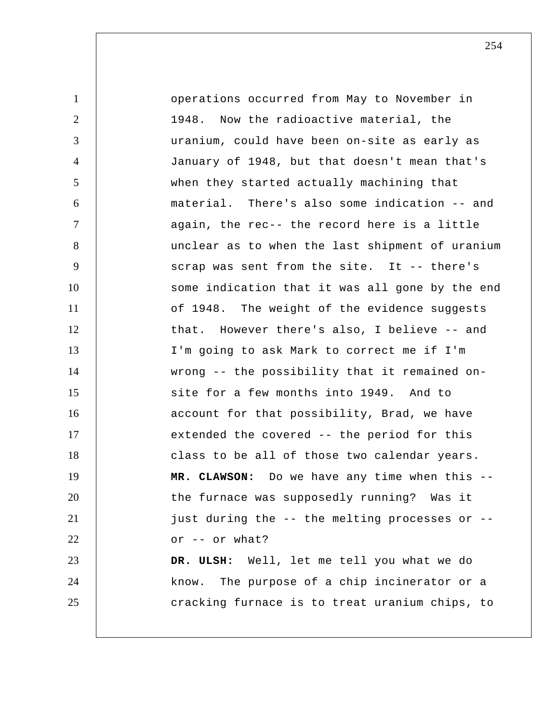| $\mathbf{1}$   | operations occurred from May to November in     |
|----------------|-------------------------------------------------|
| $\overline{2}$ | 1948. Now the radioactive material, the         |
| 3              | uranium, could have been on-site as early as    |
| $\overline{4}$ | January of 1948, but that doesn't mean that's   |
| 5              | when they started actually machining that       |
| 6              | material. There's also some indication -- and   |
| $\tau$         | again, the rec-- the record here is a little    |
| 8              | unclear as to when the last shipment of uranium |
| 9              | scrap was sent from the site. It -- there's     |
| 10             | some indication that it was all gone by the end |
| 11             | of 1948. The weight of the evidence suggests    |
| 12             | that. However there's also, I believe -- and    |
| 13             | I'm going to ask Mark to correct me if I'm      |
| 14             | wrong -- the possibility that it remained on-   |
| 15             | site for a few months into 1949. And to         |
| 16             | account for that possibility, Brad, we have     |
| 17             | extended the covered -- the period for this     |
| 18             | class to be all of those two calendar years.    |
| 19             | MR. CLAWSON: Do we have any time when this --   |
| 20             | the furnace was supposedly running? Was it      |
| 21             | just during the -- the melting processes or --  |
| 22             | or -- or what?                                  |
| 23             | DR. ULSH: Well, let me tell you what we do      |
| 24             | The purpose of a chip incinerator or a<br>know. |
| 25             | cracking furnace is to treat uranium chips, to  |
|                |                                                 |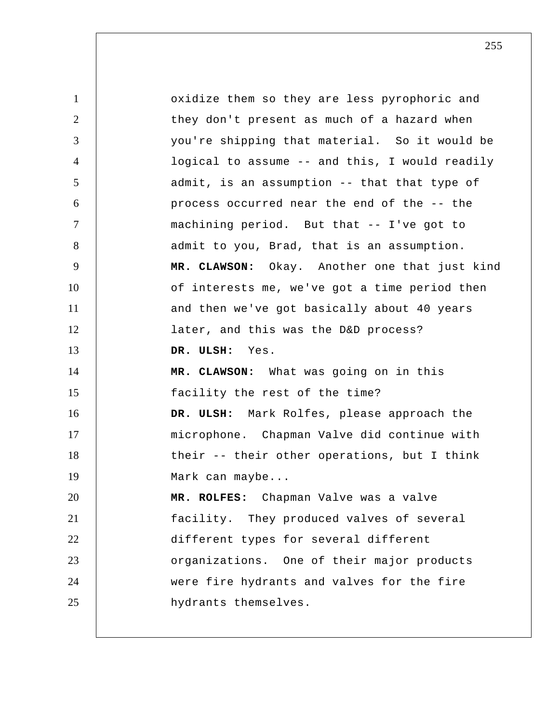1 2 3 4 5 6 7 8 9 10 11 12 13 14 15 16 17 18 19 20 21 22 23 24 25 oxidize them so they are less pyrophoric and they don't present as much of a hazard when you're shipping that material. So it would be logical to assume -- and this, I would readily admit, is an assumption -- that that type of process occurred near the end of the -- the machining period. But that -- I've got to admit to you, Brad, that is an assumption.  **MR. CLAWSON:** Okay. Another one that just kind of interests me, we've got a time period then and then we've got basically about 40 years later, and this was the D&D process?  **DR. ULSH:** Yes.  **MR. CLAWSON:** What was going on in this facility the rest of the time?  **DR. ULSH:** Mark Rolfes, please approach the microphone. Chapman Valve did continue with their -- their other operations, but I think Mark can maybe...  **MR. ROLFES:** Chapman Valve was a valve facility. They produced valves of several different types for several different organizations. One of their major products were fire hydrants and valves for the fire hydrants themselves.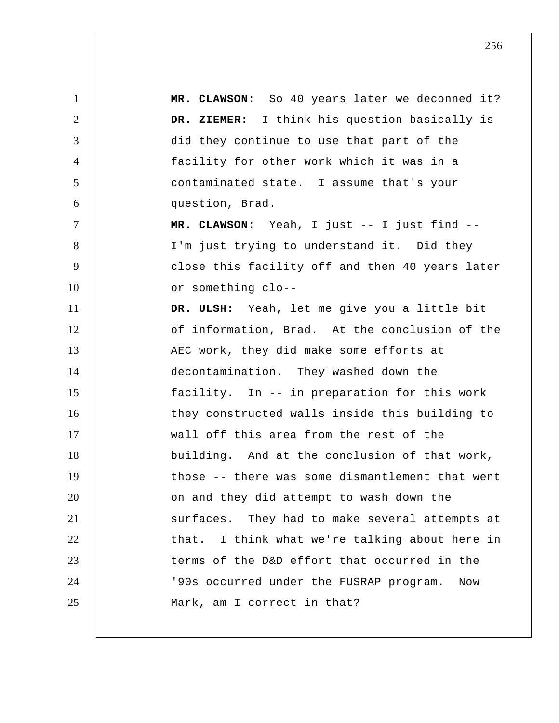1 2 3 4 5 6 7 8 9 10 11 12 13 14 15 16 17 18 19 20 21 22 23 24 25  **MR. CLAWSON:** So 40 years later we deconned it?  **DR. ZIEMER:** I think his question basically is did they continue to use that part of the facility for other work which it was in a contaminated state. I assume that's your question, Brad.  **MR. CLAWSON:** Yeah, I just -- I just find -- I'm just trying to understand it. Did they close this facility off and then 40 years later or something clo--  **DR. ULSH:** Yeah, let me give you a little bit of information, Brad. At the conclusion of the AEC work, they did make some efforts at decontamination. They washed down the facility. In -- in preparation for this work they constructed walls inside this building to wall off this area from the rest of the building. And at the conclusion of that work, those -- there was some dismantlement that went on and they did attempt to wash down the surfaces. They had to make several attempts at that. I think what we're talking about here in terms of the D&D effort that occurred in the '90s occurred under the FUSRAP program. Now Mark, am I correct in that?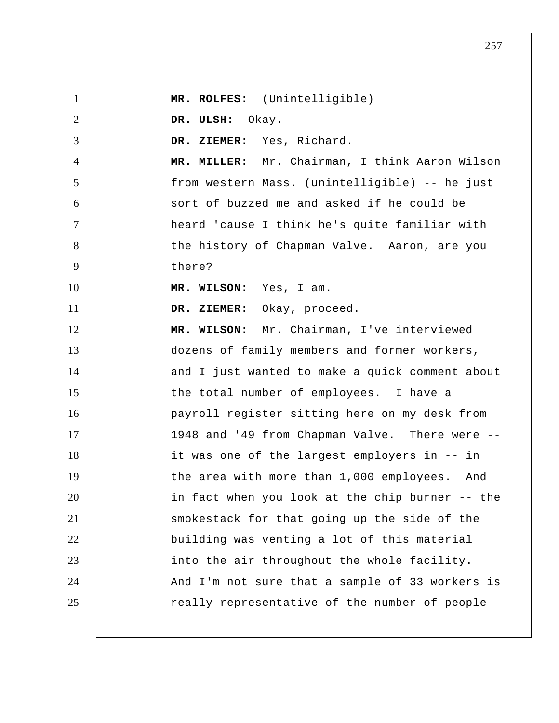1 2 3 4 5 6 7 8 9 10 11 12 13 14 15 16 17 18 19 20 21 22 23 24 25  **MR. ROLFES:** (Unintelligible)  **DR. ULSH:** Okay.  **DR. ZIEMER:** Yes, Richard.  **MR. MILLER:** Mr. Chairman, I think Aaron Wilson from western Mass. (unintelligible) -- he just sort of buzzed me and asked if he could be heard 'cause I think he's quite familiar with the history of Chapman Valve. Aaron, are you there?  **MR. WILSON:** Yes, I am.  **DR. ZIEMER:** Okay, proceed.  **MR. WILSON:** Mr. Chairman, I've interviewed dozens of family members and former workers, and I just wanted to make a quick comment about the total number of employees. I have a payroll register sitting here on my desk from 1948 and '49 from Chapman Valve. There were -it was one of the largest employers in -- in the area with more than 1,000 employees. And in fact when you look at the chip burner -- the smokestack for that going up the side of the building was venting a lot of this material into the air throughout the whole facility. And I'm not sure that a sample of 33 workers is really representative of the number of people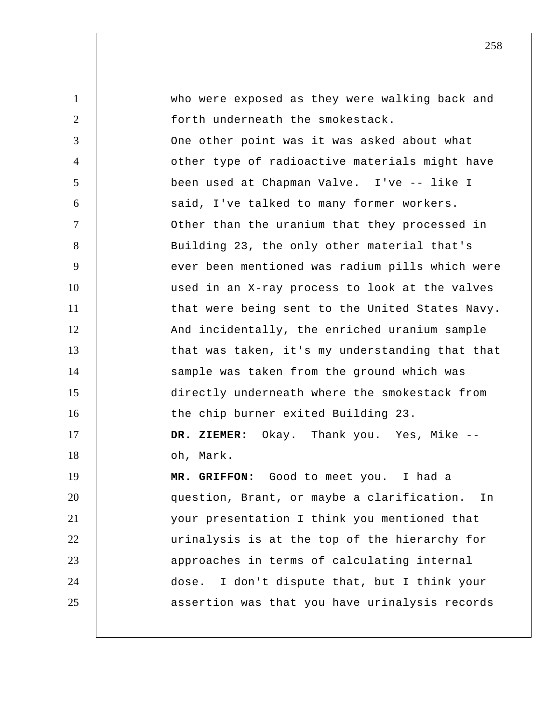| $\mathbf{1}$   | who were exposed as they were walking back and   |
|----------------|--------------------------------------------------|
| $\overline{2}$ | forth underneath the smokestack.                 |
| 3              | One other point was it was asked about what      |
| $\overline{4}$ | other type of radioactive materials might have   |
| 5              | been used at Chapman Valve. I've -- like I       |
| 6              | said, I've talked to many former workers.        |
| $\tau$         | Other than the uranium that they processed in    |
| 8              | Building 23, the only other material that's      |
| 9              | ever been mentioned was radium pills which were  |
| 10             | used in an X-ray process to look at the valves   |
| 11             | that were being sent to the United States Navy.  |
| 12             | And incidentally, the enriched uranium sample    |
| 13             | that was taken, it's my understanding that that  |
| 14             | sample was taken from the ground which was       |
| 15             | directly underneath where the smokestack from    |
| 16             | the chip burner exited Building 23.              |
| 17             | DR. ZIEMER: Okay. Thank you. Yes, Mike --        |
| 18             | oh, Mark.                                        |
| 19             | MR. GRIFFON: Good to meet you. I had a           |
| 20             | question, Brant, or maybe a clarification.<br>In |
| 21             | your presentation I think you mentioned that     |
| 22             | urinalysis is at the top of the hierarchy for    |
| 23             | approaches in terms of calculating internal      |
| 24             | I don't dispute that, but I think your<br>dose.  |
| 25             | assertion was that you have urinalysis records   |
|                |                                                  |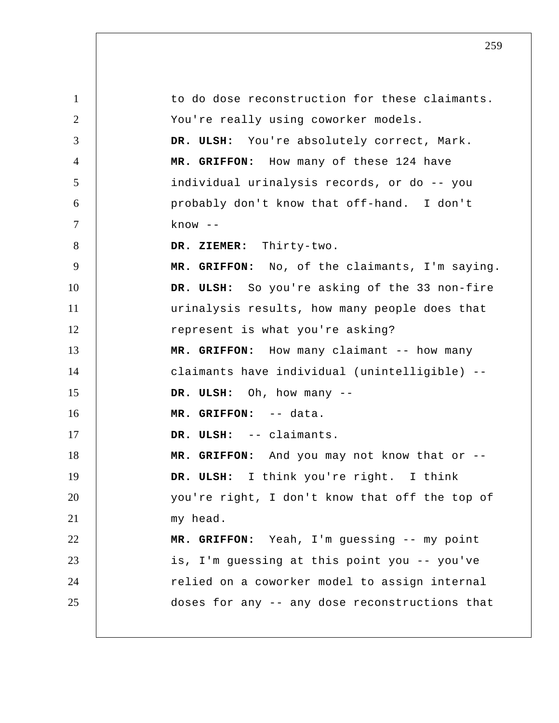1 2 3 4 5 6 7 8 9 10 11 12 13 14 15 16 17 18 19 20 21 22 23 24 25 to do dose reconstruction for these claimants. You're really using coworker models.  **DR. ULSH:** You're absolutely correct, Mark.  **MR. GRIFFON:** How many of these 124 have individual urinalysis records, or do -- you probably don't know that off-hand. I don't  $k$ now  $-$  **DR. ZIEMER:** Thirty-two.  **MR. GRIFFON:** No, of the claimants, I'm saying.  **DR. ULSH:** So you're asking of the 33 non-fire urinalysis results, how many people does that represent is what you're asking? MR. GRIFFON: How many claimant -- how many claimants have individual (unintelligible) --  **DR. ULSH:** Oh, how many -- **MR. GRIFFON:** -- data.  **DR. ULSH:** -- claimants.  **MR. GRIFFON:** And you may not know that or --  **DR. ULSH:** I think you're right. I think you're right, I don't know that off the top of my head.  **MR. GRIFFON:** Yeah, I'm guessing -- my point is, I'm guessing at this point you -- you've relied on a coworker model to assign internal doses for any -- any dose reconstructions that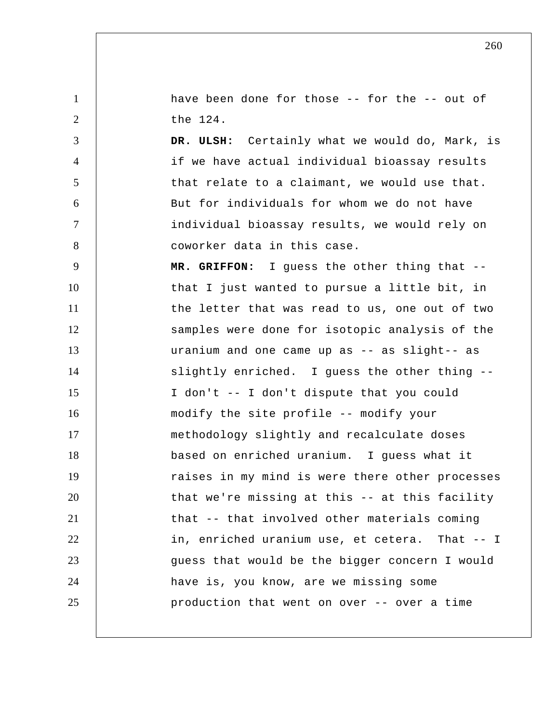have been done for those -- for the -- out of the 124.

1

2

3

4

5

6

7

8

 **DR. ULSH:** Certainly what we would do, Mark, is if we have actual individual bioassay results that relate to a claimant, we would use that. But for individuals for whom we do not have individual bioassay results, we would rely on coworker data in this case.

9 10 11 12 13 14 15 16 17 18 19 20 21 22 23 24 25  **MR. GRIFFON:** I guess the other thing that - that I just wanted to pursue a little bit, in the letter that was read to us, one out of two samples were done for isotopic analysis of the uranium and one came up as -- as slight-- as slightly enriched. I guess the other thing -- I don't -- I don't dispute that you could modify the site profile -- modify your methodology slightly and recalculate doses based on enriched uranium. I guess what it raises in my mind is were there other processes that we're missing at this -- at this facility that -- that involved other materials coming in, enriched uranium use, et cetera. That -- I guess that would be the bigger concern I would have is, you know, are we missing some production that went on over -- over a time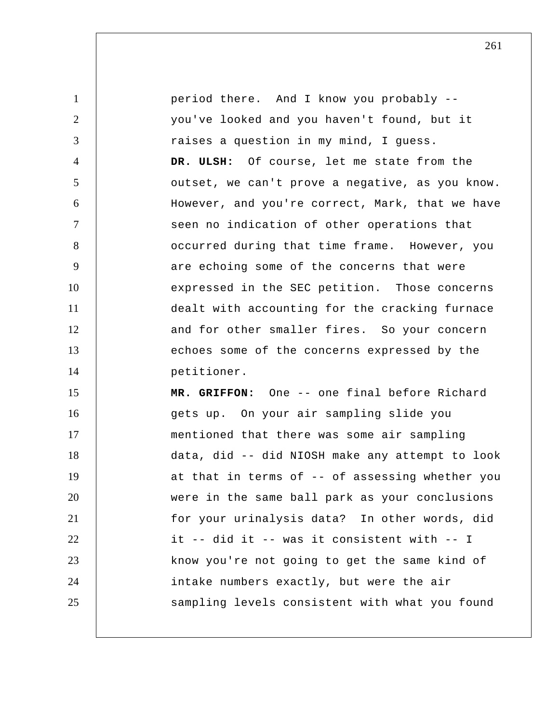1 2 3 4 5 6 7 8 9 10 11 12 13 14 15 16 17 18 19 20 21 22 23 24 25 period there. And I know you probably - you've looked and you haven't found, but it raises a question in my mind, I guess.  **DR. ULSH:** Of course, let me state from the outset, we can't prove a negative, as you know. However, and you're correct, Mark, that we have seen no indication of other operations that occurred during that time frame. However, you are echoing some of the concerns that were expressed in the SEC petition. Those concerns dealt with accounting for the cracking furnace and for other smaller fires. So your concern echoes some of the concerns expressed by the petitioner.  **MR. GRIFFON:** One -- one final before Richard gets up. On your air sampling slide you mentioned that there was some air sampling data, did -- did NIOSH make any attempt to look at that in terms of -- of assessing whether you were in the same ball park as your conclusions for your urinalysis data? In other words, did it -- did it -- was it consistent with -- I know you're not going to get the same kind of intake numbers exactly, but were the air sampling levels consistent with what you found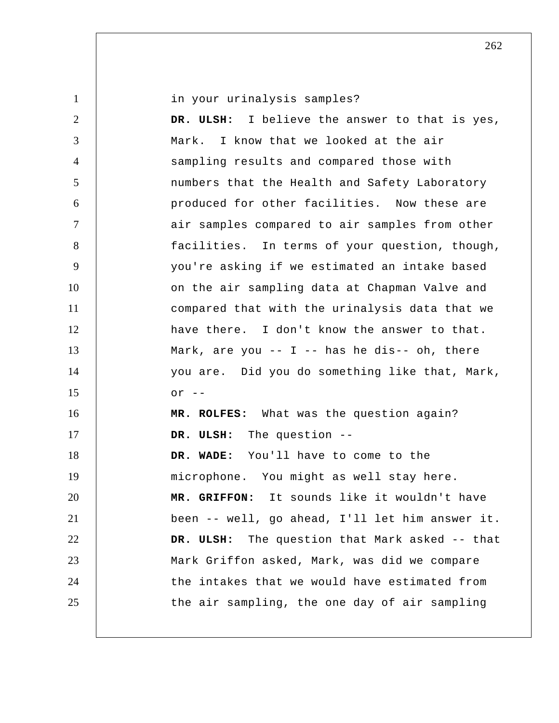| $\mathbf{1}$   | in your urinalysis samples?                     |
|----------------|-------------------------------------------------|
| $\overline{2}$ | DR. ULSH: I believe the answer to that is yes,  |
| 3              | Mark. I know that we looked at the air          |
| $\overline{4}$ | sampling results and compared those with        |
| 5              | numbers that the Health and Safety Laboratory   |
| 6              | produced for other facilities. Now these are    |
| $\overline{7}$ | air samples compared to air samples from other  |
| 8              | facilities. In terms of your question, though,  |
| 9              | you're asking if we estimated an intake based   |
| 10             | on the air sampling data at Chapman Valve and   |
| 11             | compared that with the urinalysis data that we  |
| 12             | have there. I don't know the answer to that.    |
| 13             | Mark, are you -- $I$ -- has he dis-- oh, there  |
| 14             | you are. Did you do something like that, Mark,  |
| 15             | $or$ $--$                                       |
| 16             | MR. ROLFES: What was the question again?        |
| 17             | DR. ULSH: The question --                       |
| 18             | DR. WADE: You'll have to come to the            |
| 19             | microphone. You might as well stay here.        |
| 20             | MR. GRIFFON: It sounds like it wouldn't have    |
| 21             | been -- well, go ahead, I'll let him answer it. |
| 22             | DR. ULSH: The question that Mark asked -- that  |
| 23             | Mark Griffon asked, Mark, was did we compare    |
| 24             | the intakes that we would have estimated from   |
| 25             | the air sampling, the one day of air sampling   |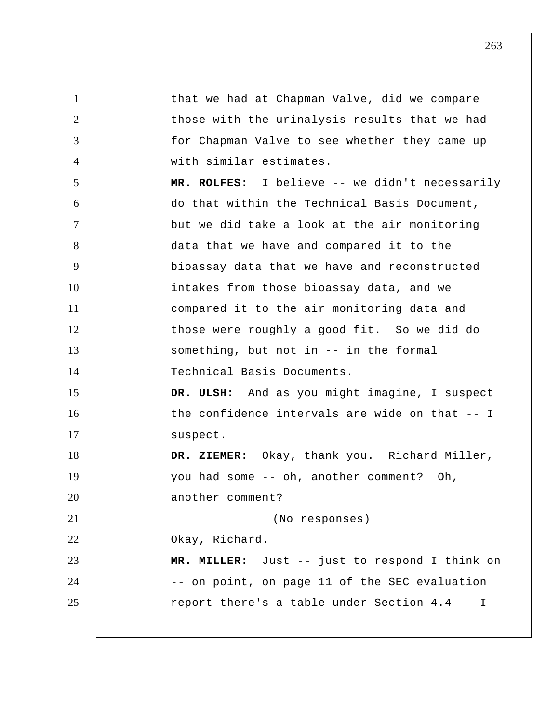1 2 3 4 5 6 7 8 9 10 11 12 13 14 15 16 17 18 19 20 21 22 23 24 25 that we had at Chapman Valve, did we compare those with the urinalysis results that we had for Chapman Valve to see whether they came up with similar estimates.  **MR. ROLFES:** I believe -- we didn't necessarily do that within the Technical Basis Document, but we did take a look at the air monitoring data that we have and compared it to the bioassay data that we have and reconstructed intakes from those bioassay data, and we compared it to the air monitoring data and those were roughly a good fit. So we did do something, but not in -- in the formal Technical Basis Documents.  **DR. ULSH:** And as you might imagine, I suspect the confidence intervals are wide on that -- I suspect.  **DR. ZIEMER:** Okay, thank you. Richard Miller, you had some -- oh, another comment? Oh, another comment? (No responses) Okay, Richard.  **MR. MILLER:** Just -- just to respond I think on -- on point, on page 11 of the SEC evaluation report there's a table under Section 4.4 -- I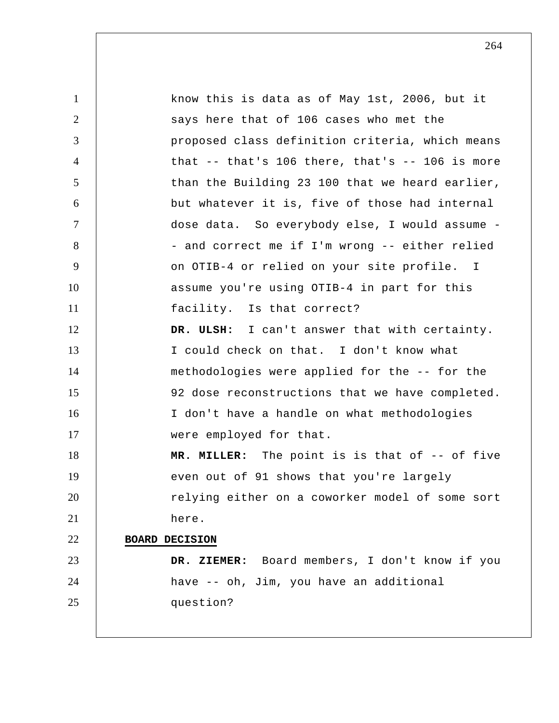1 2 3 4 5 6 7 8 9 10 11 12 13 14 15 16 17 18 19 20 21 22 23 24 25 know this is data as of May 1st, 2006, but it says here that of 106 cases who met the proposed class definition criteria, which means that  $-$ - that's 106 there, that's  $-$ - 106 is more than the Building 23 100 that we heard earlier, but whatever it is, five of those had internal dose data. So everybody else, I would assume - and correct me if I'm wrong -- either relied on OTIB-4 or relied on your site profile. I assume you're using OTIB-4 in part for this facility. Is that correct?  **DR. ULSH:** I can't answer that with certainty. I could check on that. I don't know what methodologies were applied for the -- for the 92 dose reconstructions that we have completed. I don't have a handle on what methodologies were employed for that.  **MR. MILLER:** The point is is that of -- of five even out of 91 shows that you're largely relying either on a coworker model of some sort here. **BOARD DECISION DR. ZIEMER:** Board members, I don't know if you have -- oh, Jim, you have an additional question?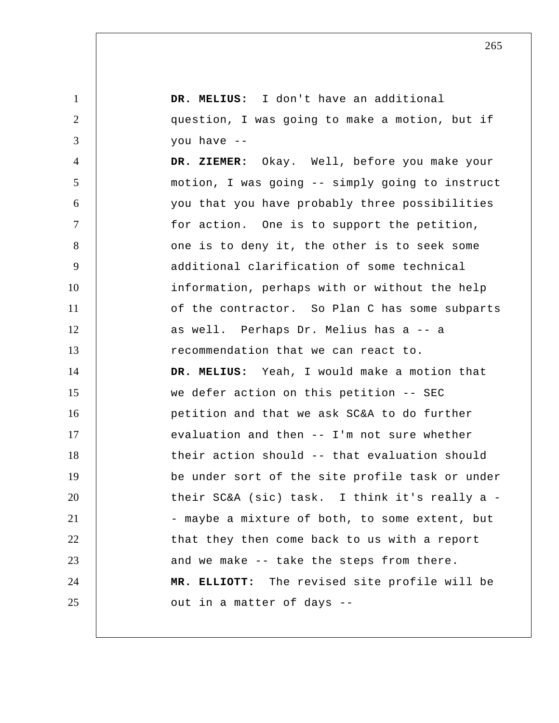| $\mathbf{1}$   | DR. MELIUS: I don't have an additional          |
|----------------|-------------------------------------------------|
| $\overline{2}$ | question, I was going to make a motion, but if  |
| 3              | you have --                                     |
| 4              | DR. ZIEMER: Okay. Well, before you make your    |
| 5              | motion, I was going -- simply going to instruct |
| 6              | you that you have probably three possibilities  |
| $\tau$         | for action. One is to support the petition,     |
| 8              | one is to deny it, the other is to seek some    |
| 9              | additional clarification of some technical      |
| 10             | information, perhaps with or without the help   |
| 11             | of the contractor. So Plan C has some subparts  |
| 12             | as well. Perhaps Dr. Melius has a -- a          |
| 13             | recommendation that we can react to.            |
| 14             | DR. MELIUS: Yeah, I would make a motion that    |
| 15             | we defer action on this petition -- SEC         |
| 16             | petition and that we ask SC&A to do further     |
| 17             | evaluation and then -- I'm not sure whether     |
| 18             | their action should -- that evaluation should   |
| 19             | be under sort of the site profile task or under |
| 20             | their SC&A (sic) task. I think it's really a -  |
| 21             | - maybe a mixture of both, to some extent, but  |
| 22             | that they then come back to us with a report    |
| 23             | and we make -- take the steps from there.       |
| 24             | MR. ELLIOTT: The revised site profile will be   |
| 25             | out in a matter of days --                      |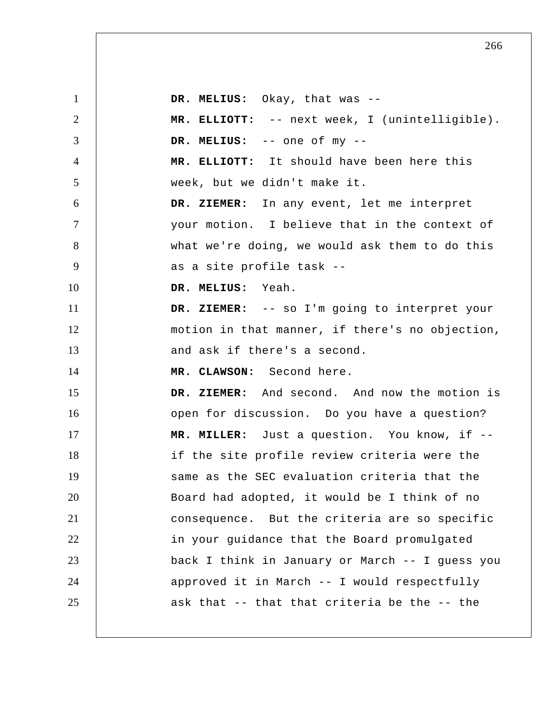1 2 3 4 5 6 7 8 9 10 11 12 13 14 15 16 17 18 19 20 21 22 23 24 25  **DR. MELIUS:** Okay, that was -- **MR. ELLIOTT:** -- next week, I (unintelligible).  **DR. MELIUS:** -- one of my --  **MR. ELLIOTT:** It should have been here this week, but we didn't make it.  **DR. ZIEMER:** In any event, let me interpret your motion. I believe that in the context of what we're doing, we would ask them to do this as a site profile task -- **DR. MELIUS:** Yeah.  **DR. ZIEMER:** -- so I'm going to interpret your motion in that manner, if there's no objection, and ask if there's a second.  **MR. CLAWSON:** Second here.  **DR. ZIEMER:** And second. And now the motion is open for discussion. Do you have a question?  **MR. MILLER:** Just a question. You know, if -if the site profile review criteria were the same as the SEC evaluation criteria that the Board had adopted, it would be I think of no consequence. But the criteria are so specific in your guidance that the Board promulgated back I think in January or March -- I guess you approved it in March -- I would respectfully ask that -- that that criteria be the -- the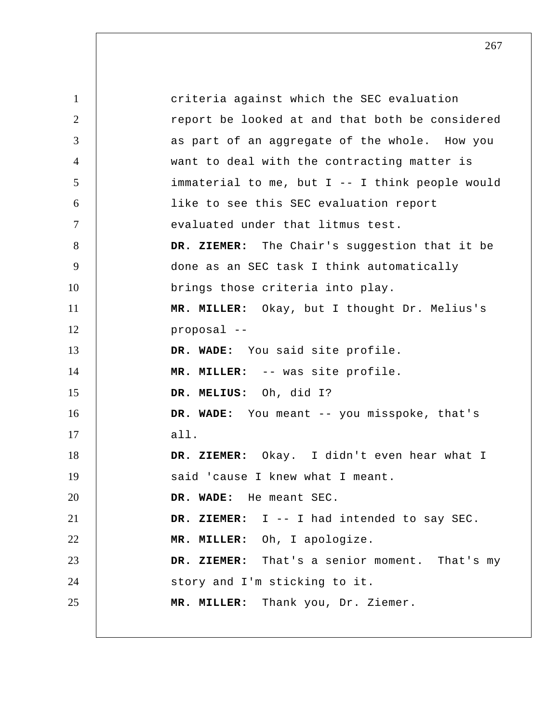1 2 3 4 5 6 7 8 9 10 11 12 13 14 15 16 17 18 19 20 21 22 23 24 25 criteria against which the SEC evaluation report be looked at and that both be considered as part of an aggregate of the whole. How you want to deal with the contracting matter is immaterial to me, but I -- I think people would like to see this SEC evaluation report evaluated under that litmus test.  **DR. ZIEMER:** The Chair's suggestion that it be done as an SEC task I think automatically brings those criteria into play.  **MR. MILLER:** Okay, but I thought Dr. Melius's proposal -- **DR. WADE:** You said site profile.  **MR. MILLER:** -- was site profile.  **DR. MELIUS:** Oh, did I?  **DR. WADE:** You meant -- you misspoke, that's all.  **DR. ZIEMER:** Okay. I didn't even hear what I said 'cause I knew what I meant.  **DR. WADE:** He meant SEC.  **DR. ZIEMER:** I -- I had intended to say SEC.  **MR. MILLER:** Oh, I apologize.  **DR. ZIEMER:** That's a senior moment. That's my story and I'm sticking to it.  **MR. MILLER:** Thank you, Dr. Ziemer.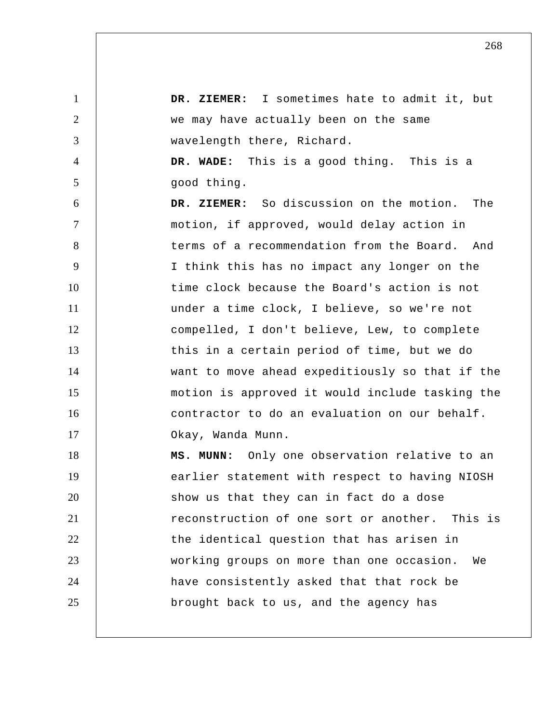1 2 3 4 5 6 7 8 9 10 11 12 13 14 15 16 17 18 19 20 21 22 23 24 25  **DR. ZIEMER:** I sometimes hate to admit it, but we may have actually been on the same wavelength there, Richard.  **DR. WADE:** This is a good thing. This is a good thing.  **DR. ZIEMER:** So discussion on the motion. The motion, if approved, would delay action in terms of a recommendation from the Board. And I think this has no impact any longer on the time clock because the Board's action is not under a time clock, I believe, so we're not compelled, I don't believe, Lew, to complete this in a certain period of time, but we do want to move ahead expeditiously so that if the motion is approved it would include tasking the contractor to do an evaluation on our behalf. Okay, Wanda Munn.  **MS. MUNN:** Only one observation relative to an earlier statement with respect to having NIOSH show us that they can in fact do a dose reconstruction of one sort or another. This is the identical question that has arisen in working groups on more than one occasion. We have consistently asked that that rock be brought back to us, and the agency has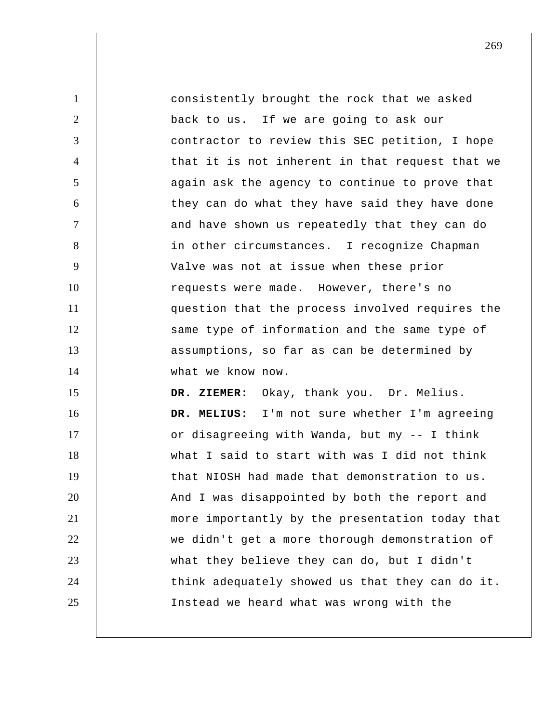1 2 3 4 5 6 7 8 9 10 11 12 13 14 15 16 17 18 19 20 21 22 23 24 25 consistently brought the rock that we asked back to us. If we are going to ask our contractor to review this SEC petition, I hope that it is not inherent in that request that we again ask the agency to continue to prove that they can do what they have said they have done and have shown us repeatedly that they can do in other circumstances. I recognize Chapman Valve was not at issue when these prior requests were made. However, there's no question that the process involved requires the same type of information and the same type of assumptions, so far as can be determined by what we know now.  **DR. ZIEMER:** Okay, thank you. Dr. Melius.  **DR. MELIUS:** I'm not sure whether I'm agreeing or disagreeing with Wanda, but my -- I think what I said to start with was I did not think that NIOSH had made that demonstration to us. And I was disappointed by both the report and more importantly by the presentation today that we didn't get a more thorough demonstration of what they believe they can do, but I didn't think adequately showed us that they can do it. Instead we heard what was wrong with the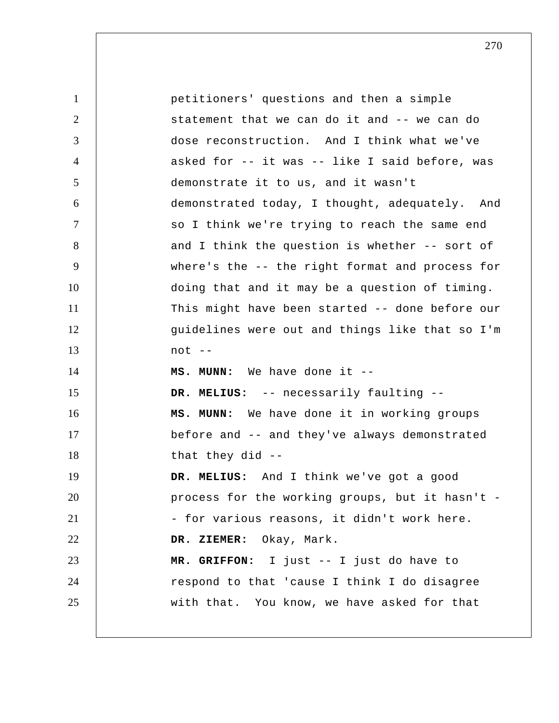| $\mathbf{1}$   | petitioners' questions and then a simple        |
|----------------|-------------------------------------------------|
| 2              | statement that we can do it and -- we can do    |
| 3              | dose reconstruction. And I think what we've     |
| $\overline{4}$ | asked for -- it was -- like I said before, was  |
| 5              | demonstrate it to us, and it wasn't             |
| 6              | demonstrated today, I thought, adequately. And  |
| $\overline{7}$ | so I think we're trying to reach the same end   |
| 8              | and I think the question is whether -- sort of  |
| 9              | where's the -- the right format and process for |
| 10             | doing that and it may be a question of timing.  |
| 11             | This might have been started -- done before our |
| 12             | guidelines were out and things like that so I'm |
| 13             | $not --$                                        |
| 14             | MS. MUNN: We have done it --                    |
| 15             | DR. MELIUS: -- necessarily faulting --          |
| 16             | MS. MUNN: We have done it in working groups     |
| 17             | before and -- and they've always demonstrated   |
| 18             | that they did $-$                               |
| 19             | DR. MELIUS: And I think we've got a good        |
| 20             | process for the working groups, but it hasn't - |
| 21             | - for various reasons, it didn't work here.     |
| 22             | DR. ZIEMER: Okay, Mark.                         |
| 23             | MR. GRIFFON: I just -- I just do have to        |
| 24             | respond to that 'cause I think I do disagree    |
| 25             | with that. You know, we have asked for that     |
|                |                                                 |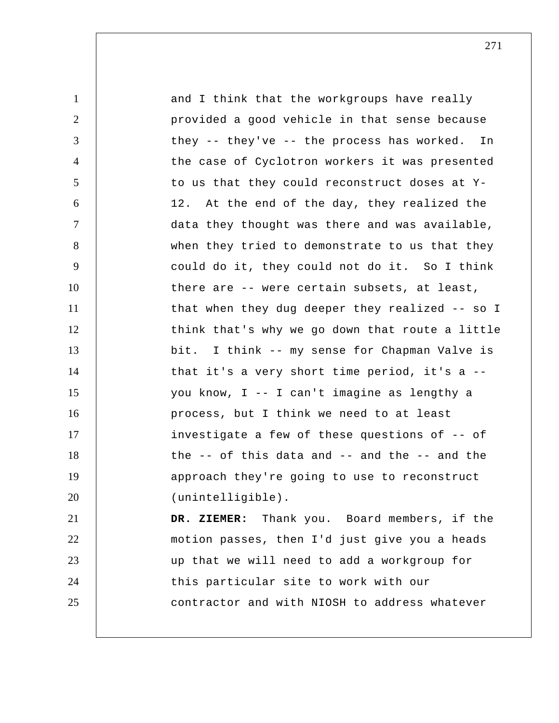| $\mathbf{1}$   | and I think that the workgroups have really            |
|----------------|--------------------------------------------------------|
| 2              | provided a good vehicle in that sense because          |
| 3              | they -- they've -- the process has worked. In          |
| $\overline{4}$ | the case of Cyclotron workers it was presented         |
| 5              | to us that they could reconstruct doses at Y-          |
| 6              | 12. At the end of the day, they realized the           |
| $\tau$         | data they thought was there and was available,         |
| 8              | when they tried to demonstrate to us that they         |
| 9              | could do it, they could not do it. So I think          |
| 10             | there are -- were certain subsets, at least,           |
| 11             | that when they dug deeper they realized -- so I        |
| 12             | think that's why we go down that route a little        |
| 13             | bit. I think -- my sense for Chapman Valve is          |
| 14             | that it's a very short time period, it's a --          |
| 15             | you know, I -- I can't imagine as lengthy a            |
| 16             | process, but I think we need to at least               |
| 17             | investigate a few of these questions of -- of          |
| 18             | the $-$ - of this data and $-$ - and the $-$ - and the |
| 19             | approach they're going to use to reconstruct           |
| 20             | (unintelligible).                                      |
| 21             | DR. ZIEMER: Thank you. Board members, if the           |
| 22             | motion passes, then I'd just give you a heads          |
| 23             | up that we will need to add a workgroup for            |
| 24             | this particular site to work with our                  |
| 25             | contractor and with NIOSH to address whatever          |
|                |                                                        |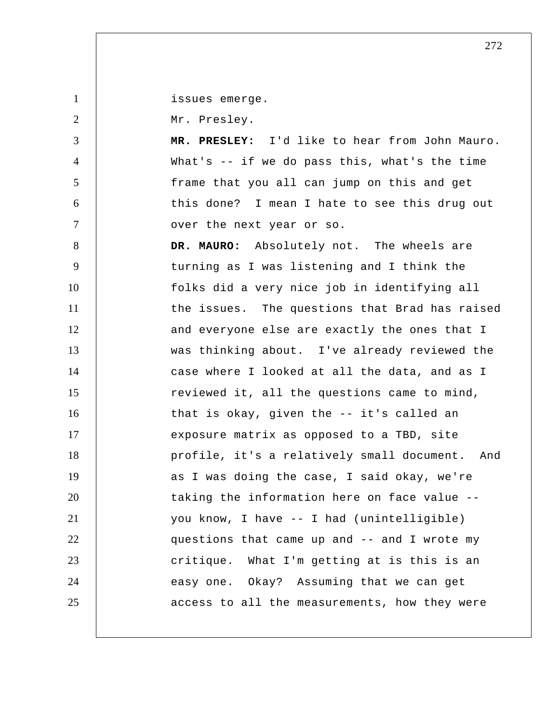issues emerge.

Mr. Presley.

1

2

3

4

5

6

7

 **MR. PRESLEY:** I'd like to hear from John Mauro. What's -- if we do pass this, what's the time frame that you all can jump on this and get this done? I mean I hate to see this drug out over the next year or so.

8 9 10 11 12 13 14 15 16 17 18 19 20 21 22 23 24 25 **DR. MAURO:** Absolutely not. The wheels are turning as I was listening and I think the folks did a very nice job in identifying all the issues. The questions that Brad has raised and everyone else are exactly the ones that I was thinking about. I've already reviewed the case where I looked at all the data, and as I reviewed it, all the questions came to mind, that is okay, given the -- it's called an exposure matrix as opposed to a TBD, site profile, it's a relatively small document. And as I was doing the case, I said okay, we're taking the information here on face value - you know, I have -- I had (unintelligible) questions that came up and -- and I wrote my critique. What I'm getting at is this is an easy one. Okay? Assuming that we can get access to all the measurements, how they were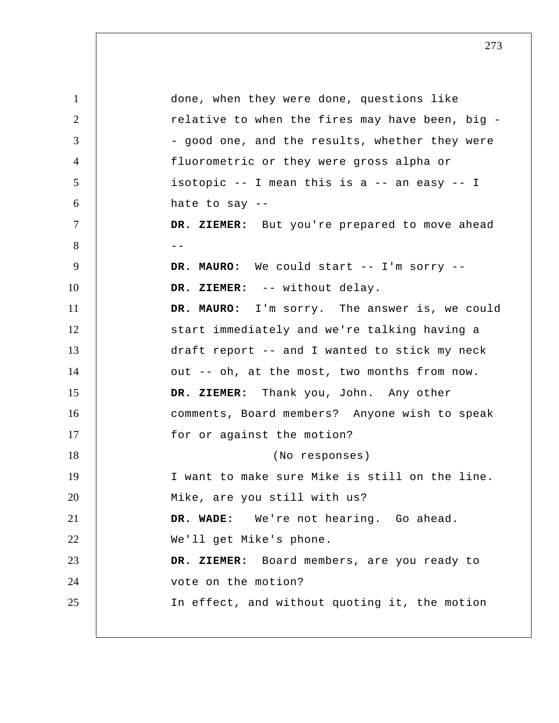1 2 3 4 5 6 7 8 --9 10 11 12 13 14 15 16 17 18 19 20 21 22 23 24 25 done, when they were done, questions like relative to when the fires may have been, big - good one, and the results, whether they were fluorometric or they were gross alpha or isotopic -- I mean this is a -- an easy -- I hate to say -- DR. ZIEMER: But you're prepared to move ahead **DR. MAURO:** We could start -- I'm sorry --  **DR. ZIEMER:** -- without delay. **DR. MAURO:** I'm sorry. The answer is, we could start immediately and we're talking having a draft report -- and I wanted to stick my neck out -- oh, at the most, two months from now.  **DR. ZIEMER:** Thank you, John. Any other comments, Board members? Anyone wish to speak for or against the motion? (No responses) I want to make sure Mike is still on the line. Mike, are you still with us?  **DR. WADE:** We're not hearing. Go ahead. We'll get Mike's phone.  **DR. ZIEMER:** Board members, are you ready to vote on the motion? In effect, and without quoting it, the motion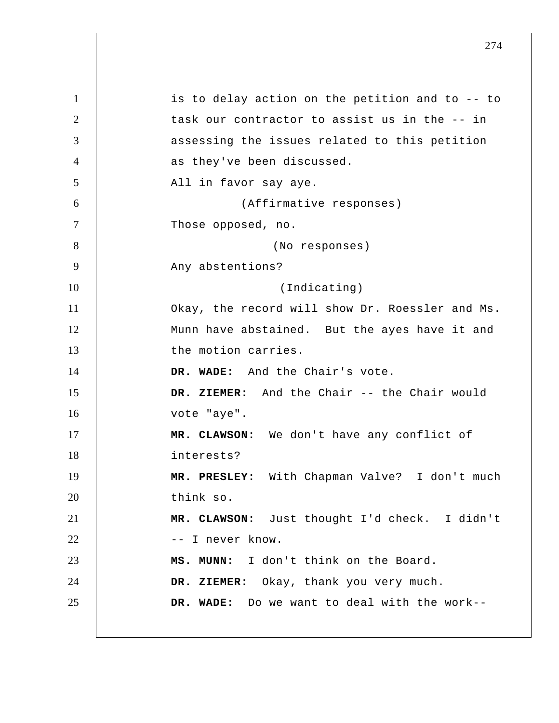1 2 3 4 5 6 7 8 9 10 11 12 13 14 15 16 17 18 19 20 21 22 23 24 25 is to delay action on the petition and to -- to task our contractor to assist us in the -- in assessing the issues related to this petition as they've been discussed. All in favor say aye. (Affirmative responses) Those opposed, no. (No responses) Any abstentions? (Indicating) Okay, the record will show Dr. Roessler and Ms. Munn have abstained. But the ayes have it and the motion carries.  **DR. WADE:** And the Chair's vote.  **DR. ZIEMER:** And the Chair -- the Chair would vote "aye".  **MR. CLAWSON:** We don't have any conflict of interests?  **MR. PRESLEY:** With Chapman Valve? I don't much think so.  **MR. CLAWSON:** Just thought I'd check. I didn't -- I never know.  **MS. MUNN:** I don't think on the Board.  **DR. ZIEMER:** Okay, thank you very much.  **DR. WADE:** Do we want to deal with the work--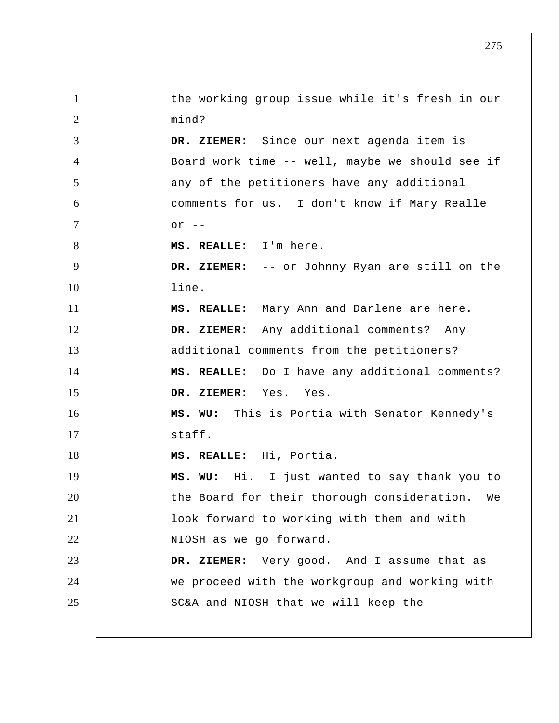1 2 3 4 5 6 7 8 9 10 11 12 13 14 15 16 17 18 19 20 21 22 23 24 25 the working group issue while it's fresh in our mind?  **DR. ZIEMER:** Since our next agenda item is Board work time -- well, maybe we should see if any of the petitioners have any additional comments for us. I don't know if Mary Realle  $\alpha r$  -- **MS. REALLE:** I'm here.  **DR. ZIEMER:** -- or Johnny Ryan are still on the line.  **MS. REALLE:** Mary Ann and Darlene are here.  **DR. ZIEMER:** Any additional comments? Any additional comments from the petitioners?  **MS. REALLE:** Do I have any additional comments?  **DR. ZIEMER:** Yes. Yes.  **MS. WU:** This is Portia with Senator Kennedy's staff.  **MS. REALLE:** Hi, Portia.  **MS. WU:** Hi. I just wanted to say thank you to the Board for their thorough consideration. We look forward to working with them and with NIOSH as we go forward.  **DR. ZIEMER:** Very good. And I assume that as we proceed with the workgroup and working with SC&A and NIOSH that we will keep the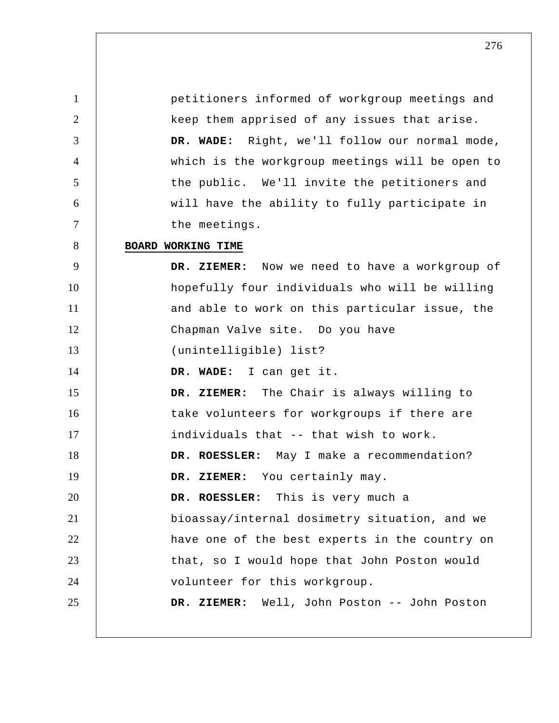1 2 3 4 5 6 7 8 9 10 11 12 13 14 15 16 17 18 19 20 21 22 23 24 25 petitioners informed of workgroup meetings and keep them apprised of any issues that arise.  **DR. WADE:** Right, we'll follow our normal mode, which is the workgroup meetings will be open to the public. We'll invite the petitioners and will have the ability to fully participate in the meetings. **BOARD WORKING TIME DR. ZIEMER:** Now we need to have a workgroup of hopefully four individuals who will be willing and able to work on this particular issue, the Chapman Valve site. Do you have (unintelligible) list?  **DR. WADE:** I can get it.  **DR. ZIEMER:** The Chair is always willing to take volunteers for workgroups if there are individuals that -- that wish to work. **DR. ROESSLER:** May I make a recommendation?  **DR. ZIEMER:** You certainly may. **DR. ROESSLER:** This is very much a bioassay/internal dosimetry situation, and we have one of the best experts in the country on that, so I would hope that John Poston would volunteer for this workgroup.  **DR. ZIEMER:** Well, John Poston -- John Poston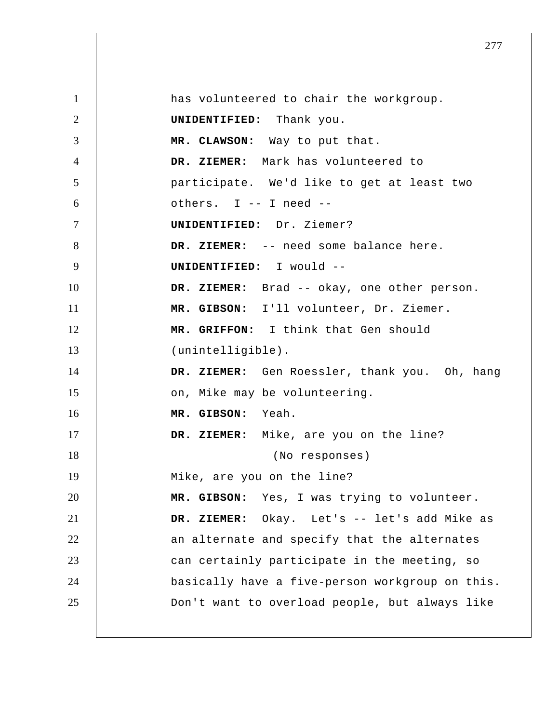1 2 3 4 5 6 7 8 9 10 11 12 13 14 15 16 17 18 19 20 21 22 23 24 25 has volunteered to chair the workgroup. **UNIDENTIFIED:** Thank you.  **MR. CLAWSON:** Way to put that.  **DR. ZIEMER:** Mark has volunteered to participate. We'd like to get at least two others. I -- I need -- **UNIDENTIFIED:** Dr. Ziemer?  **DR. ZIEMER:** -- need some balance here. **UNIDENTIFIED:** I would --  **DR. ZIEMER:** Brad -- okay, one other person.  **MR. GIBSON:** I'll volunteer, Dr. Ziemer.  **MR. GRIFFON:** I think that Gen should (unintelligible).  **DR. ZIEMER:** Gen Roessler, thank you. Oh, hang on, Mike may be volunteering.  **MR. GIBSON:** Yeah.  **DR. ZIEMER:** Mike, are you on the line? (No responses) Mike, are you on the line?  **MR. GIBSON:** Yes, I was trying to volunteer.  **DR. ZIEMER:** Okay. Let's -- let's add Mike as an alternate and specify that the alternates can certainly participate in the meeting, so basically have a five-person workgroup on this. Don't want to overload people, but always like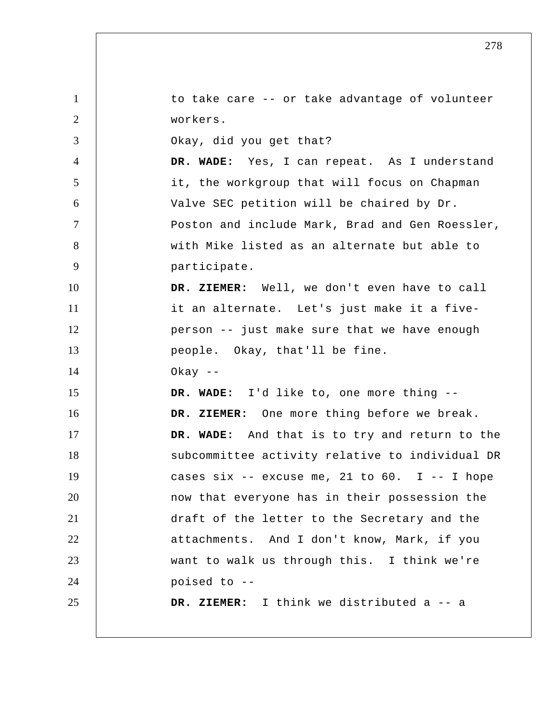1 2 3 4 5 6 7 8 9 10 11 12 13 14 15 16 17 18 19 20 21 22 23 24 25 to take care -- or take advantage of volunteer workers. Okay, did you get that?  **DR. WADE:** Yes, I can repeat. As I understand it, the workgroup that will focus on Chapman Valve SEC petition will be chaired by Dr. Poston and include Mark, Brad and Gen Roessler, with Mike listed as an alternate but able to participate.  **DR. ZIEMER:** Well, we don't even have to call it an alternate. Let's just make it a five person -- just make sure that we have enough people. Okay, that'll be fine. Okay --  **DR. WADE:** I'd like to, one more thing --  **DR. ZIEMER:** One more thing before we break.  **DR. WADE:** And that is to try and return to the subcommittee activity relative to individual DR cases six  $-$ - excuse me, 21 to 60. I  $-$ - I hope now that everyone has in their possession the draft of the letter to the Secretary and the attachments. And I don't know, Mark, if you want to walk us through this. I think we're poised to -- **DR. ZIEMER:** I think we distributed a -- a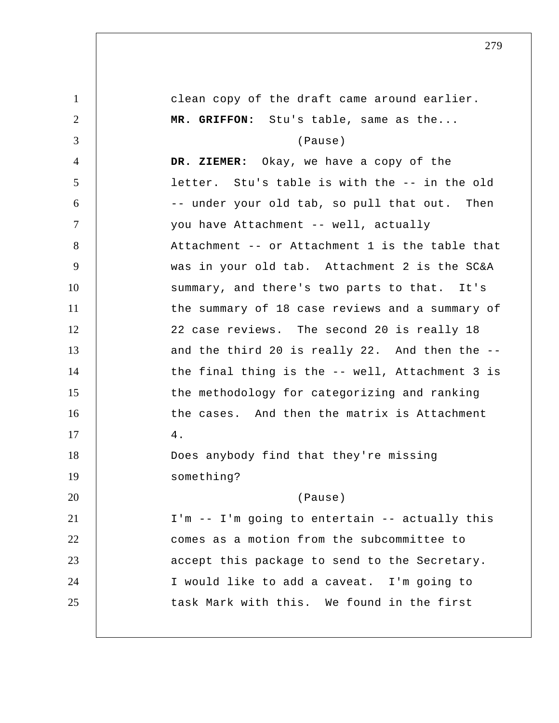1 2 3 4 5 6 7 8 9 10 11 12 13 14 15 16 17 18 19 20 21 22 23 24 25 clean copy of the draft came around earlier.  **MR. GRIFFON:** Stu's table, same as the... (Pause)  **DR. ZIEMER:** Okay, we have a copy of the letter. Stu's table is with the -- in the old -- under your old tab, so pull that out. Then you have Attachment -- well, actually Attachment -- or Attachment 1 is the table that was in your old tab. Attachment 2 is the SC&A summary, and there's two parts to that. It's the summary of 18 case reviews and a summary of 22 case reviews. The second 20 is really 18 and the third 20 is really 22. And then the -the final thing is the -- well, Attachment 3 is the methodology for categorizing and ranking the cases. And then the matrix is Attachment 4. Does anybody find that they're missing something? (Pause) I'm -- I'm going to entertain -- actually this comes as a motion from the subcommittee to accept this package to send to the Secretary. I would like to add a caveat. I'm going to task Mark with this. We found in the first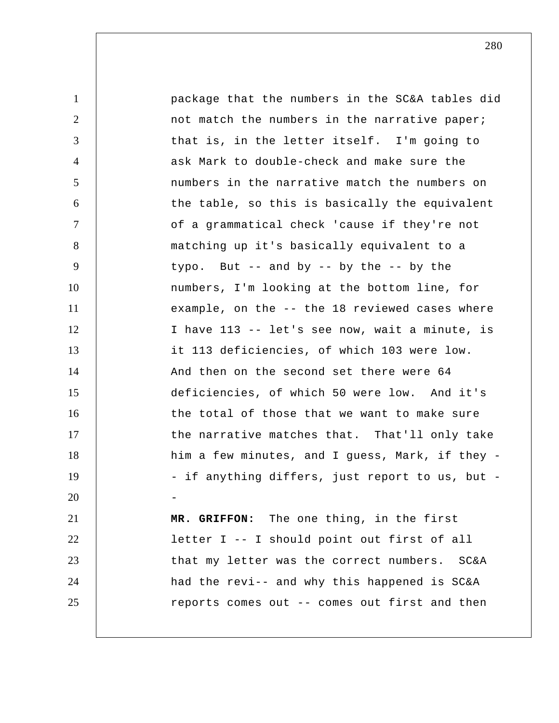1 2 3 4 5 6 7 8 9 10 11 12 13 14 15 16 17 18 19 20 21 22 23 24 25 package that the numbers in the SC&A tables did not match the numbers in the narrative paper; that is, in the letter itself. I'm going to ask Mark to double-check and make sure the numbers in the narrative match the numbers on the table, so this is basically the equivalent of a grammatical check 'cause if they're not matching up it's basically equivalent to a typo. But  $-$  and by  $-$  by the  $-$  by the numbers, I'm looking at the bottom line, for example, on the -- the 18 reviewed cases where I have 113 -- let's see now, wait a minute, is it 113 deficiencies, of which 103 were low. And then on the second set there were 64 deficiencies, of which 50 were low. And it's the total of those that we want to make sure the narrative matches that. That'll only take him a few minutes, and I guess, Mark, if they - if anything differs, just report to us, but - **MR. GRIFFON:** The one thing, in the first letter I -- I should point out first of all that my letter was the correct numbers. SC&A had the revi-- and why this happened is SC&A reports comes out -- comes out first and then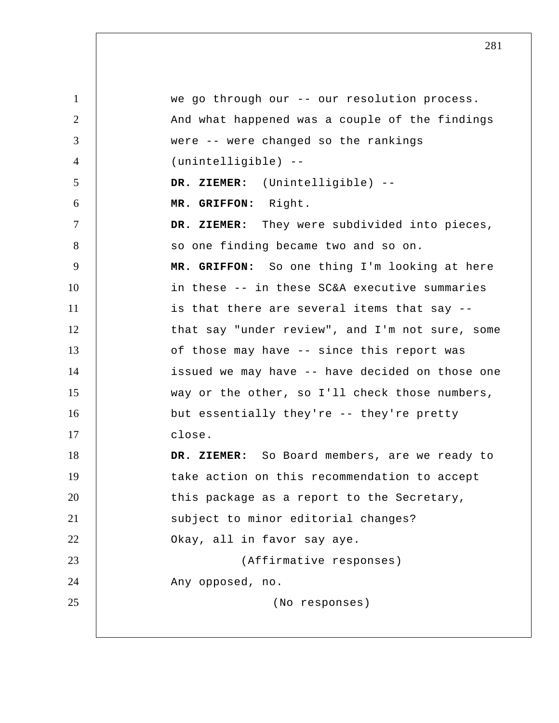1 2 3 4 5 6 7 8 9 10 11 12 13 14 15 16 17 18 19 20 21 22 23 24 25 we go through our -- our resolution process. And what happened was a couple of the findings were -- were changed so the rankings (unintelligible) --  **DR. ZIEMER:** (Unintelligible) -- **MR. GRIFFON:** Right.  **DR. ZIEMER:** They were subdivided into pieces, so one finding became two and so on.  **MR. GRIFFON:** So one thing I'm looking at here in these -- in these SC&A executive summaries is that there are several items that say - that say "under review", and I'm not sure, some of those may have -- since this report was issued we may have -- have decided on those one way or the other, so I'll check those numbers, but essentially they're -- they're pretty close.  **DR. ZIEMER:** So Board members, are we ready to take action on this recommendation to accept this package as a report to the Secretary, subject to minor editorial changes? Okay, all in favor say aye. (Affirmative responses) Any opposed, no. (No responses)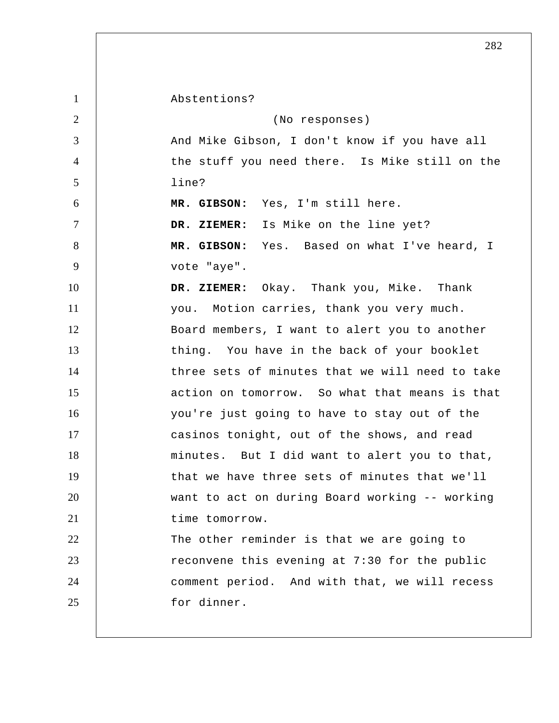1 2 3 4 5 6 7 8 9 10 11 12 13 14 15 16 17 18 19 20 21 22 23 24 25 Abstentions? (No responses) And Mike Gibson, I don't know if you have all the stuff you need there. Is Mike still on the line?  **MR. GIBSON:** Yes, I'm still here.  **DR. ZIEMER:** Is Mike on the line yet?  **MR. GIBSON:** Yes. Based on what I've heard, I vote "aye".  **DR. ZIEMER:** Okay. Thank you, Mike. Thank you. Motion carries, thank you very much. Board members, I want to alert you to another thing. You have in the back of your booklet three sets of minutes that we will need to take action on tomorrow. So what that means is that you're just going to have to stay out of the casinos tonight, out of the shows, and read minutes. But I did want to alert you to that, that we have three sets of minutes that we'll want to act on during Board working -- working time tomorrow. The other reminder is that we are going to reconvene this evening at 7:30 for the public comment period. And with that, we will recess for dinner.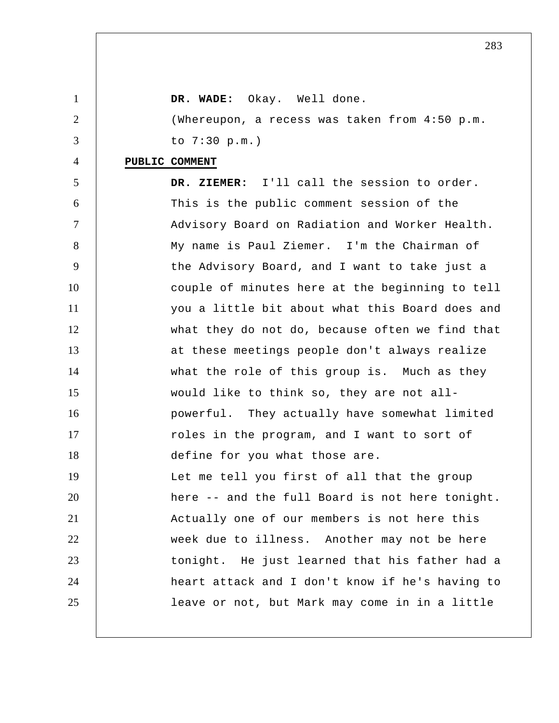| $\mathbf{1}$   | Okay. Well done.<br>DR. WADE:                   |
|----------------|-------------------------------------------------|
| $\overline{2}$ | (Whereupon, a recess was taken from 4:50 p.m.   |
| 3              | to $7:30$ p.m.)                                 |
| 4              | PUBLIC COMMENT                                  |
| 5              | DR. ZIEMER: I'll call the session to order.     |
| 6              | This is the public comment session of the       |
| $\tau$         | Advisory Board on Radiation and Worker Health.  |
| 8              | My name is Paul Ziemer. I'm the Chairman of     |
| 9              | the Advisory Board, and I want to take just a   |
| 10             | couple of minutes here at the beginning to tell |
| 11             | you a little bit about what this Board does and |
| 12             | what they do not do, because often we find that |
| 13             | at these meetings people don't always realize   |
| 14             | what the role of this group is. Much as they    |
| 15             | would like to think so, they are not all-       |
| 16             | powerful. They actually have somewhat limited   |
| 17             | roles in the program, and I want to sort of     |
| 18             | define for you what those are.                  |
| 19             | Let me tell you first of all that the group     |
| 20             | here -- and the full Board is not here tonight. |
| 21             | Actually one of our members is not here this    |
| 22             | week due to illness. Another may not be here    |
| 23             | tonight. He just learned that his father had a  |
| 24             | heart attack and I don't know if he's having to |
| 25             | leave or not, but Mark may come in in a little  |
|                |                                                 |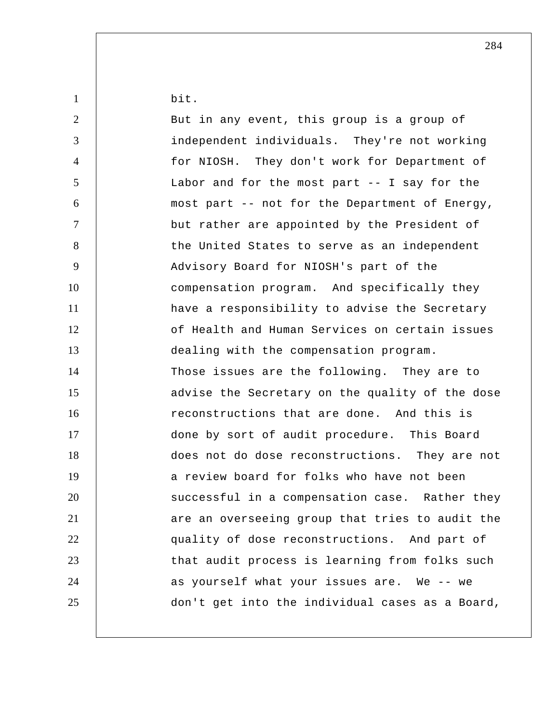| $\mathbf{1}$   | bit.                                            |
|----------------|-------------------------------------------------|
| $\overline{2}$ | But in any event, this group is a group of      |
| 3              | independent individuals. They're not working    |
| $\overline{4}$ | for NIOSH. They don't work for Department of    |
| 5              | Labor and for the most part $-$ - I say for the |
| 6              | most part -- not for the Department of Energy,  |
| $\tau$         | but rather are appointed by the President of    |
| 8              | the United States to serve as an independent    |
| 9              | Advisory Board for NIOSH's part of the          |
| 10             | compensation program. And specifically they     |
| 11             | have a responsibility to advise the Secretary   |
| 12             | of Health and Human Services on certain issues  |
| 13             | dealing with the compensation program.          |
| 14             | Those issues are the following. They are to     |
| 15             | advise the Secretary on the quality of the dose |
| 16             | reconstructions that are done. And this is      |
| 17             | done by sort of audit procedure. This Board     |
| 18             | does not do dose reconstructions. They are not  |
| 19             | a review board for folks who have not been      |
| 20             | successful in a compensation case. Rather they  |
| 21             | are an overseeing group that tries to audit the |
| 22             | quality of dose reconstructions. And part of    |
| 23             | that audit process is learning from folks such  |
| 24             | as yourself what your issues are. We -- we      |
| 25             | don't get into the individual cases as a Board, |
|                |                                                 |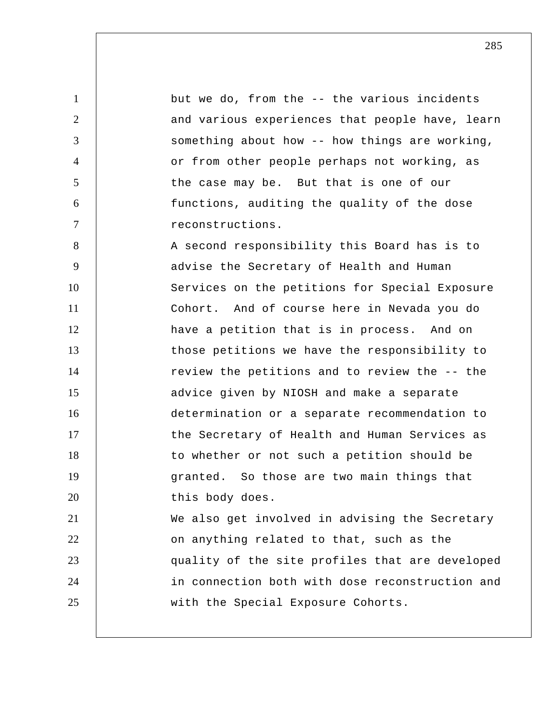1 2 3 4 5 6 7 8 9 10 11 12 13 14 15 16 17 18 19 20 21 22 23 24 25 but we do, from the -- the various incidents and various experiences that people have, learn something about how -- how things are working, or from other people perhaps not working, as the case may be. But that is one of our functions, auditing the quality of the dose reconstructions. A second responsibility this Board has is to advise the Secretary of Health and Human Services on the petitions for Special Exposure Cohort. And of course here in Nevada you do have a petition that is in process. And on those petitions we have the responsibility to review the petitions and to review the -- the advice given by NIOSH and make a separate determination or a separate recommendation to the Secretary of Health and Human Services as to whether or not such a petition should be granted. So those are two main things that this body does. We also get involved in advising the Secretary on anything related to that, such as the quality of the site profiles that are developed in connection both with dose reconstruction and with the Special Exposure Cohorts.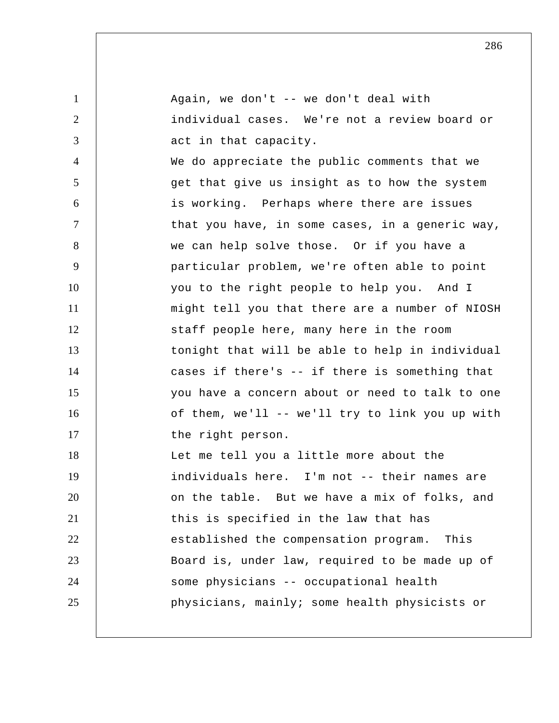| $\mathbf{1}$   | Again, we don't -- we don't deal with           |
|----------------|-------------------------------------------------|
| 2              | individual cases. We're not a review board or   |
| 3              | act in that capacity.                           |
| $\overline{4}$ | We do appreciate the public comments that we    |
| 5              | get that give us insight as to how the system   |
| 6              | is working. Perhaps where there are issues      |
| $\overline{7}$ | that you have, in some cases, in a generic way, |
| 8              | we can help solve those. Or if you have a       |
| 9              | particular problem, we're often able to point   |
| 10             | you to the right people to help you. And I      |
| 11             | might tell you that there are a number of NIOSH |
| 12             | staff people here, many here in the room        |
| 13             | tonight that will be able to help in individual |
| 14             | cases if there's -- if there is something that  |
| 15             | you have a concern about or need to talk to one |
| 16             | of them, we'll -- we'll try to link you up with |
| 17             | the right person.                               |
| 18             | Let me tell you a little more about the         |
| 19             | individuals here. I'm not -- their names are    |
| 20             | on the table. But we have a mix of folks, and   |
| 21             | this is specified in the law that has           |
| 22             | established the compensation program.<br>This   |
| 23             | Board is, under law, required to be made up of  |
| 24             | some physicians -- occupational health          |
| 25             | physicians, mainly; some health physicists or   |
|                |                                                 |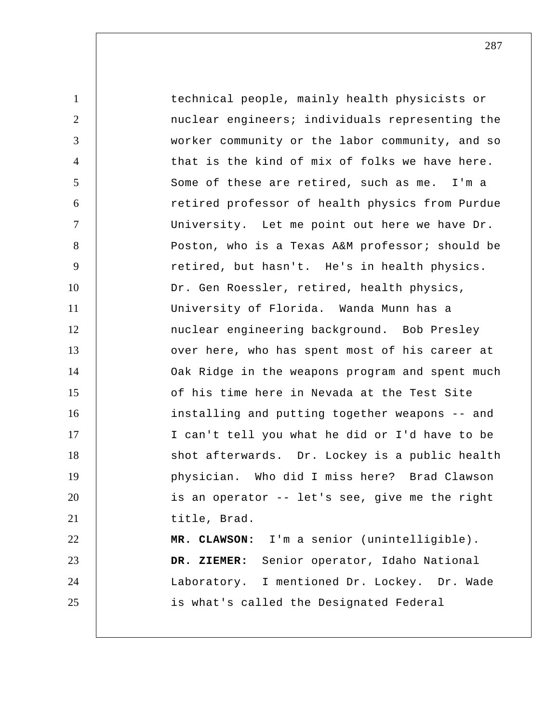1 2 3 4 5 6 7 8 9 10 11 12 13 14 15 16 17 18 19 20 21 22 23 24 25 technical people, mainly health physicists or nuclear engineers; individuals representing the worker community or the labor community, and so that is the kind of mix of folks we have here. Some of these are retired, such as me. I'm a retired professor of health physics from Purdue University. Let me point out here we have Dr. Poston, who is a Texas A&M professor; should be retired, but hasn't. He's in health physics. Dr. Gen Roessler, retired, health physics, University of Florida. Wanda Munn has a nuclear engineering background. Bob Presley over here, who has spent most of his career at Oak Ridge in the weapons program and spent much of his time here in Nevada at the Test Site installing and putting together weapons -- and I can't tell you what he did or I'd have to be shot afterwards. Dr. Lockey is a public health physician. Who did I miss here? Brad Clawson is an operator -- let's see, give me the right title, Brad.  **MR. CLAWSON:** I'm a senior (unintelligible).  **DR. ZIEMER:** Senior operator, Idaho National Laboratory. I mentioned Dr. Lockey. Dr. Wade is what's called the Designated Federal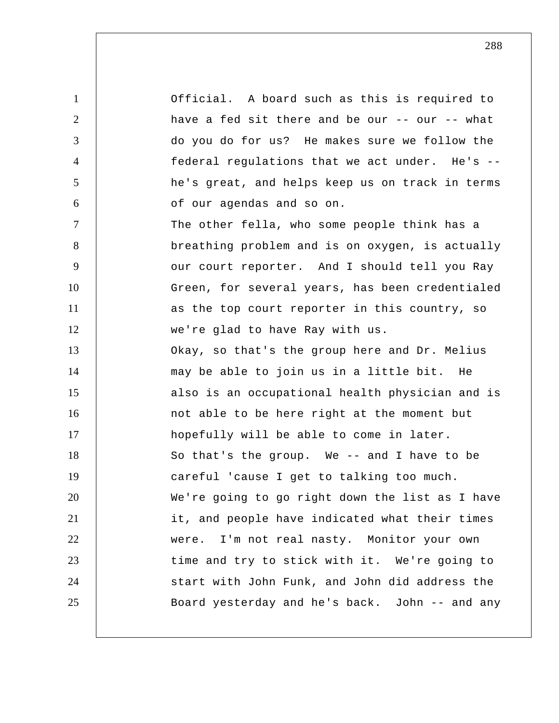1 2 3 4 5 6 7 8 9 10 11 12 13 14 15 16 17 18 19 20 21 22 23 24 25 Official. A board such as this is required to have a fed sit there and be our -- our -- what do you do for us? He makes sure we follow the federal regulations that we act under. He's -he's great, and helps keep us on track in terms of our agendas and so on. The other fella, who some people think has a breathing problem and is on oxygen, is actually our court reporter. And I should tell you Ray Green, for several years, has been credentialed as the top court reporter in this country, so we're glad to have Ray with us. Okay, so that's the group here and Dr. Melius may be able to join us in a little bit. He also is an occupational health physician and is not able to be here right at the moment but hopefully will be able to come in later. So that's the group. We -- and I have to be careful 'cause I get to talking too much. We're going to go right down the list as I have it, and people have indicated what their times were. I'm not real nasty. Monitor your own time and try to stick with it. We're going to start with John Funk, and John did address the Board yesterday and he's back. John -- and any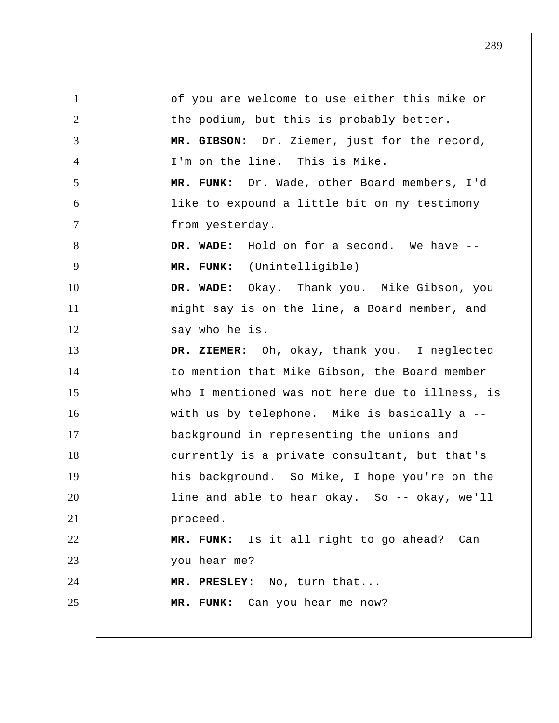1 2 3 4 5 6 7 8 9 10 11 12 13 14 15 16 17 18 19 20 21 22 23 24 25 of you are welcome to use either this mike or the podium, but this is probably better.  **MR. GIBSON:** Dr. Ziemer, just for the record, I'm on the line. This is Mike.  **MR. FUNK:** Dr. Wade, other Board members, I'd like to expound a little bit on my testimony from yesterday.  **DR. WADE:** Hold on for a second. We have -- **MR. FUNK:** (Unintelligible)  **DR. WADE:** Okay. Thank you. Mike Gibson, you might say is on the line, a Board member, and say who he is.  **DR. ZIEMER:** Oh, okay, thank you. I neglected to mention that Mike Gibson, the Board member who I mentioned was not here due to illness, is with us by telephone. Mike is basically a - background in representing the unions and currently is a private consultant, but that's his background. So Mike, I hope you're on the line and able to hear okay. So -- okay, we'll proceed.  **MR. FUNK:** Is it all right to go ahead? Can you hear me?  **MR. PRESLEY:** No, turn that...  **MR. FUNK:** Can you hear me now?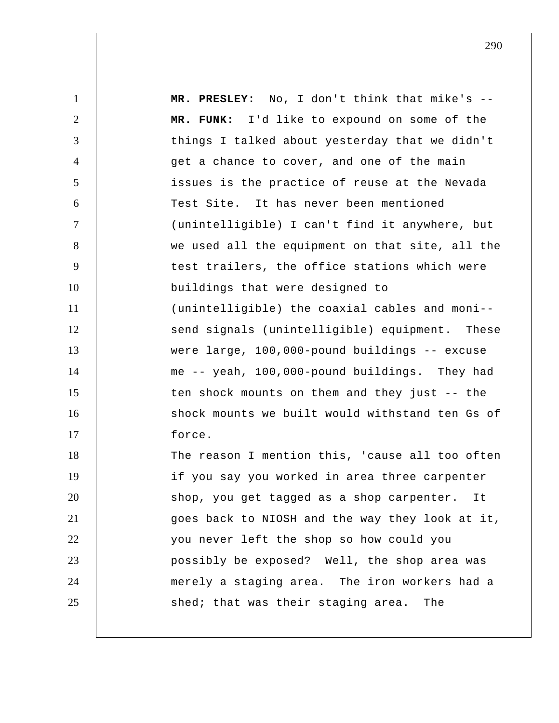1 2 3 4 5 6 7 8 9 10 11 12 13 14 15 16 17 18 19 20 21 22 23 24 25  **MR. PRESLEY:** No, I don't think that mike's --  **MR. FUNK:** I'd like to expound on some of the things I talked about yesterday that we didn't get a chance to cover, and one of the main issues is the practice of reuse at the Nevada Test Site. It has never been mentioned (unintelligible) I can't find it anywhere, but we used all the equipment on that site, all the test trailers, the office stations which were buildings that were designed to (unintelligible) the coaxial cables and moni- send signals (unintelligible) equipment. These were large, 100,000-pound buildings -- excuse me -- yeah, 100,000-pound buildings. They had ten shock mounts on them and they just -- the shock mounts we built would withstand ten Gs of force. The reason I mention this, 'cause all too often if you say you worked in area three carpenter shop, you get tagged as a shop carpenter. It goes back to NIOSH and the way they look at it, you never left the shop so how could you possibly be exposed? Well, the shop area was merely a staging area. The iron workers had a shed; that was their staging area. The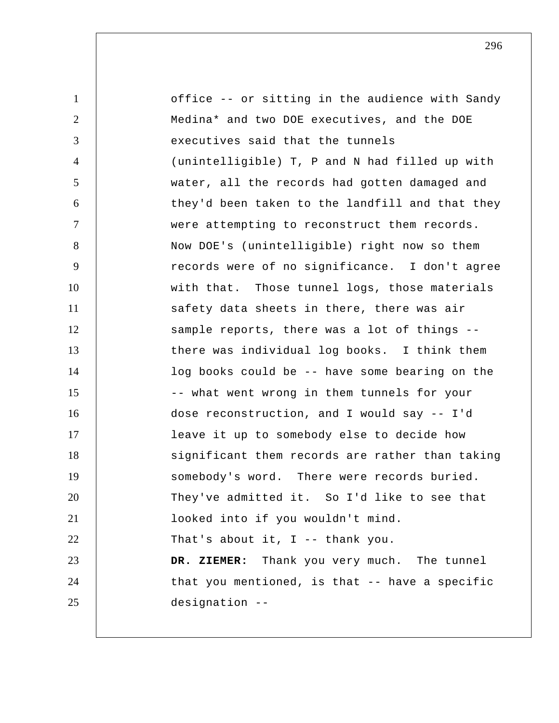1 2 3 4 5 6 7 8 9 10 11 12 13 14 15 16 17 18 19 20 21 22 23 24 25 office -- or sitting in the audience with Sandy Medina\* and two DOE executives, and the DOE executives said that the tunnels (unintelligible) T, P and N had filled up with water, all the records had gotten damaged and they'd been taken to the landfill and that they were attempting to reconstruct them records. Now DOE's (unintelligible) right now so them records were of no significance. I don't agree with that. Those tunnel logs, those materials safety data sheets in there, there was air sample reports, there was a lot of things - there was individual log books. I think them log books could be -- have some bearing on the -- what went wrong in them tunnels for your dose reconstruction, and I would say -- I'd leave it up to somebody else to decide how significant them records are rather than taking somebody's word. There were records buried. They've admitted it. So I'd like to see that looked into if you wouldn't mind. That's about it, I -- thank you.  **DR. ZIEMER:** Thank you very much. The tunnel that you mentioned, is that -- have a specific designation --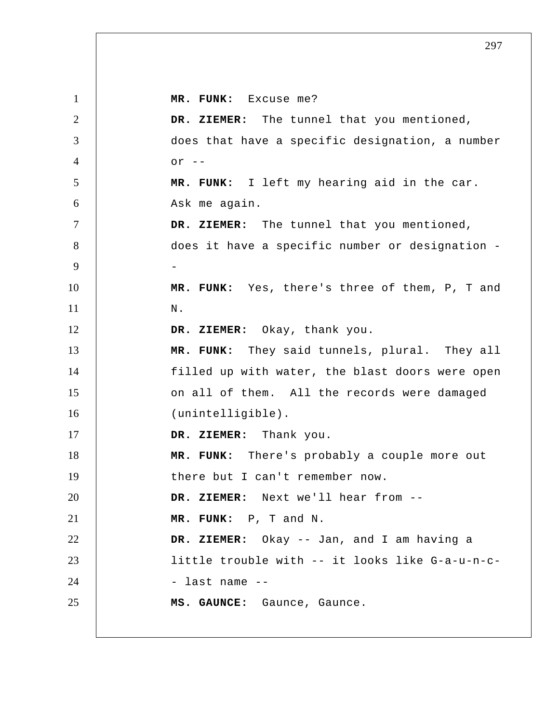1 2 3 4 5 6 7 8 9 10 11 12 13 14 15 16 17 18 19 20 21 22 23 24 25  **MR. FUNK:** Excuse me?  **DR. ZIEMER:** The tunnel that you mentioned, does that have a specific designation, a number or  $--$  **MR. FUNK:** I left my hearing aid in the car. Ask me again.  **DR. ZIEMER:** The tunnel that you mentioned, does it have a specific number or designation - **MR. FUNK:** Yes, there's three of them, P, T and N.  **DR. ZIEMER:** Okay, thank you.  **MR. FUNK:** They said tunnels, plural. They all filled up with water, the blast doors were open on all of them. All the records were damaged (unintelligible).  **DR. ZIEMER:** Thank you.  **MR. FUNK:** There's probably a couple more out there but I can't remember now.  **DR. ZIEMER:** Next we'll hear from --  **MR. FUNK:** P, T and N.  **DR. ZIEMER:** Okay -- Jan, and I am having a little trouble with -- it looks like G-a-u-n-c - last name -- **MS. GAUNCE:** Gaunce, Gaunce.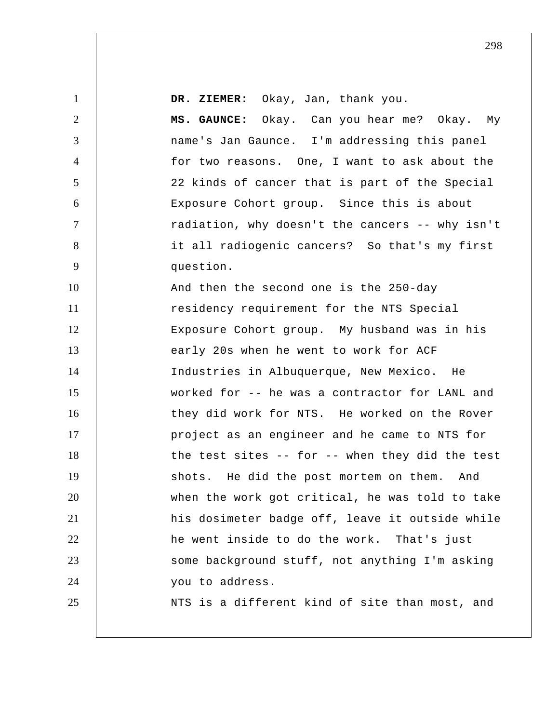1 2 3 4 5 6 7 8 9 10 11 12 13 14 15 16 17 18 19 20 21 22 23 24 25  **DR. ZIEMER:** Okay, Jan, thank you.  **MS. GAUNCE:** Okay. Can you hear me? Okay. My name's Jan Gaunce. I'm addressing this panel for two reasons. One, I want to ask about the 22 kinds of cancer that is part of the Special Exposure Cohort group. Since this is about radiation, why doesn't the cancers -- why isn't it all radiogenic cancers? So that's my first question. And then the second one is the 250-day residency requirement for the NTS Special Exposure Cohort group. My husband was in his early 20s when he went to work for ACF Industries in Albuquerque, New Mexico. He worked for -- he was a contractor for LANL and they did work for NTS. He worked on the Rover project as an engineer and he came to NTS for the test sites -- for -- when they did the test shots. He did the post mortem on them. And when the work got critical, he was told to take his dosimeter badge off, leave it outside while he went inside to do the work. That's just some background stuff, not anything I'm asking you to address. NTS is a different kind of site than most, and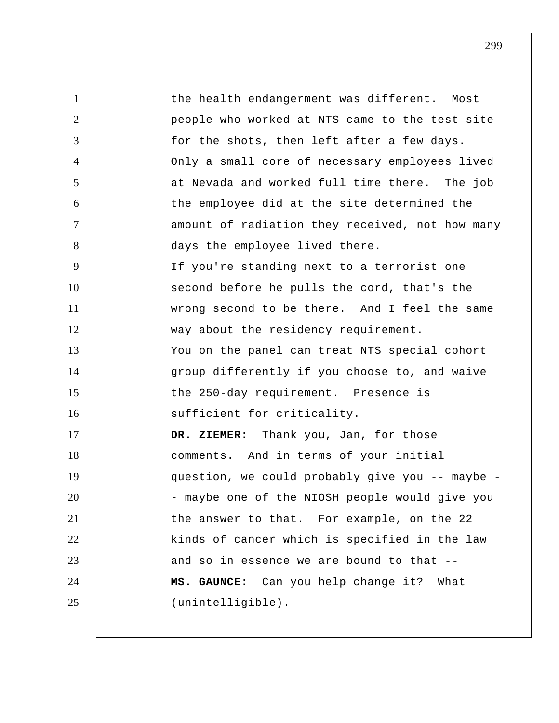1 2 3 4 5 6 7 8 9 10 11 12 13 14 15 16 17 18 19 20 21 22 23 24 25 the health endangerment was different. Most people who worked at NTS came to the test site for the shots, then left after a few days. Only a small core of necessary employees lived at Nevada and worked full time there. The job the employee did at the site determined the amount of radiation they received, not how many days the employee lived there. If you're standing next to a terrorist one second before he pulls the cord, that's the wrong second to be there. And I feel the same way about the residency requirement. You on the panel can treat NTS special cohort group differently if you choose to, and waive the 250-day requirement. Presence is sufficient for criticality.  **DR. ZIEMER:** Thank you, Jan, for those comments. And in terms of your initial question, we could probably give you -- maybe - maybe one of the NIOSH people would give you the answer to that. For example, on the 22 kinds of cancer which is specified in the law and so in essence we are bound to that --  **MS. GAUNCE:** Can you help change it? What (unintelligible).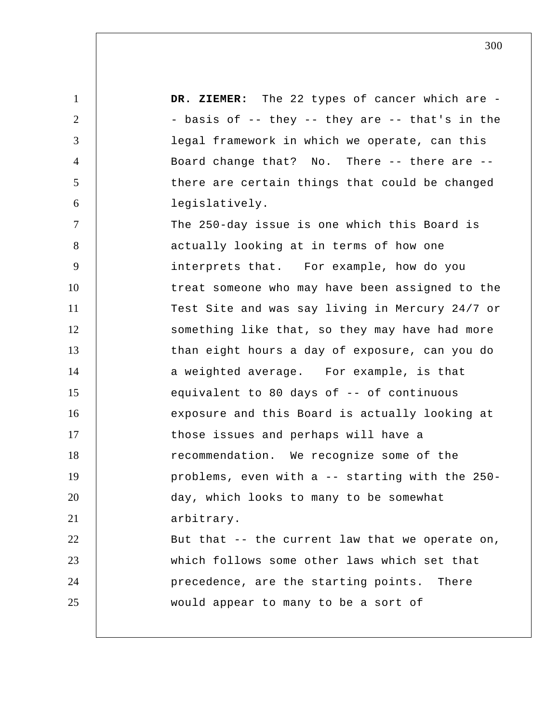1 2 3 4 5 6 7 8 9 10 11 12 13 14 15 16 17 18 19 20 21 22 23 24 25 DR. ZIEMER: The 22 types of cancer which are -- basis of -- they -- they are -- that's in the legal framework in which we operate, can this Board change that? No. There -- there are - there are certain things that could be changed legislatively. The 250-day issue is one which this Board is actually looking at in terms of how one interprets that. For example, how do you treat someone who may have been assigned to the Test Site and was say living in Mercury 24/7 or something like that, so they may have had more than eight hours a day of exposure, can you do a weighted average. For example, is that equivalent to 80 days of -- of continuous exposure and this Board is actually looking at those issues and perhaps will have a recommendation. We recognize some of the problems, even with a -- starting with the 250 day, which looks to many to be somewhat arbitrary. But that -- the current law that we operate on, which follows some other laws which set that precedence, are the starting points. There would appear to many to be a sort of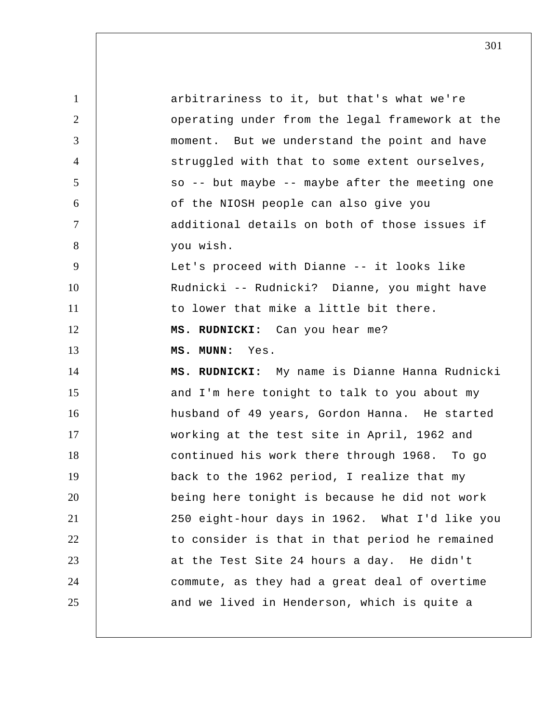| $\mathbf{1}$   | arbitrariness to it, but that's what we're      |
|----------------|-------------------------------------------------|
| $\overline{2}$ | operating under from the legal framework at the |
| 3              | moment. But we understand the point and have    |
| $\overline{4}$ | struggled with that to some extent ourselves,   |
| $\mathfrak{S}$ | so -- but maybe -- maybe after the meeting one  |
| 6              | of the NIOSH people can also give you           |
| $\tau$         | additional details on both of those issues if   |
| 8              | you wish.                                       |
| 9              | Let's proceed with Dianne -- it looks like      |
| 10             | Rudnicki -- Rudnicki? Dianne, you might have    |
| 11             | to lower that mike a little bit there.          |
| 12             | MS. RUDNICKI: Can you hear me?                  |
| 13             | MS. MUNN: Yes.                                  |
|                |                                                 |
| 14             | MS. RUDNICKI: My name is Dianne Hanna Rudnicki  |
| 15             | and I'm here tonight to talk to you about my    |
| 16             | husband of 49 years, Gordon Hanna. He started   |
| 17             | working at the test site in April, 1962 and     |
| 18             | continued his work there through 1968. To go    |
| 19             | back to the 1962 period, I realize that my      |
| 20             | being here tonight is because he did not work   |
| 21             | 250 eight-hour days in 1962. What I'd like you  |
| 22             | to consider is that in that period he remained  |
| 23             | at the Test Site 24 hours a day. He didn't      |
| 24             | commute, as they had a great deal of overtime   |
| 25             | and we lived in Henderson, which is quite a     |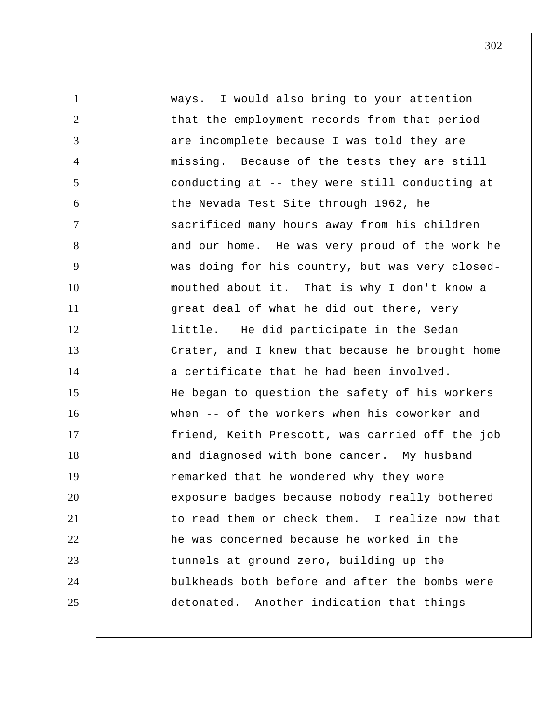1 2 3 4 5 6 7 8 9 10 11 12 13 14 15 16 17 18 19 20 21 22 23 24 25 ways. I would also bring to your attention that the employment records from that period are incomplete because I was told they are missing. Because of the tests they are still conducting at -- they were still conducting at the Nevada Test Site through 1962, he sacrificed many hours away from his children and our home. He was very proud of the work he was doing for his country, but was very closed mouthed about it. That is why I don't know a great deal of what he did out there, very little. He did participate in the Sedan Crater, and I knew that because he brought home a certificate that he had been involved. He began to question the safety of his workers when -- of the workers when his coworker and friend, Keith Prescott, was carried off the job and diagnosed with bone cancer. My husband remarked that he wondered why they wore exposure badges because nobody really bothered to read them or check them. I realize now that he was concerned because he worked in the tunnels at ground zero, building up the bulkheads both before and after the bombs were detonated. Another indication that things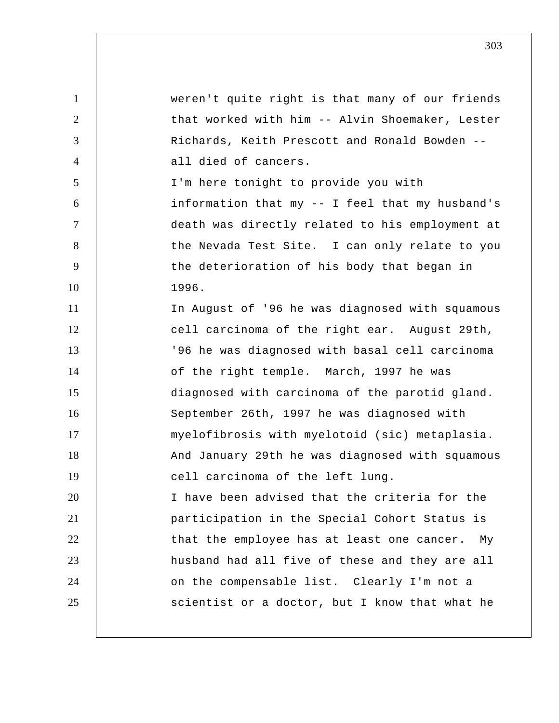1 2 3 4 5 6 7 8 9 10 11 12 13 14 15 16 17 18 19 20 21 22 23 24 25 weren't quite right is that many of our friends that worked with him -- Alvin Shoemaker, Lester Richards, Keith Prescott and Ronald Bowden - all died of cancers. I'm here tonight to provide you with information that my -- I feel that my husband's death was directly related to his employment at the Nevada Test Site. I can only relate to you the deterioration of his body that began in 1996. In August of '96 he was diagnosed with squamous cell carcinoma of the right ear. August 29th, '96 he was diagnosed with basal cell carcinoma of the right temple. March, 1997 he was diagnosed with carcinoma of the parotid gland. September 26th, 1997 he was diagnosed with myelofibrosis with myelotoid (sic) metaplasia. And January 29th he was diagnosed with squamous cell carcinoma of the left lung. I have been advised that the criteria for the participation in the Special Cohort Status is that the employee has at least one cancer. My husband had all five of these and they are all on the compensable list. Clearly I'm not a scientist or a doctor, but I know that what he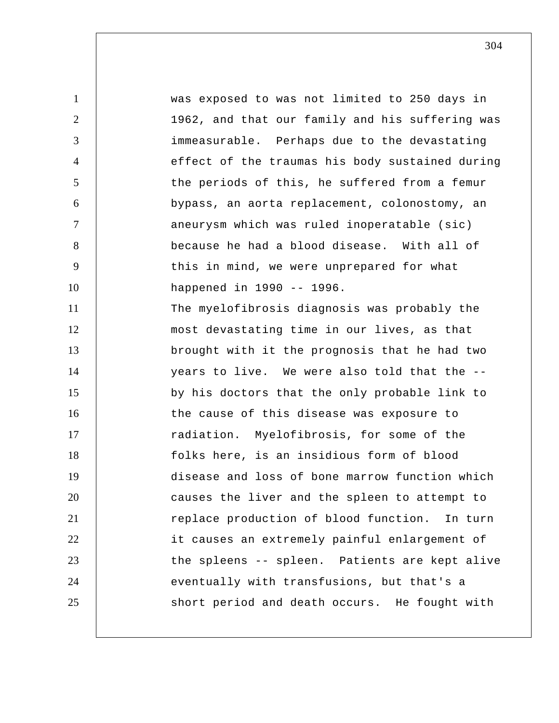1 2 3 4 5 6 7 8 9 10 11 12 13 14 15 16 17 18 19 20 21 22 23 24 25 was exposed to was not limited to 250 days in 1962, and that our family and his suffering was immeasurable. Perhaps due to the devastating effect of the traumas his body sustained during the periods of this, he suffered from a femur bypass, an aorta replacement, colonostomy, an aneurysm which was ruled inoperatable (sic) because he had a blood disease. With all of this in mind, we were unprepared for what happened in 1990 -- 1996. The myelofibrosis diagnosis was probably the most devastating time in our lives, as that brought with it the prognosis that he had two years to live. We were also told that the - by his doctors that the only probable link to the cause of this disease was exposure to radiation. Myelofibrosis, for some of the folks here, is an insidious form of blood disease and loss of bone marrow function which causes the liver and the spleen to attempt to replace production of blood function. In turn it causes an extremely painful enlargement of the spleens -- spleen. Patients are kept alive eventually with transfusions, but that's a short period and death occurs. He fought with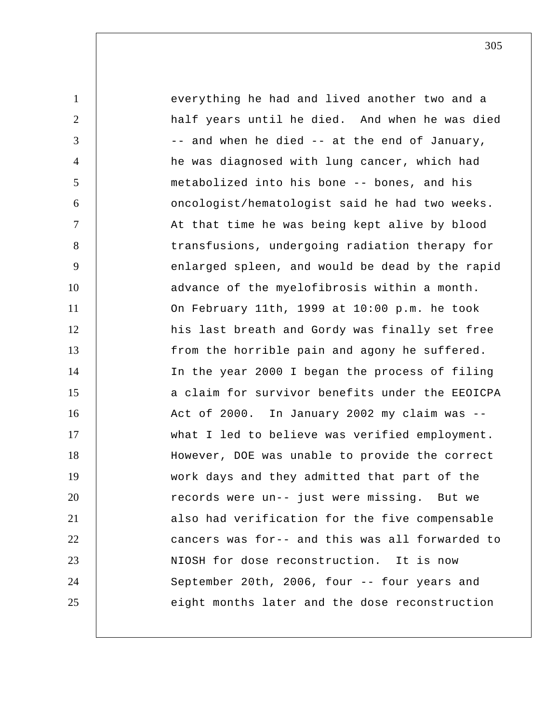1 2 3 4 5 6 7 8 9 10 11 12 13 14 15 16 17 18 19 20 21 22 23 24 25 everything he had and lived another two and a half years until he died. And when he was died -- and when he died -- at the end of January, he was diagnosed with lung cancer, which had metabolized into his bone -- bones, and his oncologist/hematologist said he had two weeks. At that time he was being kept alive by blood transfusions, undergoing radiation therapy for enlarged spleen, and would be dead by the rapid advance of the myelofibrosis within a month. On February 11th, 1999 at 10:00 p.m. he took his last breath and Gordy was finally set free from the horrible pain and agony he suffered. In the year 2000 I began the process of filing a claim for survivor benefits under the EEOICPA Act of 2000. In January 2002 my claim was - what I led to believe was verified employment. However, DOE was unable to provide the correct work days and they admitted that part of the records were un-- just were missing. But we also had verification for the five compensable cancers was for-- and this was all forwarded to NIOSH for dose reconstruction. It is now September 20th, 2006, four -- four years and eight months later and the dose reconstruction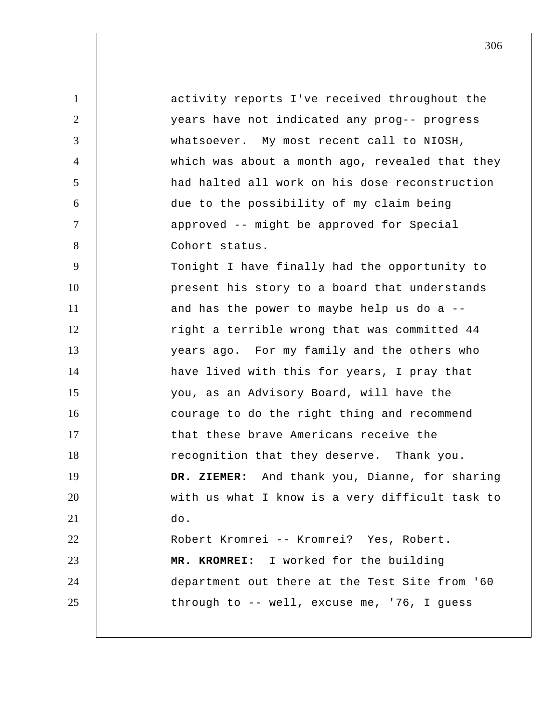| $\mathbf{1}$   | activity reports I've received throughout the   |
|----------------|-------------------------------------------------|
| $\overline{2}$ | years have not indicated any prog-- progress    |
| 3              | whatsoever. My most recent call to NIOSH,       |
| 4              | which was about a month ago, revealed that they |
| 5              | had halted all work on his dose reconstruction  |
| 6              | due to the possibility of my claim being        |
| $\tau$         | approved -- might be approved for Special       |
| 8              | Cohort status.                                  |
| 9              | Tonight I have finally had the opportunity to   |
| 10             | present his story to a board that understands   |
| 11             | and has the power to maybe help us do a --      |
| 12             | right a terrible wrong that was committed 44    |
| 13             | years ago. For my family and the others who     |
| 14             | have lived with this for years, I pray that     |
| 15             | you, as an Advisory Board, will have the        |
| 16             | courage to do the right thing and recommend     |
| 17             | that these brave Americans receive the          |
| 18             | recognition that they deserve. Thank you.       |
| 19             | DR. ZIEMER: And thank you, Dianne, for sharing  |
| 20             | with us what I know is a very difficult task to |
| 21             | do.                                             |
| 22             | Robert Kromrei -- Kromrei? Yes, Robert.         |
| 23             | MR. KROMREI: I worked for the building          |
| 24             | department out there at the Test Site from '60  |
| 25             | through to -- well, excuse me, '76, I guess     |
|                |                                                 |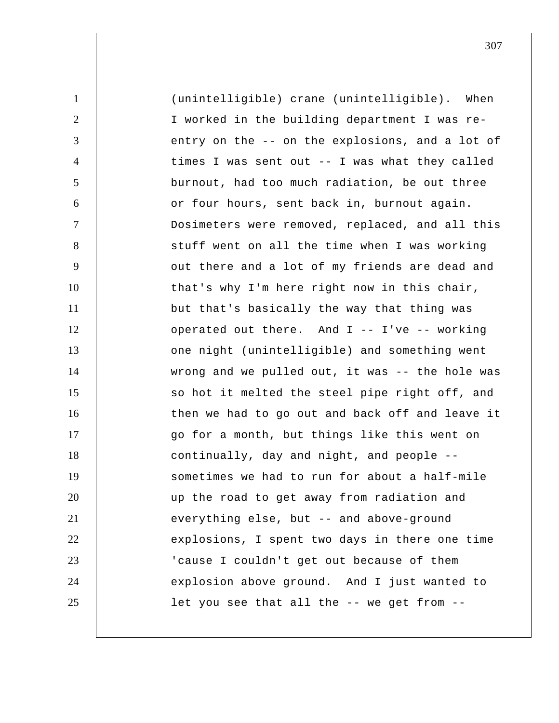1 2 3 4 5 6 7 8 9 10 11 12 13 14 15 16 17 18 19 20 21 22 23 24 25 (unintelligible) crane (unintelligible). When I worked in the building department I was reentry on the -- on the explosions, and a lot of times I was sent out -- I was what they called burnout, had too much radiation, be out three or four hours, sent back in, burnout again. Dosimeters were removed, replaced, and all this stuff went on all the time when I was working out there and a lot of my friends are dead and that's why I'm here right now in this chair, but that's basically the way that thing was operated out there. And I -- I've -- working one night (unintelligible) and something went wrong and we pulled out, it was -- the hole was so hot it melted the steel pipe right off, and then we had to go out and back off and leave it go for a month, but things like this went on continually, day and night, and people - sometimes we had to run for about a half-mile up the road to get away from radiation and everything else, but -- and above-ground explosions, I spent two days in there one time 'cause I couldn't get out because of them explosion above ground. And I just wanted to let you see that all the -- we get from --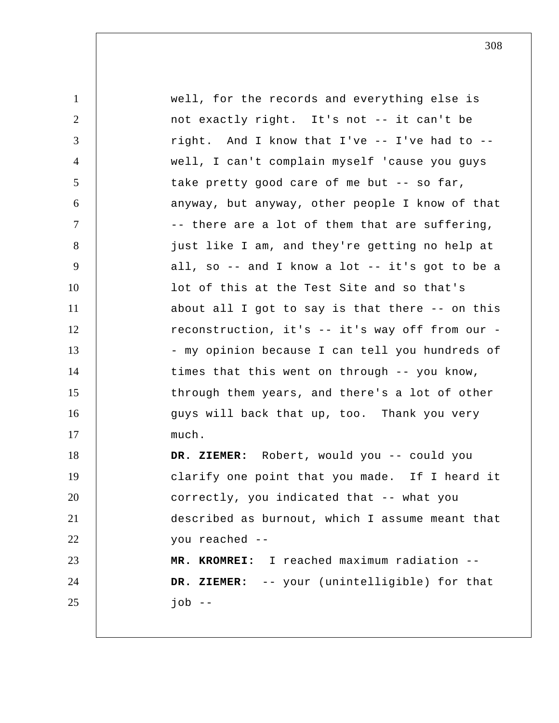| $\mathbf{1}$   | well, for the records and everything else is    |
|----------------|-------------------------------------------------|
| $\overline{2}$ | not exactly right. It's not -- it can't be      |
| 3              | right. And I know that I've -- I've had to --   |
| $\overline{4}$ | well, I can't complain myself 'cause you guys   |
| 5              | take pretty good care of me but -- so far,      |
| 6              | anyway, but anyway, other people I know of that |
| $\tau$         | -- there are a lot of them that are suffering,  |
| 8              | just like I am, and they're getting no help at  |
| 9              | all, so -- and I know a lot -- it's got to be a |
| 10             | lot of this at the Test Site and so that's      |
| 11             | about all I got to say is that there -- on this |
| 12             | reconstruction, it's -- it's way off from our - |
| 13             | - my opinion because I can tell you hundreds of |
| 14             | times that this went on through -- you know,    |
| 15             | through them years, and there's a lot of other  |
| 16             | guys will back that up, too. Thank you very     |
| 17             | much.                                           |
| 18             | DR. ZIEMER: Robert, would you -- could you      |
| 19             | clarify one point that you made. If I heard it  |
| 20             | correctly, you indicated that -- what you       |
| 21             | described as burnout, which I assume meant that |
| 22             | you reached --                                  |
| 23             | MR. KROMREI: I reached maximum radiation --     |
| 24             | DR. ZIEMER: -- your (unintelligible) for that   |
| 25             | job $-$                                         |
|                |                                                 |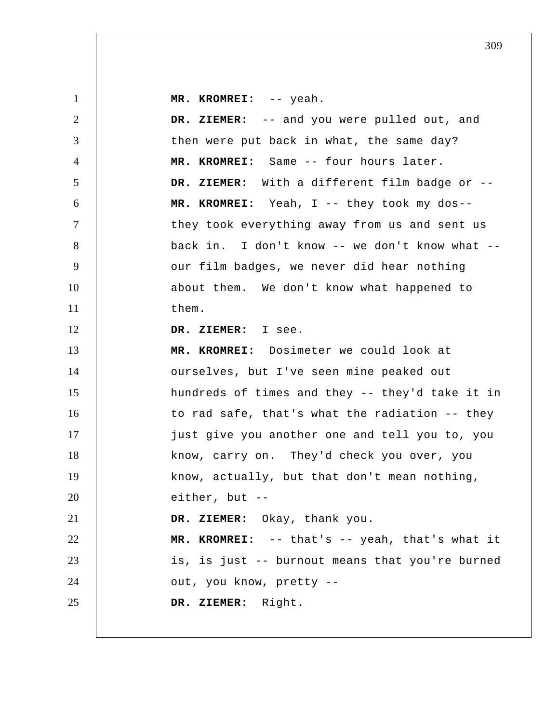| $\mathbf{1}$   | MR. KROMREI: -- yeah.                           |
|----------------|-------------------------------------------------|
| 2              | DR. ZIEMER: -- and you were pulled out, and     |
| 3              | then were put back in what, the same day?       |
| $\overline{4}$ | MR. KROMREI: Same -- four hours later.          |
| 5              | DR. ZIEMER: With a different film badge or --   |
| 6              | MR. KROMREI: Yeah, I -- they took my dos--      |
| $\tau$         | they took everything away from us and sent us   |
| 8              | back in. I don't know -- we don't know what --  |
| 9              | our film badges, we never did hear nothing      |
| 10             | about them. We don't know what happened to      |
| 11             | them.                                           |
| 12             | DR. ZIEMER: I see.                              |
| 13             | MR. KROMREI: Dosimeter we could look at         |
| 14             | ourselves, but I've seen mine peaked out        |
| 15             | hundreds of times and they -- they'd take it in |
| 16             | to rad safe, that's what the radiation -- they  |
| 17             | just give you another one and tell you to, you  |
| 18             | know, carry on. They'd check you over, you      |
| 19             | know, actually, but that don't mean nothing,    |
| 20             | either, but --                                  |
| 21             | DR. ZIEMER: Okay, thank you.                    |
| 22             | MR. KROMREI: -- that's -- yeah, that's what it  |
| 23             | is, is just -- burnout means that you're burned |
| 24             | out, you know, pretty --                        |
| 25             | DR. ZIEMER: Right.                              |
|                |                                                 |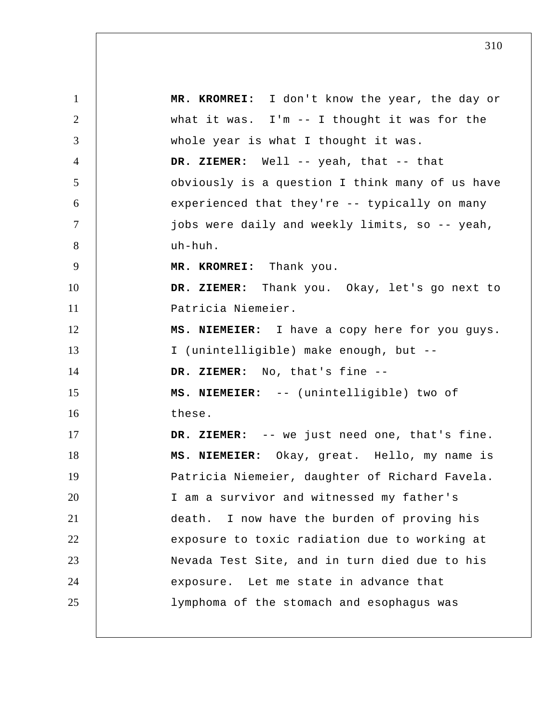1 2 3 4 5 6 7 8 9 10 11 12 13 14 15 16 17 18 19 20 21 22 23 24 25  **MR. KROMREI:** I don't know the year, the day or what it was. I'm -- I thought it was for the whole year is what I thought it was.  **DR. ZIEMER:** Well -- yeah, that -- that obviously is a question I think many of us have experienced that they're -- typically on many jobs were daily and weekly limits, so -- yeah, uh-huh.  **MR. KROMREI:** Thank you.  **DR. ZIEMER:** Thank you. Okay, let's go next to Patricia Niemeier. **MS. NIEMEIER:** I have a copy here for you guys. I (unintelligible) make enough, but --  **DR. ZIEMER:** No, that's fine --**MS. NIEMEIER:** -- (unintelligible) two of these.  **DR. ZIEMER:** -- we just need one, that's fine. **MS. NIEMEIER:** Okay, great. Hello, my name is Patricia Niemeier, daughter of Richard Favela. I am a survivor and witnessed my father's death. I now have the burden of proving his exposure to toxic radiation due to working at Nevada Test Site, and in turn died due to his exposure. Let me state in advance that lymphoma of the stomach and esophagus was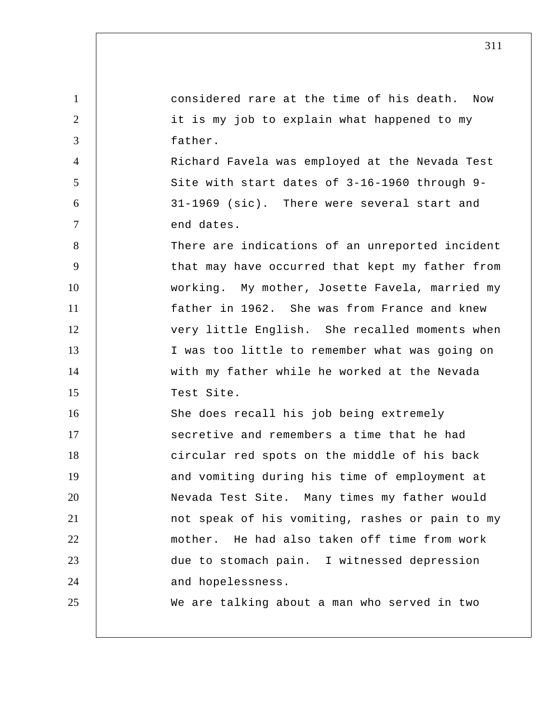| $\mathbf{1}$   | considered rare at the time of his death.<br>Now |
|----------------|--------------------------------------------------|
| 2              | it is my job to explain what happened to my      |
| 3              | father.                                          |
| $\overline{4}$ | Richard Favela was employed at the Nevada Test   |
| 5              | Site with start dates of 3-16-1960 through 9-    |
| 6              | 31-1969 (sic). There were several start and      |
| $\overline{7}$ | end dates.                                       |
| 8              | There are indications of an unreported incident  |
| 9              | that may have occurred that kept my father from  |
| 10             | working. My mother, Josette Favela, married my   |
| 11             | father in 1962. She was from France and knew     |
| 12             | very little English. She recalled moments when   |
| 13             | I was too little to remember what was going on   |
| 14             | with my father while he worked at the Nevada     |
| 15             | Test Site.                                       |
| 16             | She does recall his job being extremely          |
| 17             | secretive and remembers a time that he had       |
| 18             | circular red spots on the middle of his back     |
| 19             | and vomiting during his time of employment at    |
| 20             | Nevada Test Site. Many times my father would     |
| 21             | not speak of his vomiting, rashes or pain to my  |
| 22             | mother. He had also taken off time from work     |
| 23             | due to stomach pain. I witnessed depression      |
| 24             | and hopelessness.                                |
| 25             | We are talking about a man who served in two     |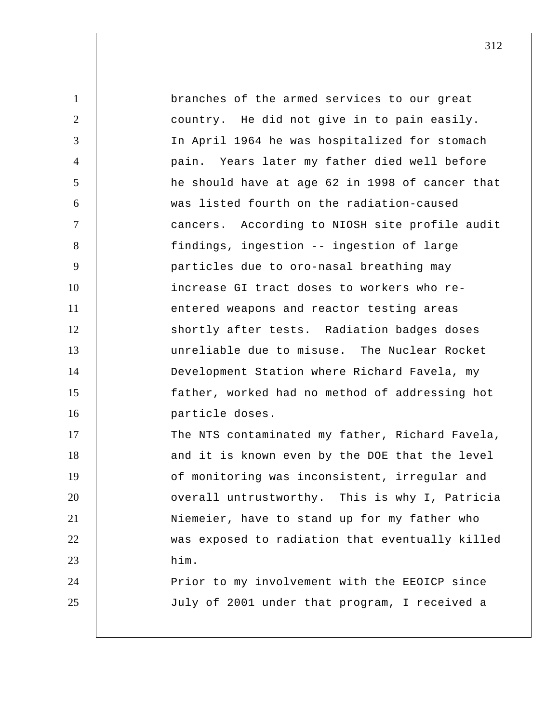1 2 3 4 5 6 7 8 9 10 11 12 13 14 15 16 17 18 19 20 21 22 23 24 25 branches of the armed services to our great country. He did not give in to pain easily. In April 1964 he was hospitalized for stomach pain. Years later my father died well before he should have at age 62 in 1998 of cancer that was listed fourth on the radiation-caused cancers. According to NIOSH site profile audit findings, ingestion -- ingestion of large particles due to oro-nasal breathing may increase GI tract doses to workers who reentered weapons and reactor testing areas shortly after tests. Radiation badges doses unreliable due to misuse. The Nuclear Rocket Development Station where Richard Favela, my father, worked had no method of addressing hot particle doses. The NTS contaminated my father, Richard Favela, and it is known even by the DOE that the level of monitoring was inconsistent, irregular and overall untrustworthy. This is why I, Patricia Niemeier, have to stand up for my father who was exposed to radiation that eventually killed him. Prior to my involvement with the EEOICP since July of 2001 under that program, I received a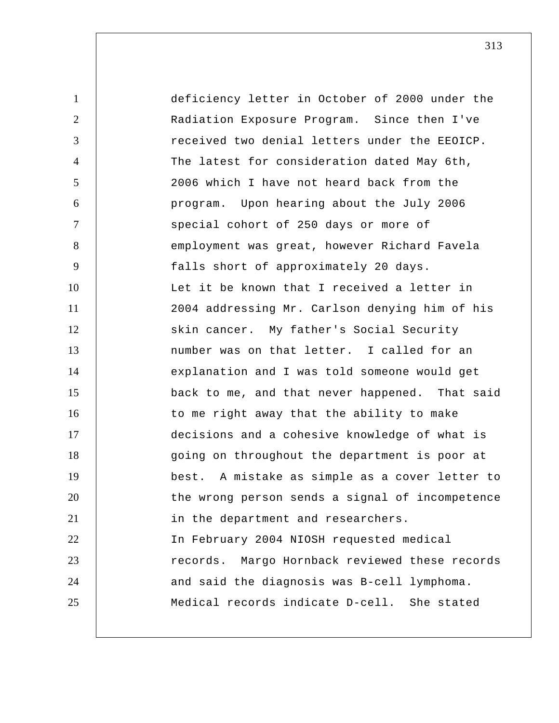1 2 3 4 5 6 7 8 9 10 11 12 13 14 15 16 17 18 19 20 21 22 23 24 25 deficiency letter in October of 2000 under the Radiation Exposure Program. Since then I've received two denial letters under the EEOICP. The latest for consideration dated May 6th, 2006 which I have not heard back from the program. Upon hearing about the July 2006 special cohort of 250 days or more of employment was great, however Richard Favela falls short of approximately 20 days. Let it be known that I received a letter in 2004 addressing Mr. Carlson denying him of his skin cancer. My father's Social Security number was on that letter. I called for an explanation and I was told someone would get back to me, and that never happened. That said to me right away that the ability to make decisions and a cohesive knowledge of what is going on throughout the department is poor at best. A mistake as simple as a cover letter to the wrong person sends a signal of incompetence in the department and researchers. In February 2004 NIOSH requested medical records. Margo Hornback reviewed these records and said the diagnosis was B-cell lymphoma. Medical records indicate D-cell. She stated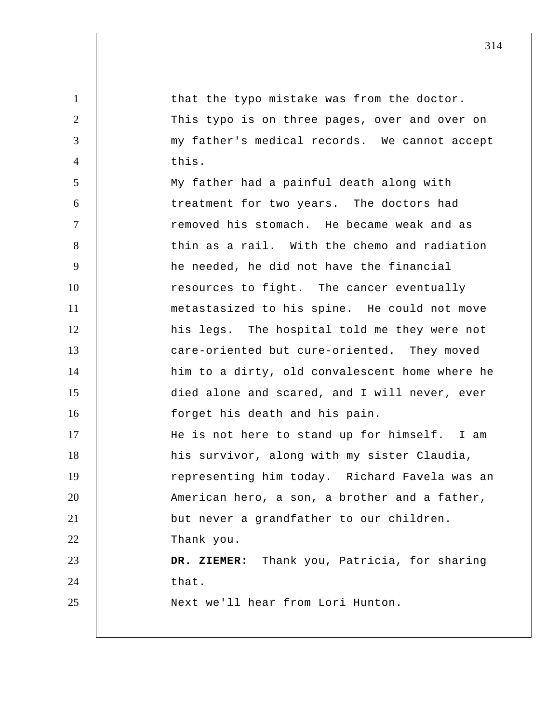1 2 3 4 5 6 7 8 9 10 11 12 13 14 15 16 17 18 19 20 21 22 23 24 25 that the typo mistake was from the doctor. This typo is on three pages, over and over on my father's medical records. We cannot accept this. My father had a painful death along with treatment for two years. The doctors had removed his stomach. He became weak and as thin as a rail. With the chemo and radiation he needed, he did not have the financial resources to fight. The cancer eventually metastasized to his spine. He could not move his legs. The hospital told me they were not care-oriented but cure-oriented. They moved him to a dirty, old convalescent home where he died alone and scared, and I will never, ever forget his death and his pain. He is not here to stand up for himself. I am his survivor, along with my sister Claudia, representing him today. Richard Favela was an American hero, a son, a brother and a father, but never a grandfather to our children. Thank you.  **DR. ZIEMER:** Thank you, Patricia, for sharing that. Next we'll hear from Lori Hunton.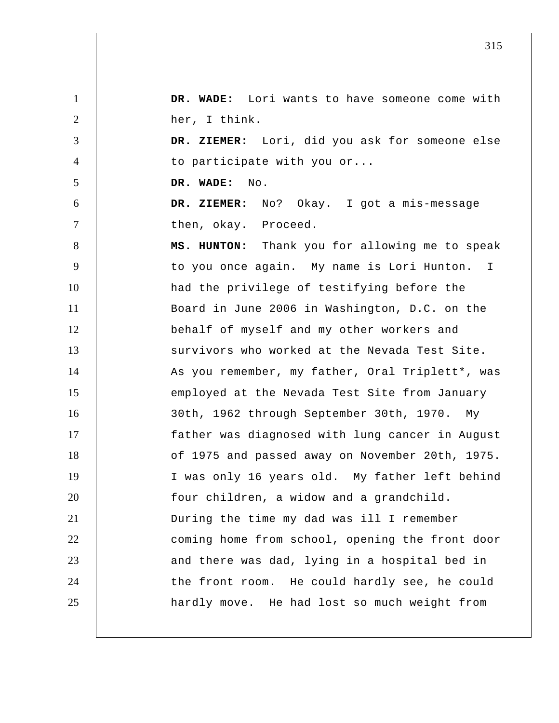1 2 3 4 5 6 7 8 9 10 11 12 13 14 15 16 17 18 19 20 21 22 23 24 25  **DR. WADE:** Lori wants to have someone come with her, I think.  **DR. ZIEMER:** Lori, did you ask for someone else to participate with you or...  **DR. WADE:** No.  **DR. ZIEMER:** No? Okay. I got a mis-message then, okay. Proceed.  **MS. HUNTON:** Thank you for allowing me to speak to you once again. My name is Lori Hunton. I had the privilege of testifying before the Board in June 2006 in Washington, D.C. on the behalf of myself and my other workers and survivors who worked at the Nevada Test Site. As you remember, my father, Oral Triplett\*, was employed at the Nevada Test Site from January 30th, 1962 through September 30th, 1970. My father was diagnosed with lung cancer in August of 1975 and passed away on November 20th, 1975. I was only 16 years old. My father left behind four children, a widow and a grandchild. During the time my dad was ill I remember coming home from school, opening the front door and there was dad, lying in a hospital bed in the front room. He could hardly see, he could hardly move. He had lost so much weight from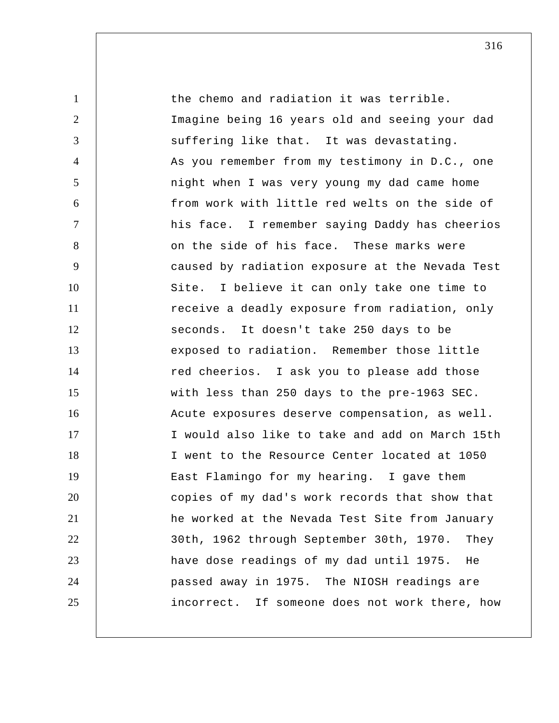1 2 3 4 5 6 7 8 9 10 11 12 13 14 15 16 17 18 19 20 21 22 23 24 25 the chemo and radiation it was terrible. Imagine being 16 years old and seeing your dad suffering like that. It was devastating. As you remember from my testimony in D.C., one night when I was very young my dad came home from work with little red welts on the side of his face. I remember saying Daddy has cheerios on the side of his face. These marks were caused by radiation exposure at the Nevada Test Site. I believe it can only take one time to receive a deadly exposure from radiation, only seconds. It doesn't take 250 days to be exposed to radiation. Remember those little red cheerios. I ask you to please add those with less than 250 days to the pre-1963 SEC. Acute exposures deserve compensation, as well. I would also like to take and add on March 15th I went to the Resource Center located at 1050 East Flamingo for my hearing. I gave them copies of my dad's work records that show that he worked at the Nevada Test Site from January 30th, 1962 through September 30th, 1970. They have dose readings of my dad until 1975. He passed away in 1975. The NIOSH readings are incorrect. If someone does not work there, how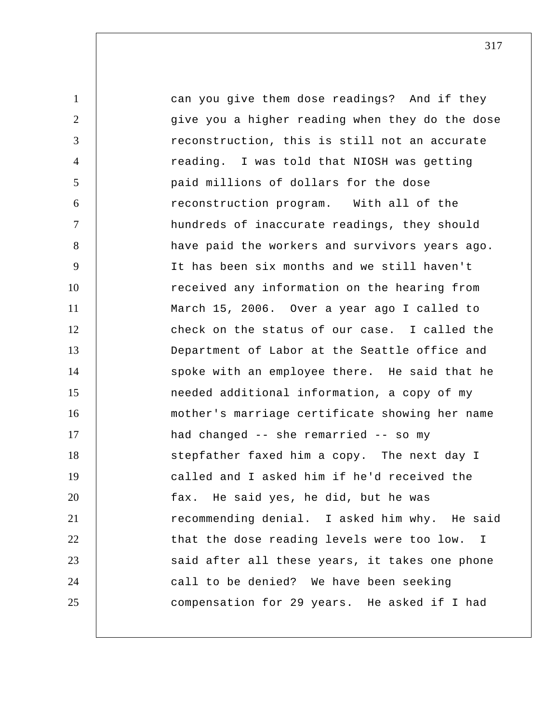1 2 3 4 5 6 7 8 9 10 11 12 13 14 15 16 17 18 19 20 21 22 23 24 25 can you give them dose readings? And if they give you a higher reading when they do the dose reconstruction, this is still not an accurate reading. I was told that NIOSH was getting paid millions of dollars for the dose reconstruction program. With all of the hundreds of inaccurate readings, they should have paid the workers and survivors years ago. It has been six months and we still haven't received any information on the hearing from March 15, 2006. Over a year ago I called to check on the status of our case. I called the Department of Labor at the Seattle office and spoke with an employee there. He said that he needed additional information, a copy of my mother's marriage certificate showing her name had changed -- she remarried -- so my stepfather faxed him a copy. The next day I called and I asked him if he'd received the fax. He said yes, he did, but he was recommending denial. I asked him why. He said that the dose reading levels were too low. I said after all these years, it takes one phone call to be denied? We have been seeking compensation for 29 years. He asked if I had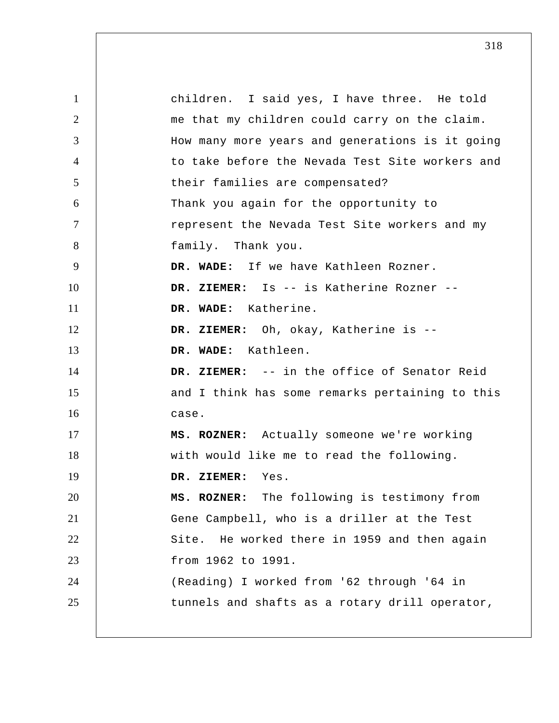1 2 3 4 5 6 7 8 9 10 11 12 13 14 15 16 17 18 19 20 21 22 23 24 25 children. I said yes, I have three. He told me that my children could carry on the claim. How many more years and generations is it going to take before the Nevada Test Site workers and their families are compensated? Thank you again for the opportunity to represent the Nevada Test Site workers and my family. Thank you.  **DR. WADE:** If we have Kathleen Rozner.  **DR. ZIEMER:** Is -- is Katherine Rozner --  **DR. WADE:** Katherine.  **DR. ZIEMER:** Oh, okay, Katherine is --  **DR. WADE:** Kathleen.  **DR. ZIEMER:** -- in the office of Senator Reid and I think has some remarks pertaining to this case.  **MS. ROZNER:** Actually someone we're working with would like me to read the following.  **DR. ZIEMER:** Yes.  **MS. ROZNER:** The following is testimony from Gene Campbell, who is a driller at the Test Site. He worked there in 1959 and then again from 1962 to 1991. (Reading) I worked from '62 through '64 in tunnels and shafts as a rotary drill operator,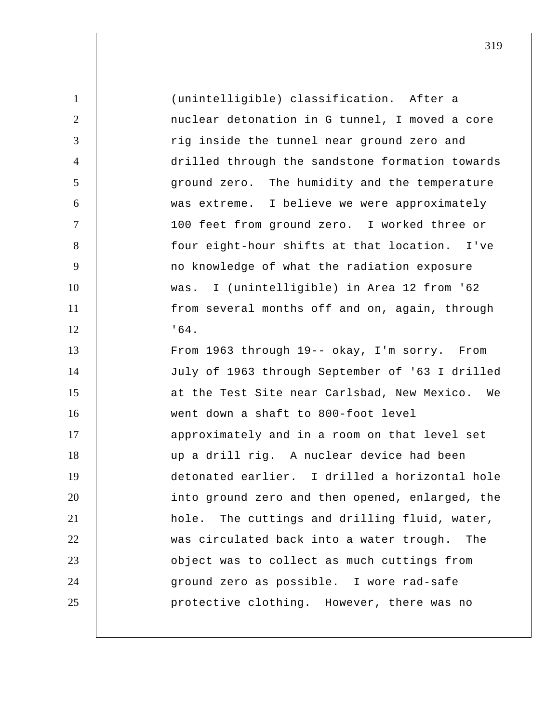| $\mathbf{1}$   | (unintelligible) classification. After a         |
|----------------|--------------------------------------------------|
| 2              | nuclear detonation in G tunnel, I moved a core   |
| 3              | rig inside the tunnel near ground zero and       |
| $\overline{4}$ | drilled through the sandstone formation towards  |
| 5              | ground zero. The humidity and the temperature    |
| 6              | was extreme. I believe we were approximately     |
| $\tau$         | 100 feet from ground zero. I worked three or     |
| 8              | four eight-hour shifts at that location. I've    |
| 9              | no knowledge of what the radiation exposure      |
| 10             | was. I (unintelligible) in Area 12 from '62      |
| 11             | from several months off and on, again, through   |
| 12             | .64.                                             |
| 13             | From 1963 through 19-- okay, I'm sorry. From     |
| 14             | July of 1963 through September of '63 I drilled  |
| 15             | at the Test Site near Carlsbad, New Mexico. We   |
| 16             | went down a shaft to 800-foot level              |
| 17             | approximately and in a room on that level set    |
| 18             | up a drill rig. A nuclear device had been        |
| 19             | detonated earlier. I drilled a horizontal hole   |
| 20             | into ground zero and then opened, enlarged, the  |
| 21             | The cuttings and drilling fluid, water,<br>hole. |
| 22             | was circulated back into a water trough.<br>The  |
| 23             | object was to collect as much cuttings from      |
| 24             | ground zero as possible. I wore rad-safe         |
| 25             | protective clothing. However, there was no       |
|                |                                                  |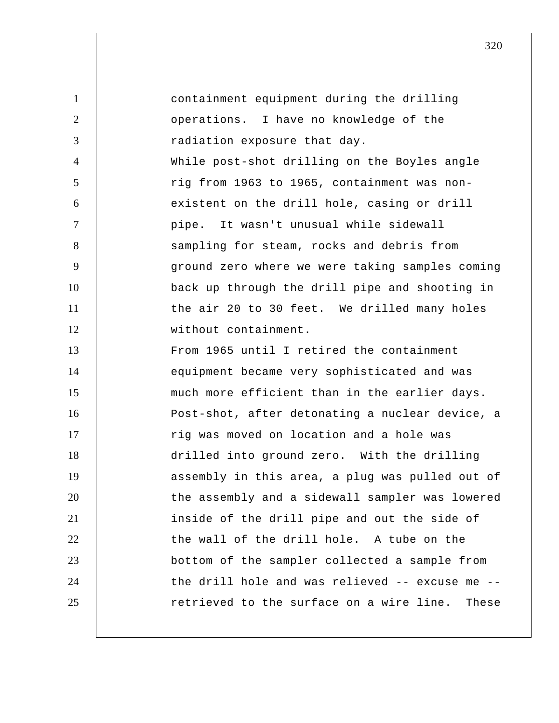| $\mathbf{1}$   | containment equipment during the drilling       |
|----------------|-------------------------------------------------|
| $\overline{2}$ | operations. I have no knowledge of the          |
| 3              | radiation exposure that day.                    |
| $\overline{4}$ | While post-shot drilling on the Boyles angle    |
| 5              | rig from 1963 to 1965, containment was non-     |
| 6              | existent on the drill hole, casing or drill     |
| $\overline{7}$ | pipe. It wasn't unusual while sidewall          |
| 8              | sampling for steam, rocks and debris from       |
| 9              | ground zero where we were taking samples coming |
| 10             | back up through the drill pipe and shooting in  |
| 11             | the air 20 to 30 feet. We drilled many holes    |
| 12             | without containment.                            |
| 13             | From 1965 until I retired the containment       |
| 14             | equipment became very sophisticated and was     |
| 15             | much more efficient than in the earlier days.   |
| 16             | Post-shot, after detonating a nuclear device, a |
| 17             | rig was moved on location and a hole was        |
| 18             | drilled into ground zero. With the drilling     |
| 19             | assembly in this area, a plug was pulled out of |
| 20             | the assembly and a sidewall sampler was lowered |
| 21             | inside of the drill pipe and out the side of    |
| 22             | the wall of the drill hole. A tube on the       |
| 23             | bottom of the sampler collected a sample from   |
| 24             | the drill hole and was relieved -- excuse me -- |
| 25             | retrieved to the surface on a wire line. These  |
|                |                                                 |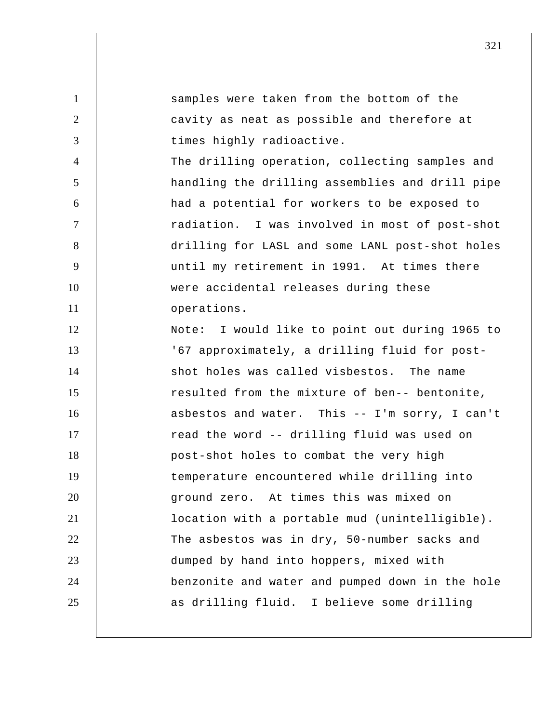1 2 3 4 5 6 7 8 9 10 11 12 13 14 15 16 17 18 19 20 21 22 23 24 25 samples were taken from the bottom of the cavity as neat as possible and therefore at times highly radioactive. The drilling operation, collecting samples and handling the drilling assemblies and drill pipe had a potential for workers to be exposed to radiation. I was involved in most of post-shot drilling for LASL and some LANL post-shot holes until my retirement in 1991. At times there were accidental releases during these operations. Note: I would like to point out during 1965 to '67 approximately, a drilling fluid for post shot holes was called visbestos. The name resulted from the mixture of ben-- bentonite, asbestos and water. This -- I'm sorry, I can't read the word -- drilling fluid was used on post-shot holes to combat the very high temperature encountered while drilling into ground zero. At times this was mixed on location with a portable mud (unintelligible). The asbestos was in dry, 50-number sacks and dumped by hand into hoppers, mixed with benzonite and water and pumped down in the hole as drilling fluid. I believe some drilling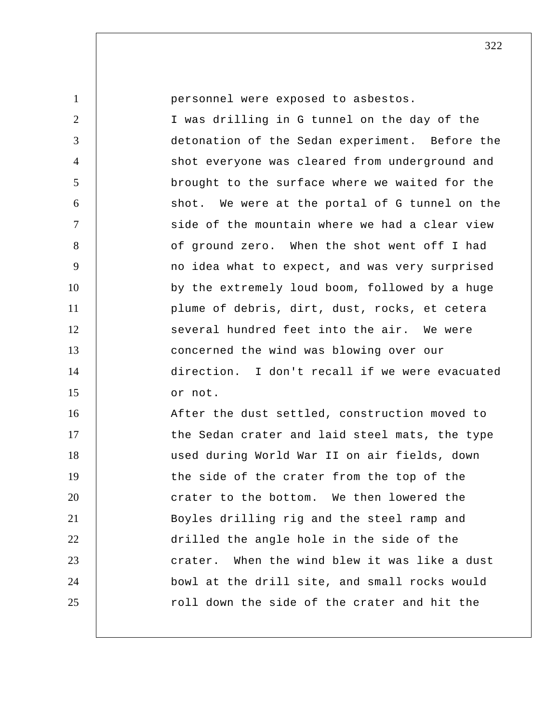| $\mathbf{1}$   | personnel were exposed to asbestos.            |
|----------------|------------------------------------------------|
| 2              | I was drilling in G tunnel on the day of the   |
| 3              | detonation of the Sedan experiment. Before the |
| $\overline{4}$ | shot everyone was cleared from underground and |
| 5              | brought to the surface where we waited for the |
| 6              | shot. We were at the portal of G tunnel on the |
| $\overline{7}$ | side of the mountain where we had a clear view |
| 8              | of ground zero. When the shot went off I had   |
| 9              | no idea what to expect, and was very surprised |
| 10             | by the extremely loud boom, followed by a huge |
| 11             | plume of debris, dirt, dust, rocks, et cetera  |
| 12             | several hundred feet into the air. We were     |
| 13             | concerned the wind was blowing over our        |
| 14             | direction. I don't recall if we were evacuated |
| 15             | or not.                                        |
| 16             | After the dust settled, construction moved to  |
| 17             | the Sedan crater and laid steel mats, the type |
| 18             | used during World War II on air fields, down   |
| 19             | the side of the crater from the top of the     |
| 20             | crater to the bottom. We then lowered the      |
| 21             | Boyles drilling rig and the steel ramp and     |
| 22             | drilled the angle hole in the side of the      |
| 23             | crater. When the wind blew it was like a dust  |
| 24             | bowl at the drill site, and small rocks would  |
| 25             | roll down the side of the crater and hit the   |
|                |                                                |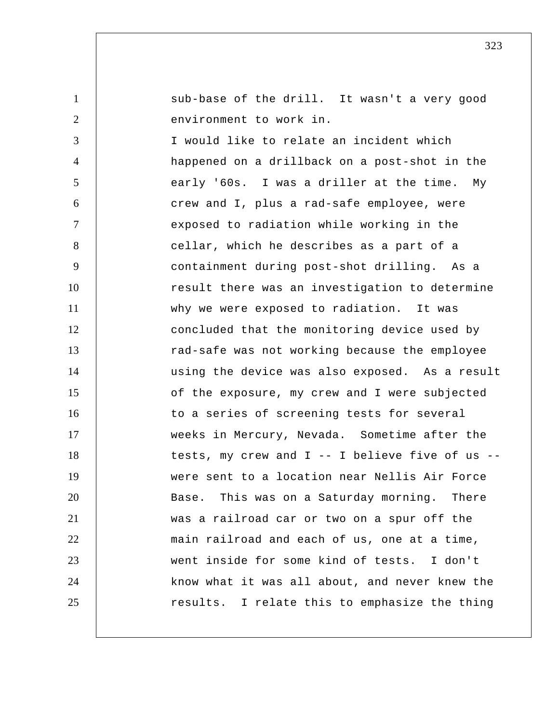sub-base of the drill. It wasn't a very good environment to work in.

1

2

3 4 5 6 7 8 9 10 11 12 13 14 15 16 17 18 19 20 21 22 23 24 25 I would like to relate an incident which happened on a drillback on a post-shot in the early '60s. I was a driller at the time. My crew and I, plus a rad-safe employee, were exposed to radiation while working in the cellar, which he describes as a part of a containment during post-shot drilling. As a result there was an investigation to determine why we were exposed to radiation. It was concluded that the monitoring device used by rad-safe was not working because the employee using the device was also exposed. As a result of the exposure, my crew and I were subjected to a series of screening tests for several weeks in Mercury, Nevada. Sometime after the tests, my crew and I -- I believe five of us - were sent to a location near Nellis Air Force Base. This was on a Saturday morning. There was a railroad car or two on a spur off the main railroad and each of us, one at a time, went inside for some kind of tests. I don't know what it was all about, and never knew the results. I relate this to emphasize the thing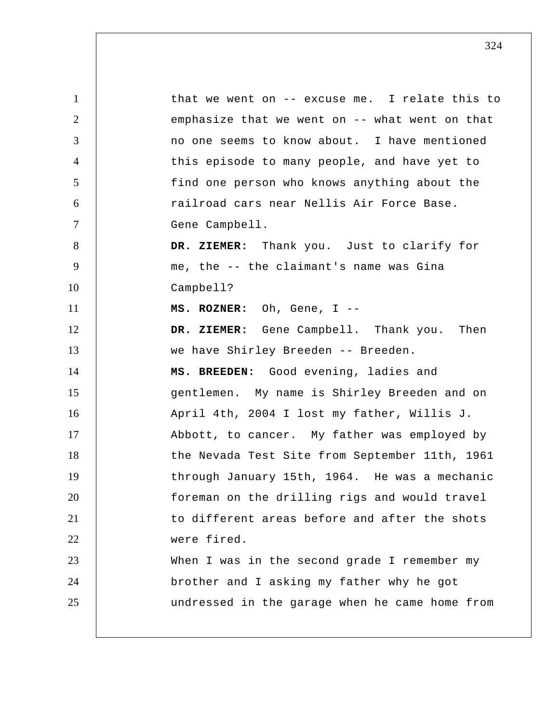1 2 3 4 5 6 7 8 9 10 11 12 13 14 15 16 17 18 19 20 21 22 23 24 25 that we went on -- excuse me. I relate this to emphasize that we went on -- what went on that no one seems to know about. I have mentioned this episode to many people, and have yet to find one person who knows anything about the railroad cars near Nellis Air Force Base. Gene Campbell.  **DR. ZIEMER:** Thank you. Just to clarify for me, the -- the claimant's name was Gina Campbell?  **MS. ROZNER:** Oh, Gene, I --  **DR. ZIEMER:** Gene Campbell. Thank you. Then we have Shirley Breeden -- Breeden.  **MS. BREEDEN:** Good evening, ladies and gentlemen. My name is Shirley Breeden and on April 4th, 2004 I lost my father, Willis J. Abbott, to cancer. My father was employed by the Nevada Test Site from September 11th, 1961 through January 15th, 1964. He was a mechanic foreman on the drilling rigs and would travel to different areas before and after the shots were fired. When I was in the second grade I remember my brother and I asking my father why he got undressed in the garage when he came home from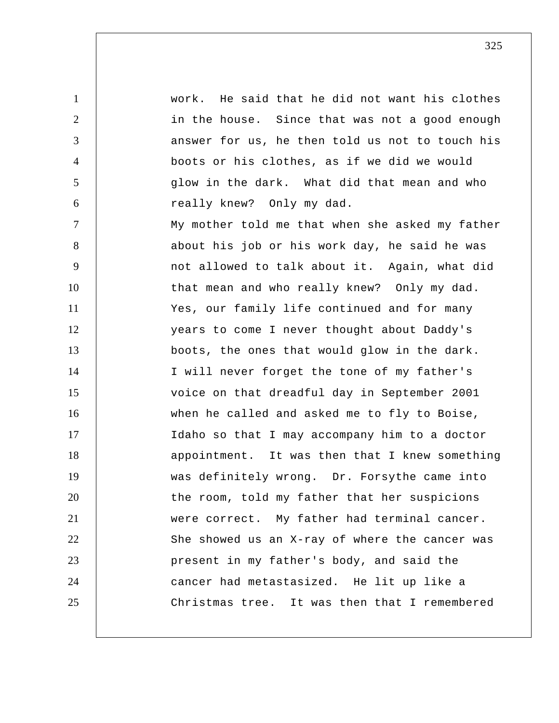1 2 3 4 5 6 7 8 9 10 11 12 13 14 15 16 17 18 19 20 21 22 23 24 25 work. He said that he did not want his clothes in the house. Since that was not a good enough answer for us, he then told us not to touch his boots or his clothes, as if we did we would glow in the dark. What did that mean and who really knew? Only my dad. My mother told me that when she asked my father about his job or his work day, he said he was not allowed to talk about it. Again, what did that mean and who really knew? Only my dad. Yes, our family life continued and for many years to come I never thought about Daddy's boots, the ones that would glow in the dark. I will never forget the tone of my father's voice on that dreadful day in September 2001 when he called and asked me to fly to Boise, Idaho so that I may accompany him to a doctor appointment. It was then that I knew something was definitely wrong. Dr. Forsythe came into the room, told my father that her suspicions were correct. My father had terminal cancer. She showed us an X-ray of where the cancer was present in my father's body, and said the cancer had metastasized. He lit up like a Christmas tree. It was then that I remembered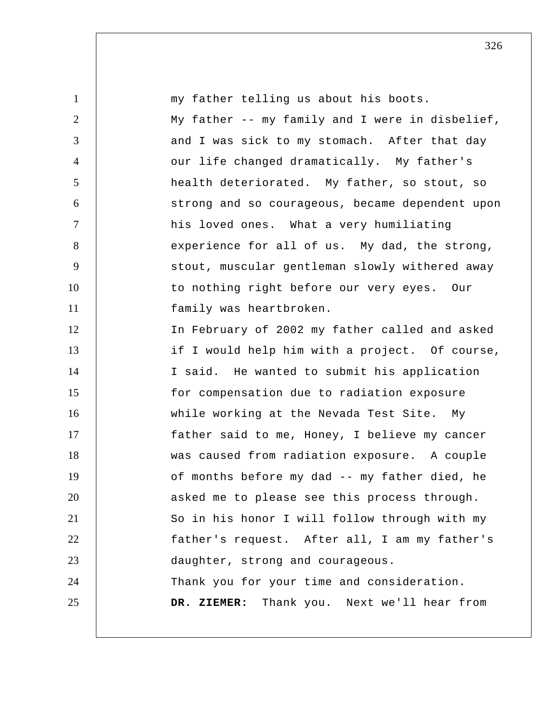| $\mathbf{1}$   | my father telling us about his boots.           |
|----------------|-------------------------------------------------|
| $\overline{2}$ | My father -- my family and I were in disbelief, |
| 3              | and I was sick to my stomach. After that day    |
| $\overline{4}$ | our life changed dramatically. My father's      |
| 5              | health deteriorated. My father, so stout, so    |
| 6              | strong and so courageous, became dependent upon |
| $\overline{7}$ | his loved ones. What a very humiliating         |
| 8              | experience for all of us. My dad, the strong,   |
| 9              | stout, muscular gentleman slowly withered away  |
| 10             | to nothing right before our very eyes. Our      |
| 11             | family was heartbroken.                         |
| 12             | In February of 2002 my father called and asked  |
| 13             | if I would help him with a project. Of course,  |
| 14             | I said. He wanted to submit his application     |
| 15             | for compensation due to radiation exposure      |
| 16             | while working at the Nevada Test Site. My       |
| 17             | father said to me, Honey, I believe my cancer   |
| 18             | was caused from radiation exposure. A couple    |
| 19             | of months before my dad -- my father died, he   |
| 20             | asked me to please see this process through.    |
| 21             | So in his honor I will follow through with my   |
| 22             | father's request. After all, I am my father's   |
| 23             | daughter, strong and courageous.                |
| 24             | Thank you for your time and consideration.      |
| 25             | DR. ZIEMER: Thank you. Next we'll hear from     |
|                |                                                 |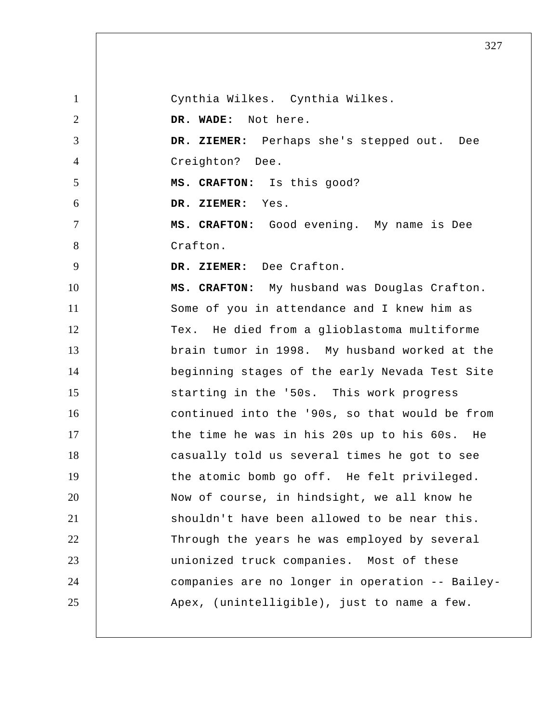1 2 3 4 5 6 7 8 9 10 11 12 13 14 15 16 17 18 19 20 21 22 23 24 25 Cynthia Wilkes. Cynthia Wilkes.  **DR. WADE:** Not here.  **DR. ZIEMER:** Perhaps she's stepped out. Dee Creighton? Dee.  **MS. CRAFTON:** Is this good?  **DR. ZIEMER:** Yes.  **MS. CRAFTON:** Good evening. My name is Dee Crafton.  **DR. ZIEMER:** Dee Crafton.  **MS. CRAFTON:** My husband was Douglas Crafton. Some of you in attendance and I knew him as Tex. He died from a glioblastoma multiforme brain tumor in 1998. My husband worked at the beginning stages of the early Nevada Test Site starting in the '50s. This work progress continued into the '90s, so that would be from the time he was in his 20s up to his 60s. He casually told us several times he got to see the atomic bomb go off. He felt privileged. Now of course, in hindsight, we all know he shouldn't have been allowed to be near this. Through the years he was employed by several unionized truck companies. Most of these companies are no longer in operation -- Bailey- Apex, (unintelligible), just to name a few.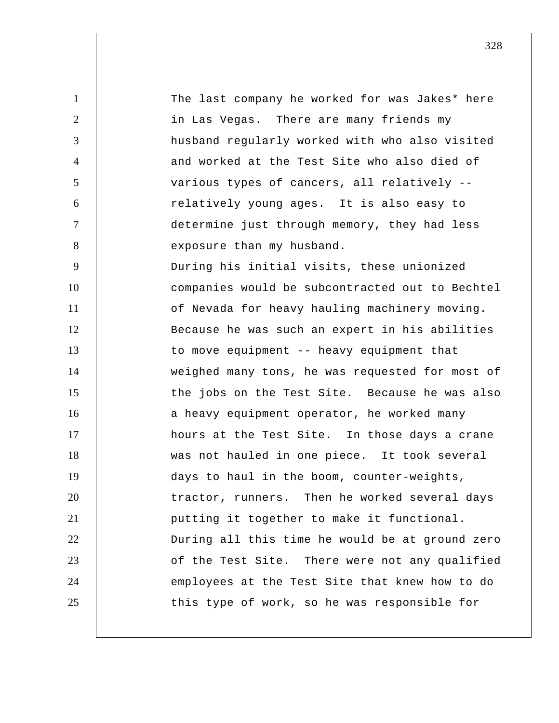1 2 3 4 5 6 7 8 9 10 11 12 13 14 15 16 17 18 19 20 21 22 23 24 25 The last company he worked for was Jakes\* here in Las Vegas. There are many friends my husband regularly worked with who also visited and worked at the Test Site who also died of various types of cancers, all relatively - relatively young ages. It is also easy to determine just through memory, they had less exposure than my husband. During his initial visits, these unionized companies would be subcontracted out to Bechtel of Nevada for heavy hauling machinery moving. Because he was such an expert in his abilities to move equipment -- heavy equipment that weighed many tons, he was requested for most of the jobs on the Test Site. Because he was also a heavy equipment operator, he worked many hours at the Test Site. In those days a crane was not hauled in one piece. It took several days to haul in the boom, counter-weights, tractor, runners. Then he worked several days putting it together to make it functional. During all this time he would be at ground zero of the Test Site. There were not any qualified employees at the Test Site that knew how to do this type of work, so he was responsible for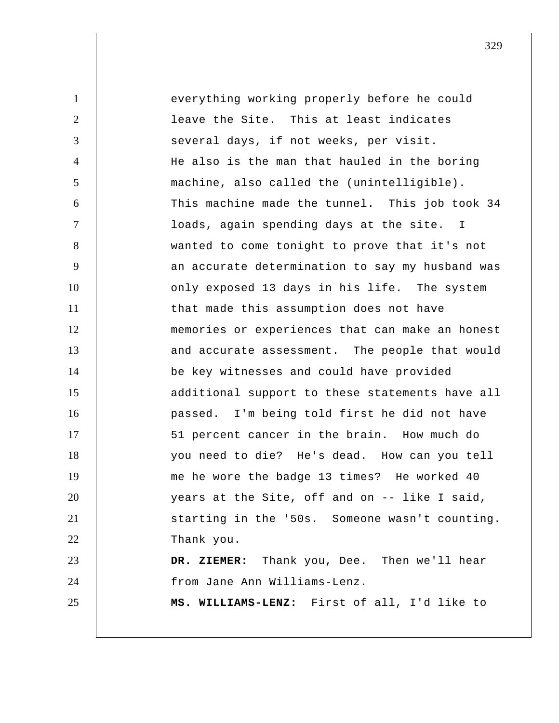1 2 3 4 5 6 7 8 9 10 11 12 13 14 15 16 17 18 19 20 21 22 23 24 25 everything working properly before he could leave the Site. This at least indicates several days, if not weeks, per visit. He also is the man that hauled in the boring machine, also called the (unintelligible). This machine made the tunnel. This job took 34 loads, again spending days at the site. I wanted to come tonight to prove that it's not an accurate determination to say my husband was only exposed 13 days in his life. The system that made this assumption does not have memories or experiences that can make an honest and accurate assessment. The people that would be key witnesses and could have provided additional support to these statements have all passed. I'm being told first he did not have 51 percent cancer in the brain. How much do you need to die? He's dead. How can you tell me he wore the badge 13 times? He worked 40 years at the Site, off and on -- like I said, starting in the '50s. Someone wasn't counting. Thank you.  **DR. ZIEMER:** Thank you, Dee. Then we'll hear from Jane Ann Williams-Lenz.  **MS. WILLIAMS-LENZ:** First of all, I'd like to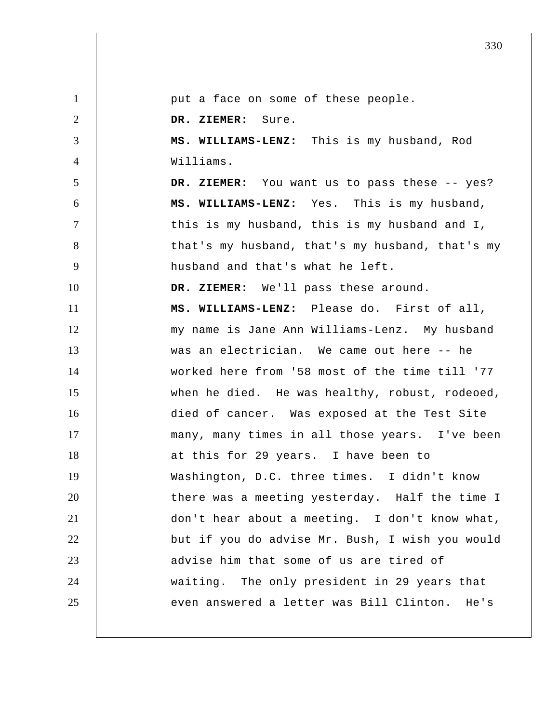1 2 3 4 5 6 7 8 9 10 11 12 13 14 15 16 17 18 19 20 21 22 23 24 25 put a face on some of these people.  **DR. ZIEMER:** Sure.  **MS. WILLIAMS-LENZ:** This is my husband, Rod Williams.  **DR. ZIEMER:** You want us to pass these -- yes?  **MS. WILLIAMS-LENZ:** Yes. This is my husband, this is my husband, this is my husband and I, that's my husband, that's my husband, that's my husband and that's what he left.  **DR. ZIEMER:** We'll pass these around.  **MS. WILLIAMS-LENZ:** Please do. First of all, my name is Jane Ann Williams-Lenz. My husband was an electrician. We came out here -- he worked here from '58 most of the time till '77 when he died. He was healthy, robust, rodeoed, died of cancer. Was exposed at the Test Site many, many times in all those years. I've been at this for 29 years. I have been to Washington, D.C. three times. I didn't know there was a meeting yesterday. Half the time I don't hear about a meeting. I don't know what, but if you do advise Mr. Bush, I wish you would advise him that some of us are tired of waiting. The only president in 29 years that even answered a letter was Bill Clinton. He's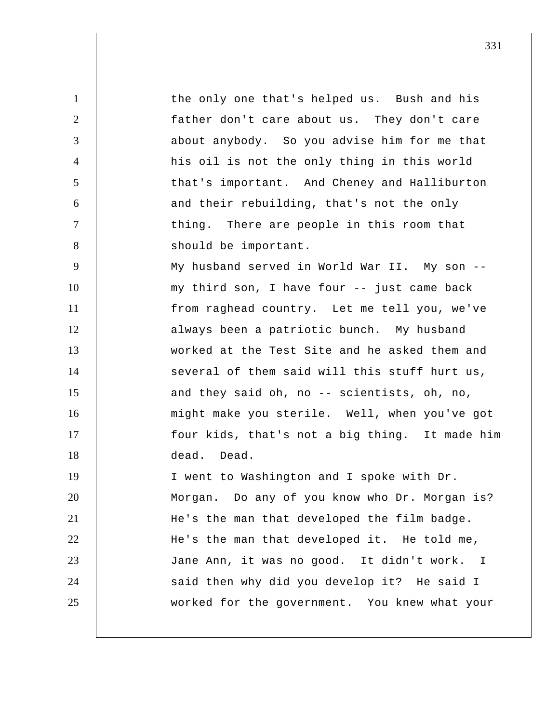1 2 3 4 5 6 7 8 9 10 11 12 13 14 15 16 17 18 19 20 21 22 23 24 25 the only one that's helped us. Bush and his father don't care about us. They don't care about anybody. So you advise him for me that his oil is not the only thing in this world that's important. And Cheney and Halliburton and their rebuilding, that's not the only thing. There are people in this room that should be important. My husband served in World War II. My son -my third son, I have four -- just came back from raghead country. Let me tell you, we've always been a patriotic bunch. My husband worked at the Test Site and he asked them and several of them said will this stuff hurt us, and they said oh, no -- scientists, oh, no, might make you sterile. Well, when you've got four kids, that's not a big thing. It made him dead. Dead. I went to Washington and I spoke with Dr. Morgan. Do any of you know who Dr. Morgan is? He's the man that developed the film badge. He's the man that developed it. He told me, Jane Ann, it was no good. It didn't work. I said then why did you develop it? He said I worked for the government. You knew what your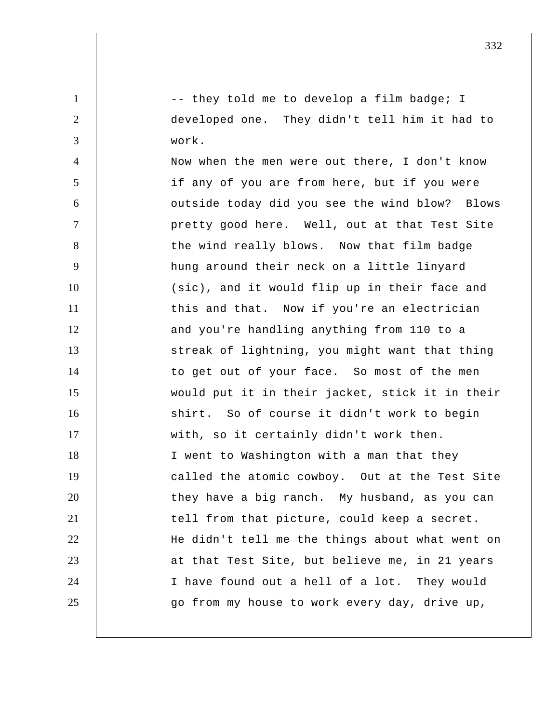-- they told me to develop a film badge; I developed one. They didn't tell him it had to work.

1

2

3

4 5 6 7 8 9 10 11 12 13 14 15 16 17 18 19 20 21 22 23 24 25 Now when the men were out there, I don't know if any of you are from here, but if you were outside today did you see the wind blow? Blows pretty good here. Well, out at that Test Site the wind really blows. Now that film badge hung around their neck on a little linyard (sic), and it would flip up in their face and this and that. Now if you're an electrician and you're handling anything from 110 to a streak of lightning, you might want that thing to get out of your face. So most of the men would put it in their jacket, stick it in their shirt. So of course it didn't work to begin with, so it certainly didn't work then. I went to Washington with a man that they called the atomic cowboy. Out at the Test Site they have a big ranch. My husband, as you can tell from that picture, could keep a secret. He didn't tell me the things about what went on at that Test Site, but believe me, in 21 years I have found out a hell of a lot. They would go from my house to work every day, drive up,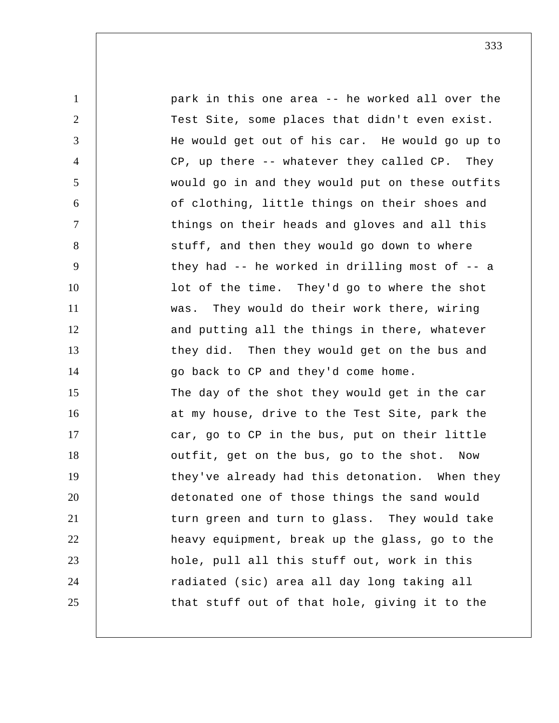1 2 3 4 5 6 7 8 9 10 11 12 13 14 15 16 17 18 19 20 21 22 23 24 25 park in this one area -- he worked all over the Test Site, some places that didn't even exist. He would get out of his car. He would go up to CP, up there -- whatever they called CP. They would go in and they would put on these outfits of clothing, little things on their shoes and things on their heads and gloves and all this stuff, and then they would go down to where they had  $-$  he worked in drilling most of  $-$  a lot of the time. They'd go to where the shot was. They would do their work there, wiring and putting all the things in there, whatever they did. Then they would get on the bus and go back to CP and they'd come home. The day of the shot they would get in the car at my house, drive to the Test Site, park the car, go to CP in the bus, put on their little outfit, get on the bus, go to the shot. Now they've already had this detonation. When they detonated one of those things the sand would turn green and turn to glass. They would take heavy equipment, break up the glass, go to the hole, pull all this stuff out, work in this radiated (sic) area all day long taking all that stuff out of that hole, giving it to the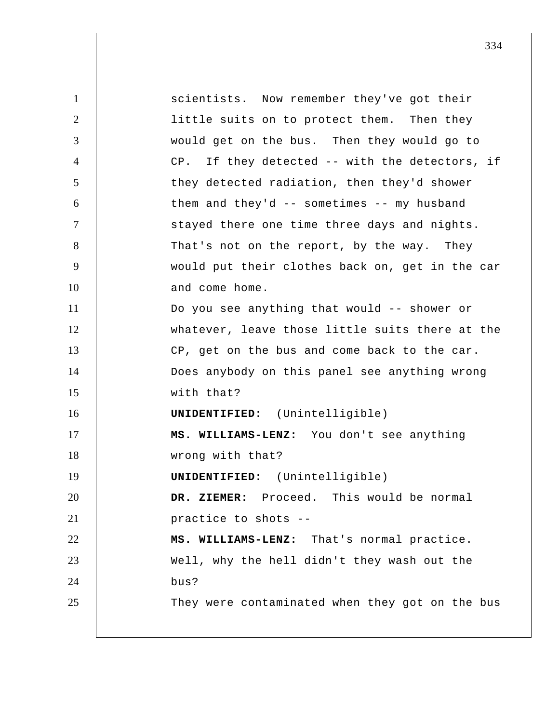1 2 3 4 5 6 7 8 9 10 11 12 13 14 15 16 17 18 19 20 21 22 23 24 25 scientists. Now remember they've got their little suits on to protect them. Then they would get on the bus. Then they would go to CP. If they detected -- with the detectors, if they detected radiation, then they'd shower them and they'd  $-$  sometimes  $-$  my husband stayed there one time three days and nights. That's not on the report, by the way. They would put their clothes back on, get in the car and come home. Do you see anything that would -- shower or whatever, leave those little suits there at the CP, get on the bus and come back to the car. Does anybody on this panel see anything wrong with that? **UNIDENTIFIED:** (Unintelligible)  **MS. WILLIAMS-LENZ:** You don't see anything wrong with that? **UNIDENTIFIED:** (Unintelligible)  **DR. ZIEMER:** Proceed. This would be normal practice to shots --  **MS. WILLIAMS-LENZ:** That's normal practice. Well, why the hell didn't they wash out the bus? They were contaminated when they got on the bus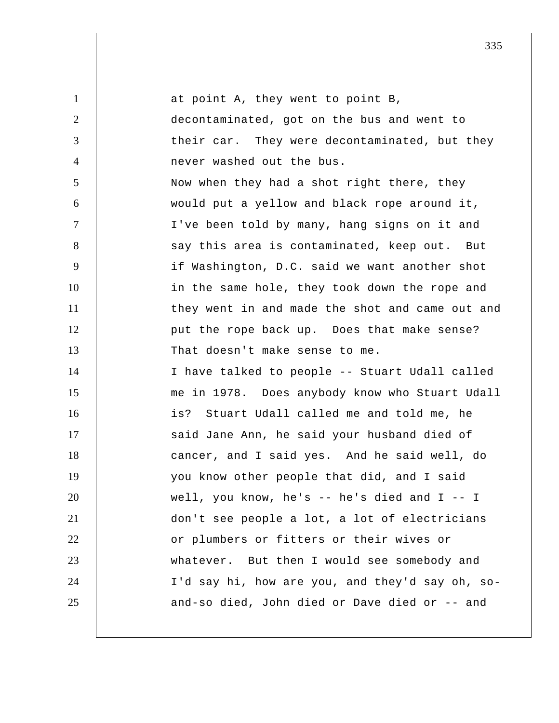| $\mathbf{1}$   | at point A, they went to point B,               |
|----------------|-------------------------------------------------|
| $\overline{2}$ | decontaminated, got on the bus and went to      |
| 3              | their car. They were decontaminated, but they   |
| $\overline{4}$ | never washed out the bus.                       |
| 5              | Now when they had a shot right there, they      |
| 6              | would put a yellow and black rope around it,    |
| $\tau$         | I've been told by many, hang signs on it and    |
| 8              | say this area is contaminated, keep out. But    |
| 9              | if Washington, D.C. said we want another shot   |
| 10             | in the same hole, they took down the rope and   |
| 11             | they went in and made the shot and came out and |
| 12             | put the rope back up. Does that make sense?     |
| 13             | That doesn't make sense to me.                  |
| 14             | I have talked to people -- Stuart Udall called  |
| 15             | me in 1978. Does anybody know who Stuart Udall  |
| 16             | is? Stuart Udall called me and told me, he      |
| 17             | said Jane Ann, he said your husband died of     |
| 18             | cancer, and I said yes. And he said well, do    |
| 19             | you know other people that did, and I said      |
| 20             | well, you know, he's $-$ he's died and $I -$ I  |
| 21             | don't see people a lot, a lot of electricians   |
| 22             | or plumbers or fitters or their wives or        |
| 23             | whatever. But then I would see somebody and     |
| 24             | I'd say hi, how are you, and they'd say oh, so- |
| 25             | and-so died, John died or Dave died or -- and   |
|                |                                                 |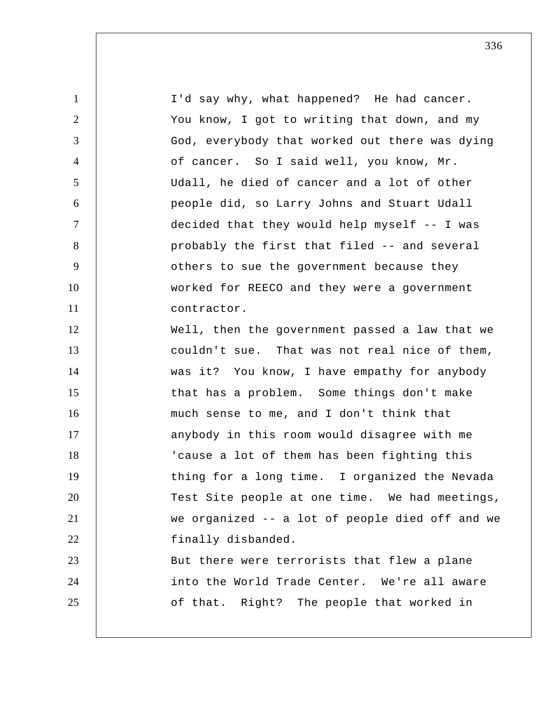| $\mathbf{1}$   | I'd say why, what happened? He had cancer.      |
|----------------|-------------------------------------------------|
| $\overline{2}$ | You know, I got to writing that down, and my    |
| 3              | God, everybody that worked out there was dying  |
| $\overline{4}$ | of cancer. So I said well, you know, Mr.        |
| 5              | Udall, he died of cancer and a lot of other     |
| 6              | people did, so Larry Johns and Stuart Udall     |
| $\overline{7}$ | decided that they would help myself -- I was    |
| 8              | probably the first that filed -- and several    |
| 9              | others to sue the government because they       |
| 10             | worked for REECO and they were a government     |
| 11             | contractor.                                     |
| 12             | Well, then the government passed a law that we  |
| 13             | couldn't sue. That was not real nice of them,   |
| 14             | was it? You know, I have empathy for anybody    |
| 15             | that has a problem. Some things don't make      |
| 16             | much sense to me, and I don't think that        |
| 17             | anybody in this room would disagree with me     |
| 18             | 'cause a lot of them has been fighting this     |
| 19             | thing for a long time. I organized the Nevada   |
| 20             | Test Site people at one time. We had meetings,  |
| 21             | we organized -- a lot of people died off and we |
| 22             | finally disbanded.                              |
| 23             | But there were terrorists that flew a plane     |
| 24             | into the World Trade Center. We're all aware    |
| 25             | of that. Right? The people that worked in       |
|                |                                                 |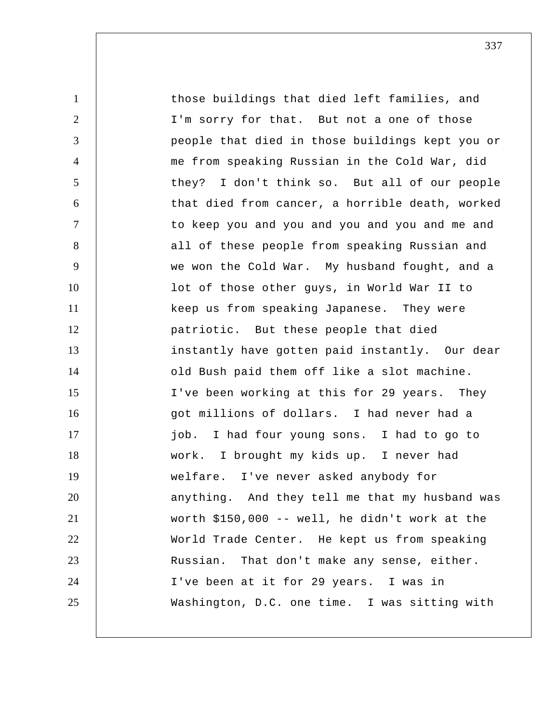1 2 3 4 5 6 7 8 9 10 11 12 13 14 15 16 17 18 19 20 21 22 23 24 25 those buildings that died left families, and I'm sorry for that. But not a one of those people that died in those buildings kept you or me from speaking Russian in the Cold War, did they? I don't think so. But all of our people that died from cancer, a horrible death, worked to keep you and you and you and you and me and all of these people from speaking Russian and we won the Cold War. My husband fought, and a lot of those other guys, in World War II to keep us from speaking Japanese. They were patriotic. But these people that died instantly have gotten paid instantly. Our dear old Bush paid them off like a slot machine. I've been working at this for 29 years. They got millions of dollars. I had never had a job. I had four young sons. I had to go to work. I brought my kids up. I never had welfare. I've never asked anybody for anything. And they tell me that my husband was worth \$150,000 -- well, he didn't work at the World Trade Center. He kept us from speaking Russian. That don't make any sense, either. I've been at it for 29 years. I was in Washington, D.C. one time. I was sitting with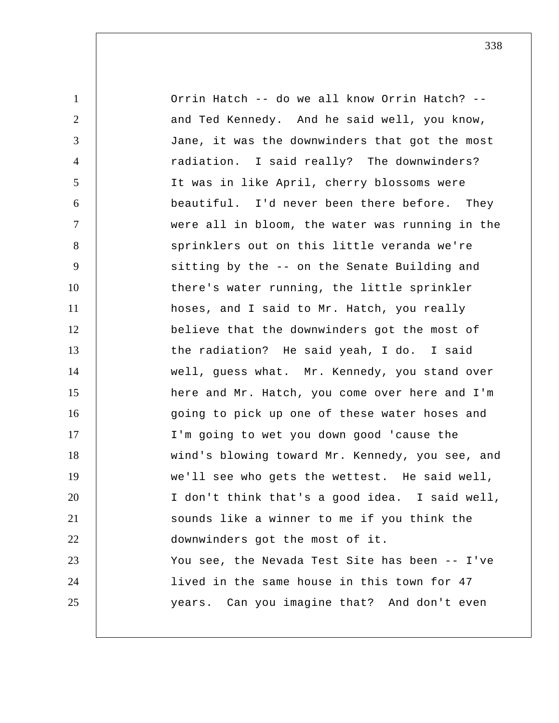| $\mathbf{1}$   | Orrin Hatch -- do we all know Orrin Hatch? --   |
|----------------|-------------------------------------------------|
| $\overline{2}$ | and Ted Kennedy. And he said well, you know,    |
| 3              | Jane, it was the downwinders that got the most  |
| 4              | radiation. I said really? The downwinders?      |
| 5              | It was in like April, cherry blossoms were      |
| 6              | beautiful. I'd never been there before. They    |
| $\tau$         | were all in bloom, the water was running in the |
| 8              | sprinklers out on this little veranda we're     |
| 9              | sitting by the -- on the Senate Building and    |
| 10             | there's water running, the little sprinkler     |
| 11             | hoses, and I said to Mr. Hatch, you really      |
| 12             | believe that the downwinders got the most of    |
| 13             | the radiation? He said yeah, I do. I said       |
| 14             | well, guess what. Mr. Kennedy, you stand over   |
| 15             | here and Mr. Hatch, you come over here and I'm  |
| 16             | going to pick up one of these water hoses and   |
| 17             | I'm going to wet you down good 'cause the       |
| 18             | wind's blowing toward Mr. Kennedy, you see, and |
| 19             | we'll see who gets the wettest. He said well,   |
| 20             | I don't think that's a good idea. I said well,  |
| 21             | sounds like a winner to me if you think the     |
| 22             | downwinders got the most of it.                 |
| 23             | You see, the Nevada Test Site has been -- I've  |
| 24             | lived in the same house in this town for 47     |
| 25             | years. Can you imagine that? And don't even     |
|                |                                                 |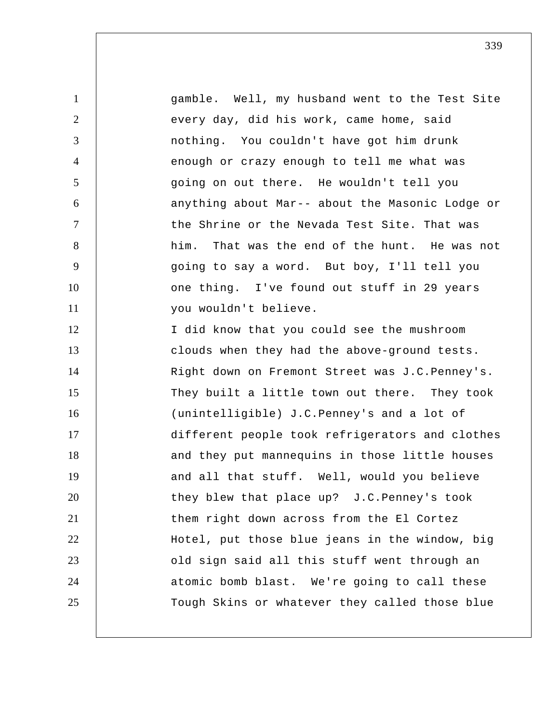| $\mathbf{1}$   | gamble. Well, my husband went to the Test Site   |
|----------------|--------------------------------------------------|
| $\overline{2}$ | every day, did his work, came home, said         |
| 3              | nothing. You couldn't have got him drunk         |
| $\overline{4}$ | enough or crazy enough to tell me what was       |
| 5              | going on out there. He wouldn't tell you         |
| 6              | anything about Mar-- about the Masonic Lodge or  |
| $\tau$         | the Shrine or the Nevada Test Site. That was     |
| 8              | That was the end of the hunt. He was not<br>him. |
| 9              | going to say a word. But boy, I'll tell you      |
| 10             | one thing. I've found out stuff in 29 years      |
| 11             | you wouldn't believe.                            |
| 12             | I did know that you could see the mushroom       |
| 13             | clouds when they had the above-ground tests.     |
| 14             | Right down on Fremont Street was J.C.Penney's.   |
| 15             | They built a little town out there. They took    |
| 16             | (unintelligible) J.C. Penney's and a lot of      |
| 17             | different people took refrigerators and clothes  |
| 18             | and they put mannequins in those little houses   |
| 19             | and all that stuff. Well, would you believe      |
| 20             | they blew that place up? J.C. Penney's took      |
| 21             | them right down across from the El Cortez        |
| 22             | Hotel, put those blue jeans in the window, big   |
| 23             | old sign said all this stuff went through an     |
| 24             | atomic bomb blast. We're going to call these     |
| 25             | Tough Skins or whatever they called those blue   |
|                |                                                  |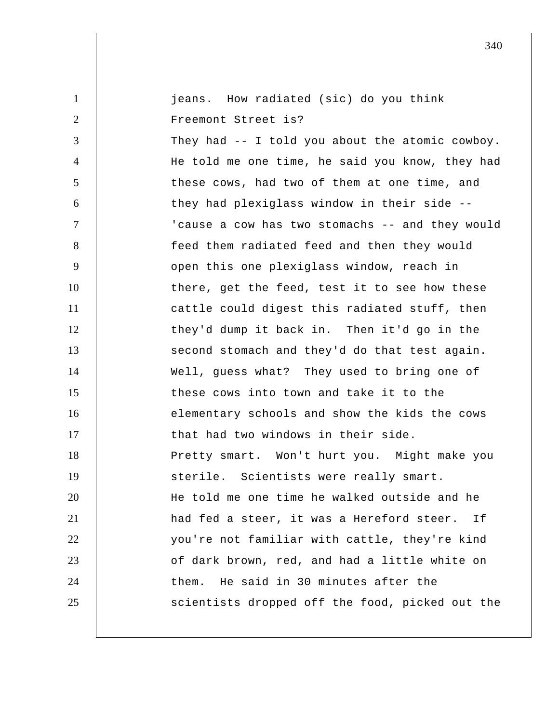| $\mathbf{1}$   | jeans. How radiated (sic) do you think          |
|----------------|-------------------------------------------------|
| $\overline{2}$ | Freemont Street is?                             |
| 3              | They had -- I told you about the atomic cowboy. |
| $\overline{4}$ | He told me one time, he said you know, they had |
| 5              | these cows, had two of them at one time, and    |
| 6              | they had plexiglass window in their side --     |
| $\overline{7}$ | 'cause a cow has two stomachs -- and they would |
| 8              | feed them radiated feed and then they would     |
| 9              | open this one plexiglass window, reach in       |
| 10             | there, get the feed, test it to see how these   |
| 11             | cattle could digest this radiated stuff, then   |
| 12             | they'd dump it back in. Then it'd go in the     |
| 13             | second stomach and they'd do that test again.   |
| 14             | Well, guess what? They used to bring one of     |
| 15             | these cows into town and take it to the         |
| 16             | elementary schools and show the kids the cows   |
| 17             | that had two windows in their side.             |
| 18             | Pretty smart. Won't hurt you. Might make you    |
| 19             | sterile. Scientists were really smart.          |
| 20             | He told me one time he walked outside and he    |
| 21             | had fed a steer, it was a Hereford steer.<br>Ιt |
| 22             | you're not familiar with cattle, they're kind   |
| 23             | of dark brown, red, and had a little white on   |
| 24             | He said in 30 minutes after the<br>them.        |
| 25             | scientists dropped off the food, picked out the |
|                |                                                 |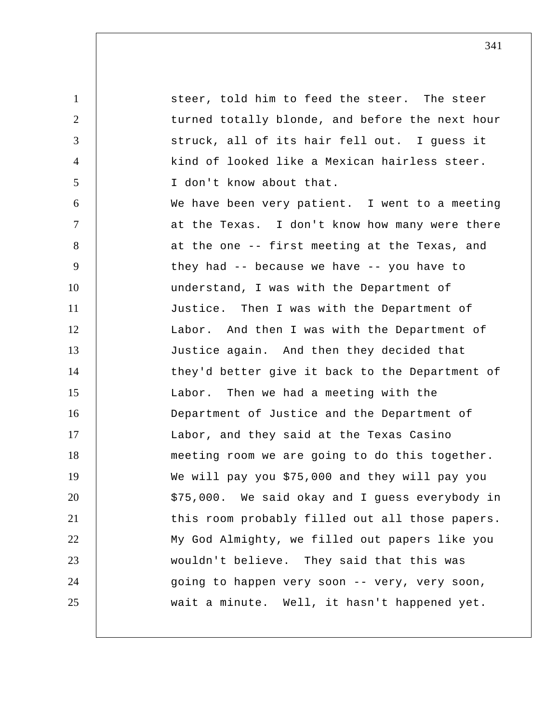1 2 3 4 5 6 7 8 9 10 11 12 13 14 15 16 17 18 19 20 21 22 23 24 25 steer, told him to feed the steer. The steer turned totally blonde, and before the next hour struck, all of its hair fell out. I guess it kind of looked like a Mexican hairless steer. I don't know about that. We have been very patient. I went to a meeting at the Texas. I don't know how many were there at the one -- first meeting at the Texas, and they had -- because we have -- you have to understand, I was with the Department of Justice. Then I was with the Department of Labor. And then I was with the Department of Justice again. And then they decided that they'd better give it back to the Department of Labor. Then we had a meeting with the Department of Justice and the Department of Labor, and they said at the Texas Casino meeting room we are going to do this together. We will pay you \$75,000 and they will pay you \$75,000. We said okay and I guess everybody in this room probably filled out all those papers. My God Almighty, we filled out papers like you wouldn't believe. They said that this was going to happen very soon -- very, very soon, wait a minute. Well, it hasn't happened yet.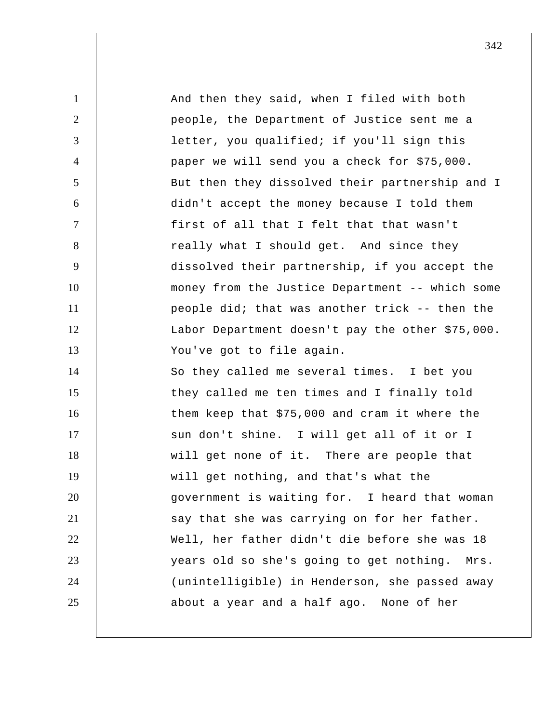1 2 3 4 5 6 7 8 9 10 11 12 13 14 15 16 17 18 19 20 21 22 23 24 25 And then they said, when I filed with both people, the Department of Justice sent me a letter, you qualified; if you'll sign this paper we will send you a check for \$75,000. But then they dissolved their partnership and I didn't accept the money because I told them first of all that I felt that that wasn't really what I should get. And since they dissolved their partnership, if you accept the money from the Justice Department -- which some people did; that was another trick -- then the Labor Department doesn't pay the other \$75,000. You've got to file again. So they called me several times. I bet you they called me ten times and I finally told them keep that \$75,000 and cram it where the sun don't shine. I will get all of it or I will get none of it. There are people that will get nothing, and that's what the government is waiting for. I heard that woman say that she was carrying on for her father. Well, her father didn't die before she was 18 years old so she's going to get nothing. Mrs. (unintelligible) in Henderson, she passed away about a year and a half ago. None of her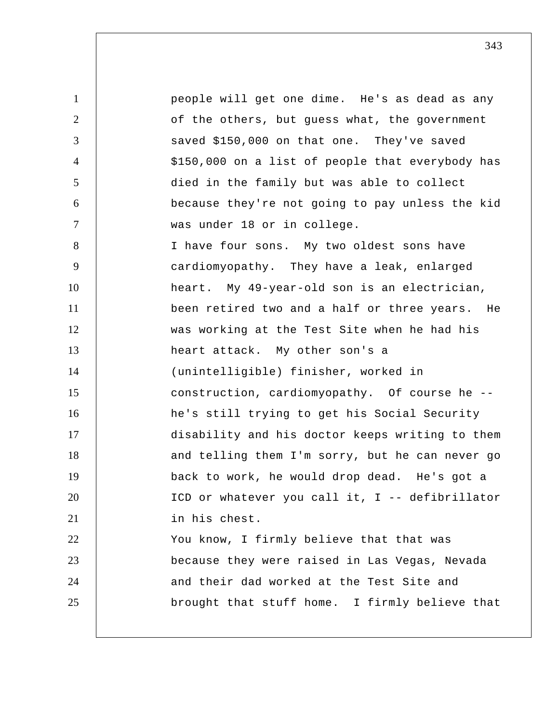1 2 3 4 5 6 7 8 9 10 11 12 13 14 15 16 17 18 19 20 21 22 23 24 25 people will get one dime. He's as dead as any of the others, but guess what, the government saved \$150,000 on that one. They've saved \$150,000 on a list of people that everybody has died in the family but was able to collect because they're not going to pay unless the kid was under 18 or in college. I have four sons. My two oldest sons have cardiomyopathy. They have a leak, enlarged heart. My 49-year-old son is an electrician, been retired two and a half or three years. He was working at the Test Site when he had his heart attack. My other son's a (unintelligible) finisher, worked in construction, cardiomyopathy. Of course he -he's still trying to get his Social Security disability and his doctor keeps writing to them and telling them I'm sorry, but he can never go back to work, he would drop dead. He's got a ICD or whatever you call it, I -- defibrillator in his chest. You know, I firmly believe that that was because they were raised in Las Vegas, Nevada and their dad worked at the Test Site and brought that stuff home. I firmly believe that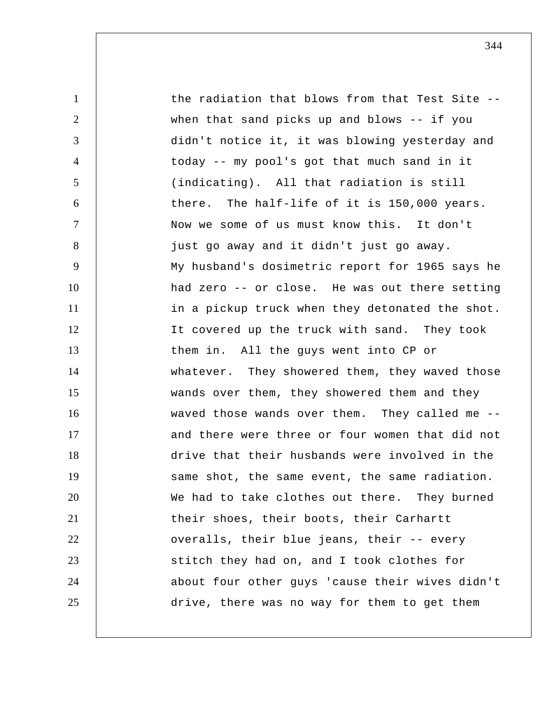1 2 3 4 5 6 7 8 9 10 11 12 13 14 15 16 17 18 19 20 21 22 23 24 25 the radiation that blows from that Test Site - when that sand picks up and blows -- if you didn't notice it, it was blowing yesterday and today -- my pool's got that much sand in it (indicating). All that radiation is still there. The half-life of it is 150,000 years. Now we some of us must know this. It don't just go away and it didn't just go away. My husband's dosimetric report for 1965 says he had zero -- or close. He was out there setting in a pickup truck when they detonated the shot. It covered up the truck with sand. They took them in. All the guys went into CP or whatever. They showered them, they waved those wands over them, they showered them and they waved those wands over them. They called me - and there were three or four women that did not drive that their husbands were involved in the same shot, the same event, the same radiation. We had to take clothes out there. They burned their shoes, their boots, their Carhartt overalls, their blue jeans, their -- every stitch they had on, and I took clothes for about four other guys 'cause their wives didn't drive, there was no way for them to get them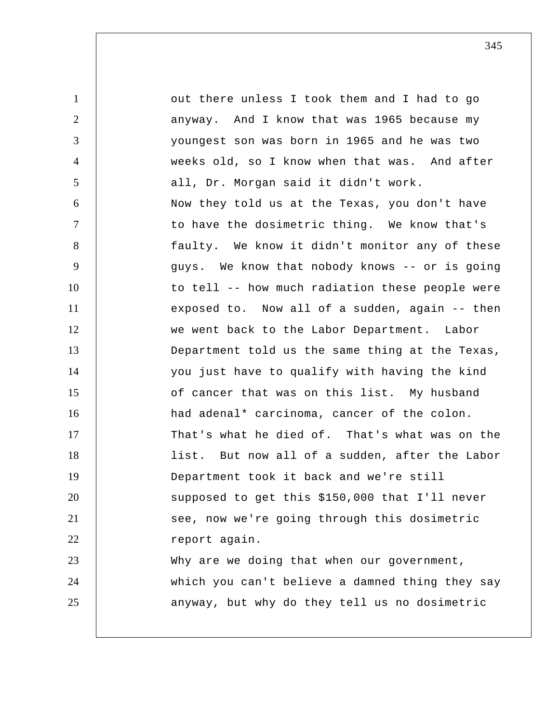1 2 3 4 5 6 7 8 9 10 11 12 13 14 15 16 17 18 19 20 21 22 23 24 25 out there unless I took them and I had to go anyway. And I know that was 1965 because my youngest son was born in 1965 and he was two weeks old, so I know when that was. And after all, Dr. Morgan said it didn't work. Now they told us at the Texas, you don't have to have the dosimetric thing. We know that's faulty. We know it didn't monitor any of these guys. We know that nobody knows -- or is going to tell -- how much radiation these people were exposed to. Now all of a sudden, again -- then we went back to the Labor Department. Labor Department told us the same thing at the Texas, you just have to qualify with having the kind of cancer that was on this list. My husband had adenal\* carcinoma, cancer of the colon. That's what he died of. That's what was on the list. But now all of a sudden, after the Labor Department took it back and we're still supposed to get this \$150,000 that I'll never see, now we're going through this dosimetric report again. Why are we doing that when our government, which you can't believe a damned thing they say anyway, but why do they tell us no dosimetric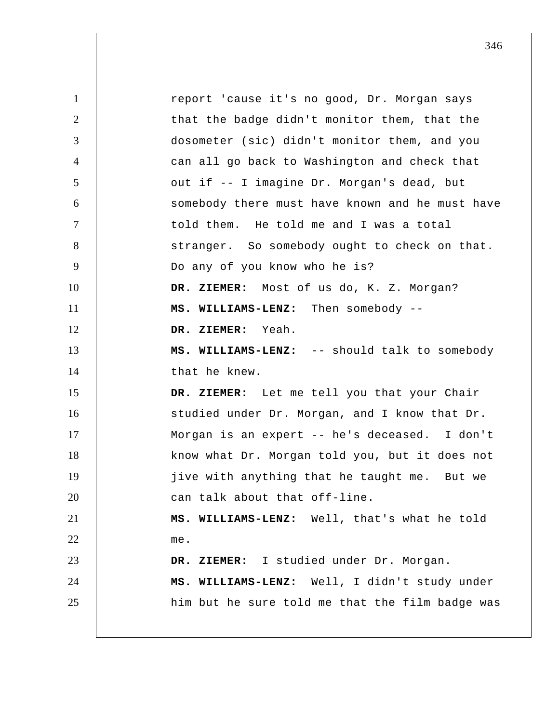1 2 3 4 5 6 7 8 9 10 11 12 13 14 15 16 17 18 19 20 21 22 23 24 25 report 'cause it's no good, Dr. Morgan says that the badge didn't monitor them, that the dosometer (sic) didn't monitor them, and you can all go back to Washington and check that out if -- I imagine Dr. Morgan's dead, but somebody there must have known and he must have told them. He told me and I was a total stranger. So somebody ought to check on that. Do any of you know who he is?  **DR. ZIEMER:** Most of us do, K. Z. Morgan?  **MS. WILLIAMS-LENZ:** Then somebody --  **DR. ZIEMER:** Yeah.  **MS. WILLIAMS-LENZ:** -- should talk to somebody that he knew.  **DR. ZIEMER:** Let me tell you that your Chair studied under Dr. Morgan, and I know that Dr. Morgan is an expert -- he's deceased. I don't know what Dr. Morgan told you, but it does not jive with anything that he taught me. But we can talk about that off-line.  **MS. WILLIAMS-LENZ:** Well, that's what he told me.  **DR. ZIEMER:** I studied under Dr. Morgan.  **MS. WILLIAMS-LENZ:** Well, I didn't study under him but he sure told me that the film badge was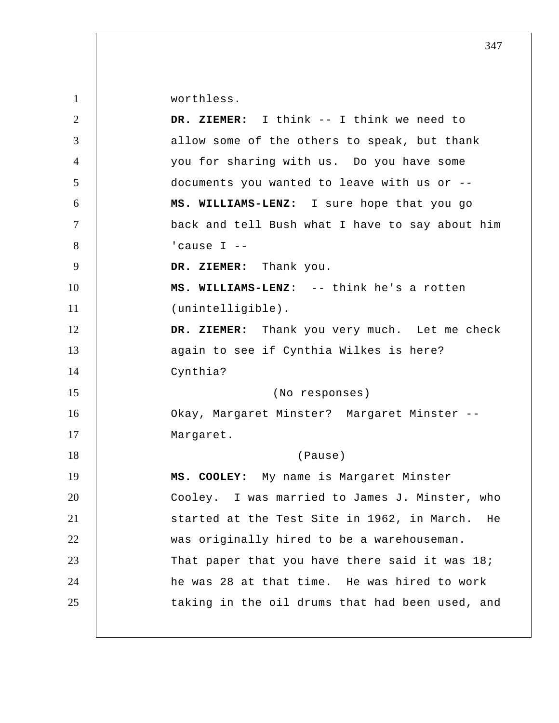worthless.

| 2              | DR. ZIEMER: I think -- I think we need to       |
|----------------|-------------------------------------------------|
| 3              | allow some of the others to speak, but thank    |
| $\overline{4}$ | you for sharing with us. Do you have some       |
| 5              | documents you wanted to leave with us or --     |
| 6              | MS. WILLIAMS-LENZ: I sure hope that you go      |
| $\tau$         | back and tell Bush what I have to say about him |
| 8              | 'cause $I$ --                                   |
| 9              | DR. ZIEMER: Thank you.                          |
| 10             | MS. WILLIAMS-LENZ: -- think he's a rotten       |
| 11             | (unintelligible).                               |
| 12             | DR. ZIEMER: Thank you very much. Let me check   |
| 13             | again to see if Cynthia Wilkes is here?         |
| 14             | Cynthia?                                        |
| 15             | (No responses)                                  |
| 16             | Okay, Margaret Minster? Margaret Minster --     |
| 17             | Margaret.                                       |
| 18             | (Pause)                                         |
| 19             | MS. COOLEY: My name is Margaret Minster         |
| 20             | Cooley. I was married to James J. Minster, who  |
| 21             | started at the Test Site in 1962, in March. He  |
| 22             | was originally hired to be a warehouseman.      |
| 23             | That paper that you have there said it was 18;  |
| 24             | he was 28 at that time. He was hired to work    |
| 25             | taking in the oil drums that had been used, and |
|                |                                                 |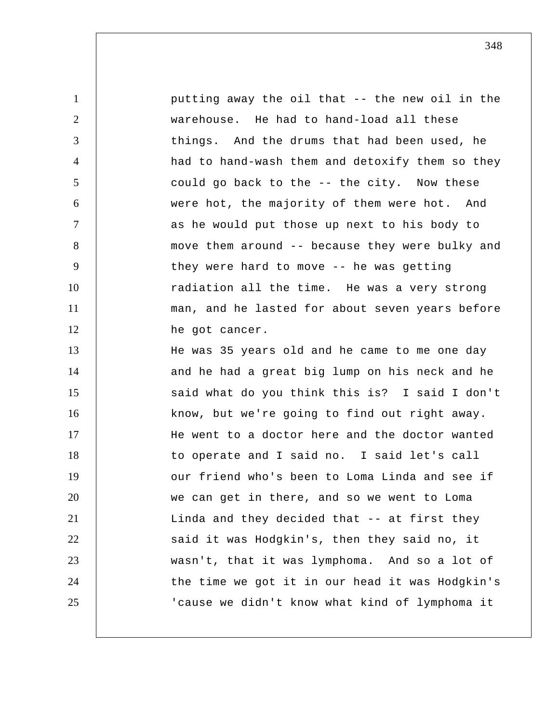| $\mathbf{1}$   | putting away the oil that -- the new oil in the |
|----------------|-------------------------------------------------|
| $\overline{2}$ | warehouse. He had to hand-load all these        |
| 3              | things. And the drums that had been used, he    |
| 4              | had to hand-wash them and detoxify them so they |
| 5              | could go back to the -- the city. Now these     |
| 6              | were hot, the majority of them were hot. And    |
| 7              | as he would put those up next to his body to    |
| 8              | move them around -- because they were bulky and |
| 9              | they were hard to move -- he was getting        |
| 10             | radiation all the time. He was a very strong    |
| 11             | man, and he lasted for about seven years before |
| 12             | he got cancer.                                  |
| 13             | He was 35 years old and he came to me one day   |
| 14             | and he had a great big lump on his neck and he  |
| 15             | said what do you think this is? I said I don't  |
| 16             | know, but we're going to find out right away.   |
| 17             | He went to a doctor here and the doctor wanted  |
| 18             | to operate and I said no. I said let's call     |
| 19             | our friend who's been to Loma Linda and see if  |
| 20             | we can get in there, and so we went to Loma     |
| 21             | Linda and they decided that -- at first they    |
| 22             | said it was Hodgkin's, then they said no, it    |
| 23             | wasn't, that it was lymphoma. And so a lot of   |
| 24             | the time we got it in our head it was Hodgkin's |
| 25             | 'cause we didn't know what kind of lymphoma it  |
|                |                                                 |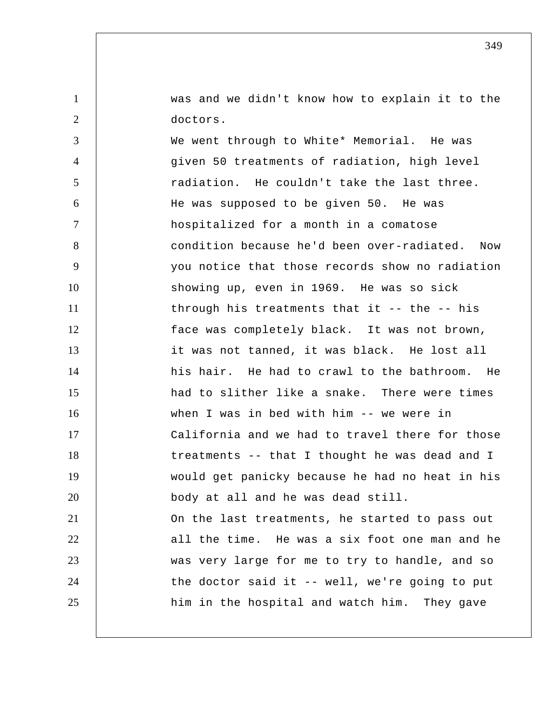was and we didn't know how to explain it to the doctors.

1

2

3 4 5 6 7 8 9 10 11 12 13 14 15 16 17 18 19 20 21 22 23 24 25 We went through to White\* Memorial. He was given 50 treatments of radiation, high level radiation. He couldn't take the last three. He was supposed to be given 50. He was hospitalized for a month in a comatose condition because he'd been over-radiated. Now you notice that those records show no radiation showing up, even in 1969. He was so sick through his treatments that it -- the -- his face was completely black. It was not brown, it was not tanned, it was black. He lost all his hair. He had to crawl to the bathroom. He had to slither like a snake. There were times when I was in bed with him -- we were in California and we had to travel there for those treatments -- that I thought he was dead and I would get panicky because he had no heat in his body at all and he was dead still. On the last treatments, he started to pass out all the time. He was a six foot one man and he was very large for me to try to handle, and so the doctor said it -- well, we're going to put him in the hospital and watch him. They gave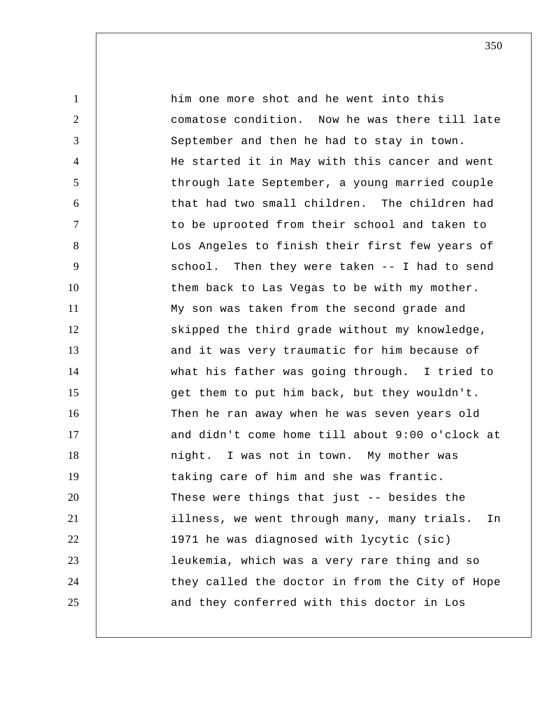1 2 3 4 5 6 7 8 9 10 11 12 13 14 15 16 17 18 19 20 21 22 23 24 25 him one more shot and he went into this comatose condition. Now he was there till late September and then he had to stay in town. He started it in May with this cancer and went through late September, a young married couple that had two small children. The children had to be uprooted from their school and taken to Los Angeles to finish their first few years of school. Then they were taken -- I had to send them back to Las Vegas to be with my mother. My son was taken from the second grade and skipped the third grade without my knowledge, and it was very traumatic for him because of what his father was going through. I tried to get them to put him back, but they wouldn't. Then he ran away when he was seven years old and didn't come home till about 9:00 o'clock at night. I was not in town. My mother was taking care of him and she was frantic. These were things that just -- besides the illness, we went through many, many trials. In 1971 he was diagnosed with lycytic (sic) leukemia, which was a very rare thing and so they called the doctor in from the City of Hope and they conferred with this doctor in Los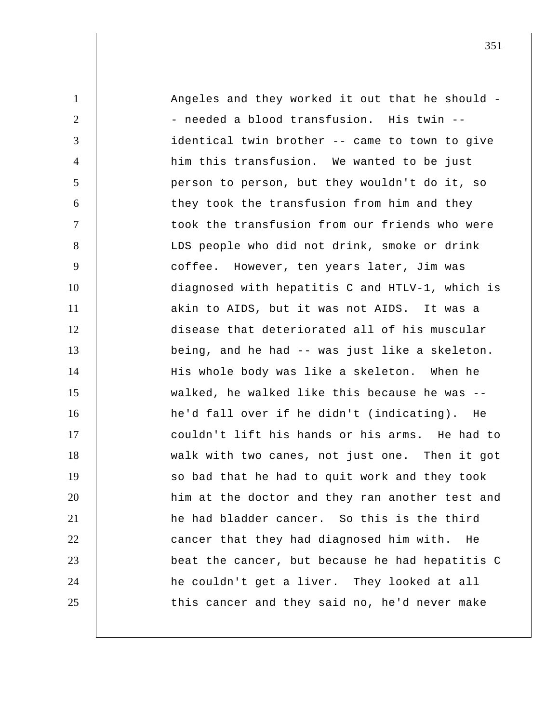1 2 3 4 5 6 7 8 9 10 11 12 13 14 15 16 17 18 19 20 21 22 23 24 25 Angeles and they worked it out that he should - needed a blood transfusion. His twin -identical twin brother -- came to town to give him this transfusion. We wanted to be just person to person, but they wouldn't do it, so they took the transfusion from him and they took the transfusion from our friends who were LDS people who did not drink, smoke or drink coffee. However, ten years later, Jim was diagnosed with hepatitis C and HTLV-1, which is akin to AIDS, but it was not AIDS. It was a disease that deteriorated all of his muscular being, and he had -- was just like a skeleton. His whole body was like a skeleton. When he walked, he walked like this because he was - he'd fall over if he didn't (indicating). He couldn't lift his hands or his arms. He had to walk with two canes, not just one. Then it got so bad that he had to quit work and they took him at the doctor and they ran another test and he had bladder cancer. So this is the third cancer that they had diagnosed him with. He beat the cancer, but because he had hepatitis C he couldn't get a liver. They looked at all this cancer and they said no, he'd never make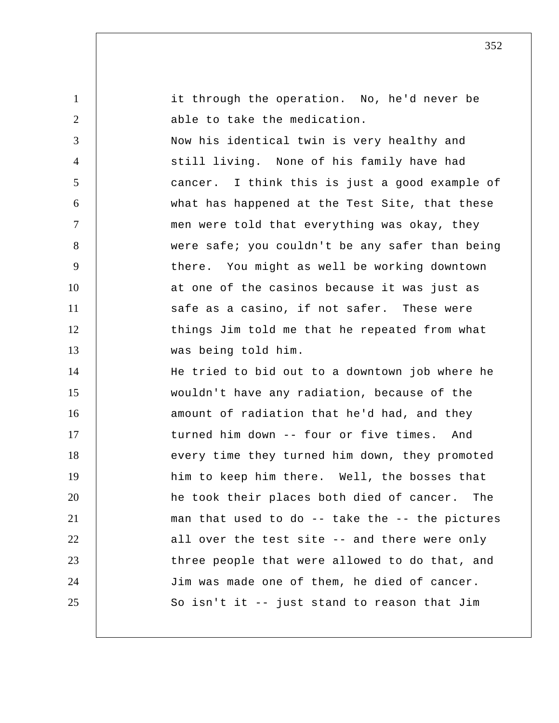| $\mathbf{1}$   | it through the operation. No, he'd never be     |
|----------------|-------------------------------------------------|
| $\overline{2}$ | able to take the medication.                    |
| 3              | Now his identical twin is very healthy and      |
| $\overline{4}$ | still living. None of his family have had       |
| 5              | cancer. I think this is just a good example of  |
| 6              | what has happened at the Test Site, that these  |
| $\tau$         | men were told that everything was okay, they    |
| 8              | were safe; you couldn't be any safer than being |
| 9              | there. You might as well be working downtown    |
| 10             | at one of the casinos because it was just as    |
| 11             | safe as a casino, if not safer. These were      |
| 12             | things Jim told me that he repeated from what   |
| 13             | was being told him.                             |
| 14             | He tried to bid out to a downtown job where he  |
| 15             | wouldn't have any radiation, because of the     |
| 16             | amount of radiation that he'd had, and they     |
| 17             | turned him down -- four or five times. And      |
| 18             | every time they turned him down, they promoted  |
| 19             | him to keep him there. Well, the bosses that    |
| 20             | he took their places both died of cancer. The   |
| 21             | man that used to do -- take the -- the pictures |
| 22             | all over the test site -- and there were only   |
| 23             | three people that were allowed to do that, and  |
| 24             | Jim was made one of them, he died of cancer.    |
| 25             | So isn't it -- just stand to reason that Jim    |
|                |                                                 |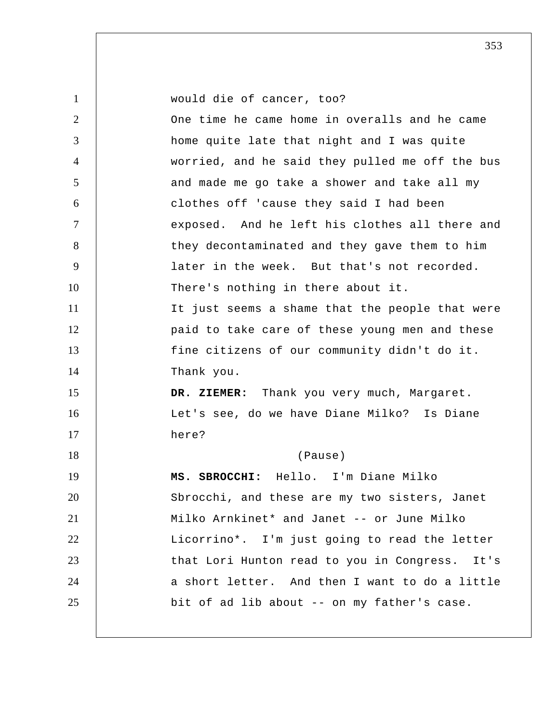| $\mathbf{1}$   | would die of cancer, too?                       |
|----------------|-------------------------------------------------|
| 2              | One time he came home in overalls and he came   |
| 3              | home quite late that night and I was quite      |
| $\overline{4}$ | worried, and he said they pulled me off the bus |
| 5              | and made me go take a shower and take all my    |
| 6              | clothes off 'cause they said I had been         |
| $\tau$         | exposed. And he left his clothes all there and  |
| 8              | they decontaminated and they gave them to him   |
| 9              | later in the week. But that's not recorded.     |
| 10             | There's nothing in there about it.              |
| 11             | It just seems a shame that the people that were |
| 12             | paid to take care of these young men and these  |
| 13             | fine citizens of our community didn't do it.    |
| 14             | Thank you.                                      |
| 15             | DR. ZIEMER: Thank you very much, Margaret.      |
| 16             | Let's see, do we have Diane Milko? Is Diane     |
| 17             | here?                                           |
| 18             | (Pause)                                         |
| 19             | SBROCCHI: Hello. I'm Diane Milko<br>MS.         |
| 20             | Sbrocchi, and these are my two sisters, Janet   |
| 21             | Milko Arnkinet* and Janet -- or June Milko      |
| 22             | Licorrino*. I'm just going to read the letter   |
| 23             | that Lori Hunton read to you in Congress. It's  |
| 24             | a short letter. And then I want to do a little  |
| 25             | bit of ad lib about -- on my father's case.     |
|                |                                                 |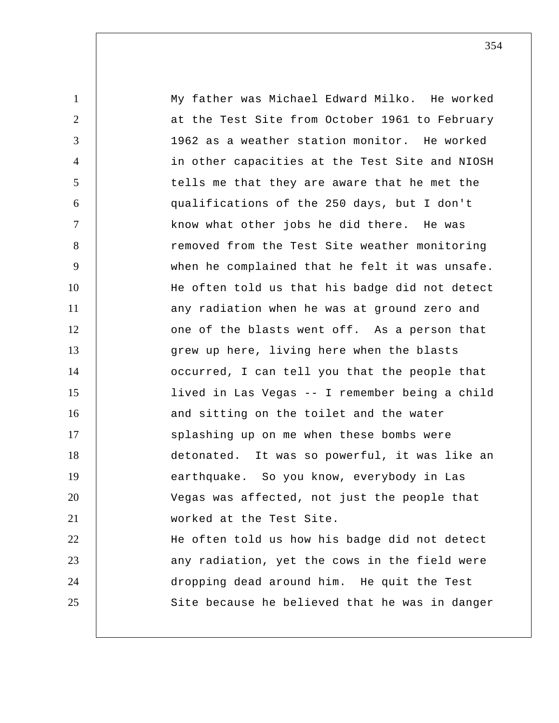1 2 3 4 5 6 7 8 9 10 11 12 13 14 15 16 17 18 19 20 21 22 23 24 25 My father was Michael Edward Milko. He worked at the Test Site from October 1961 to February 1962 as a weather station monitor. He worked in other capacities at the Test Site and NIOSH tells me that they are aware that he met the qualifications of the 250 days, but I don't know what other jobs he did there. He was removed from the Test Site weather monitoring when he complained that he felt it was unsafe. He often told us that his badge did not detect any radiation when he was at ground zero and one of the blasts went off. As a person that grew up here, living here when the blasts occurred, I can tell you that the people that lived in Las Vegas -- I remember being a child and sitting on the toilet and the water splashing up on me when these bombs were detonated. It was so powerful, it was like an earthquake. So you know, everybody in Las Vegas was affected, not just the people that worked at the Test Site. He often told us how his badge did not detect any radiation, yet the cows in the field were dropping dead around him. He quit the Test Site because he believed that he was in danger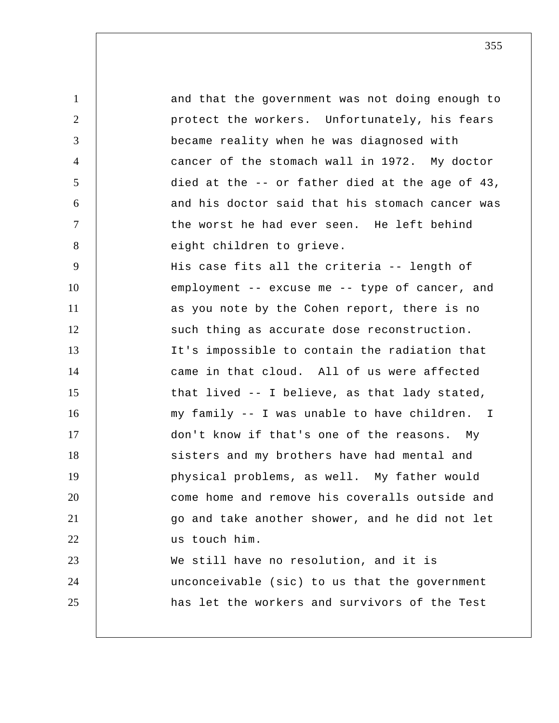1 2 3 4 5 6 7 8 9 10 11 12 13 14 15 16 17 18 19 20 21 22 23 24 25 and that the government was not doing enough to protect the workers. Unfortunately, his fears became reality when he was diagnosed with cancer of the stomach wall in 1972. My doctor died at the -- or father died at the age of 43, and his doctor said that his stomach cancer was the worst he had ever seen. He left behind eight children to grieve. His case fits all the criteria -- length of employment -- excuse me -- type of cancer, and as you note by the Cohen report, there is no such thing as accurate dose reconstruction. It's impossible to contain the radiation that came in that cloud. All of us were affected that lived -- I believe, as that lady stated, my family -- I was unable to have children. I don't know if that's one of the reasons. My sisters and my brothers have had mental and physical problems, as well. My father would come home and remove his coveralls outside and go and take another shower, and he did not let us touch him. We still have no resolution, and it is unconceivable (sic) to us that the government has let the workers and survivors of the Test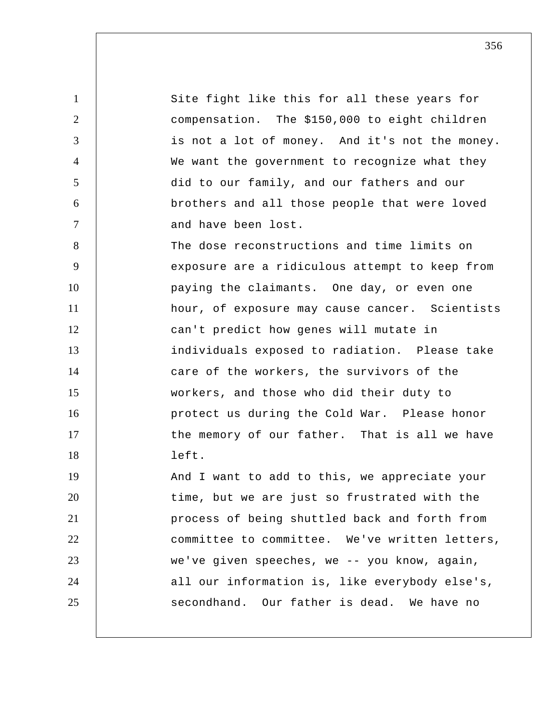1 2 3 4 5 6 7 8 9 10 11 12 13 14 15 16 17 18 19 20 21 22 23 24 25 Site fight like this for all these years for compensation. The \$150,000 to eight children is not a lot of money. And it's not the money. We want the government to recognize what they did to our family, and our fathers and our brothers and all those people that were loved and have been lost. The dose reconstructions and time limits on exposure are a ridiculous attempt to keep from paying the claimants. One day, or even one hour, of exposure may cause cancer. Scientists can't predict how genes will mutate in individuals exposed to radiation. Please take care of the workers, the survivors of the workers, and those who did their duty to protect us during the Cold War. Please honor the memory of our father. That is all we have left. And I want to add to this, we appreciate your time, but we are just so frustrated with the process of being shuttled back and forth from committee to committee. We've written letters, we've given speeches, we -- you know, again, all our information is, like everybody else's, secondhand. Our father is dead. We have no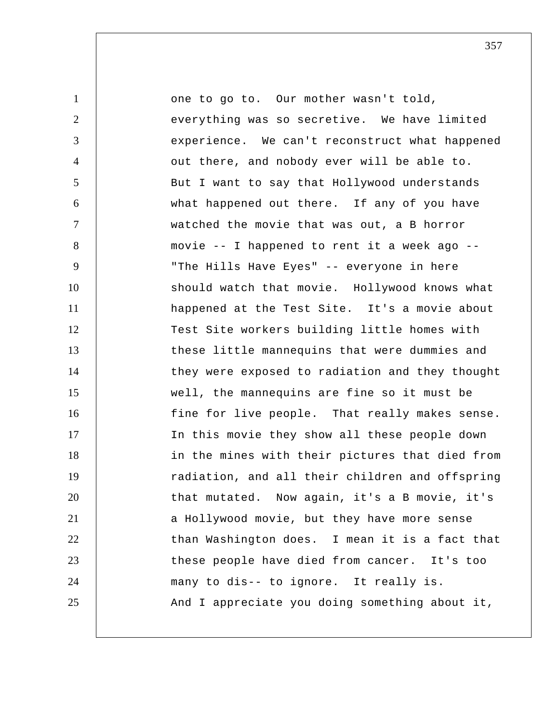1 2 3 4 5 6 7 8 9 10 11 12 13 14 15 16 17 18 19 20 21 22 23 24 25 one to go to. Our mother wasn't told, everything was so secretive. We have limited experience. We can't reconstruct what happened out there, and nobody ever will be able to. But I want to say that Hollywood understands what happened out there. If any of you have watched the movie that was out, a B horror movie -- I happened to rent it a week ago -- "The Hills Have Eyes" -- everyone in here should watch that movie. Hollywood knows what happened at the Test Site. It's a movie about Test Site workers building little homes with these little mannequins that were dummies and they were exposed to radiation and they thought well, the mannequins are fine so it must be fine for live people. That really makes sense. In this movie they show all these people down in the mines with their pictures that died from radiation, and all their children and offspring that mutated. Now again, it's a B movie, it's a Hollywood movie, but they have more sense than Washington does. I mean it is a fact that these people have died from cancer. It's too many to dis-- to ignore. It really is. And I appreciate you doing something about it,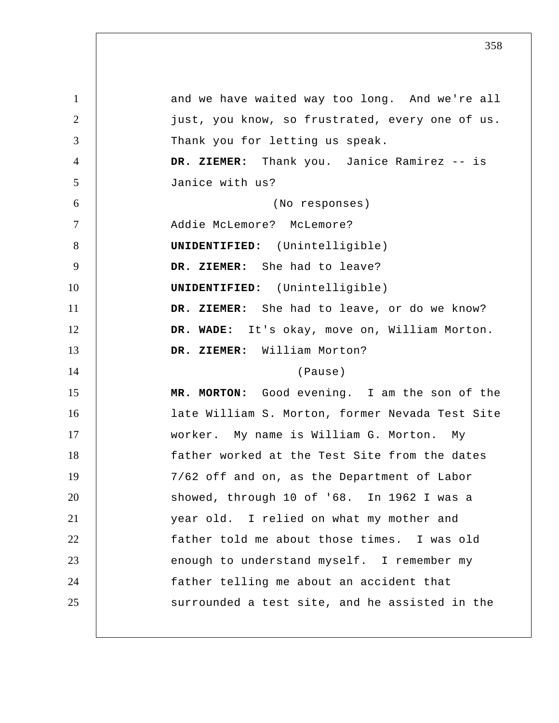1 2 3 4 5 6 7 8 9 10 11 12 13 14 15 16 17 18 19 20 21 22 23 24 25 and we have waited way too long. And we're all just, you know, so frustrated, every one of us. Thank you for letting us speak.  **DR. ZIEMER:** Thank you. Janice Ramirez -- is Janice with us? (No responses) Addie McLemore? McLemore? **UNIDENTIFIED:** (Unintelligible)  **DR. ZIEMER:** She had to leave? **UNIDENTIFIED:** (Unintelligible)  **DR. ZIEMER:** She had to leave, or do we know?  **DR. WADE:** It's okay, move on, William Morton.  **DR. ZIEMER:** William Morton? (Pause)  **MR. MORTON:** Good evening. I am the son of the late William S. Morton, former Nevada Test Site worker. My name is William G. Morton. My father worked at the Test Site from the dates 7/62 off and on, as the Department of Labor showed, through 10 of '68. In 1962 I was a year old. I relied on what my mother and father told me about those times. I was old enough to understand myself. I remember my father telling me about an accident that surrounded a test site, and he assisted in the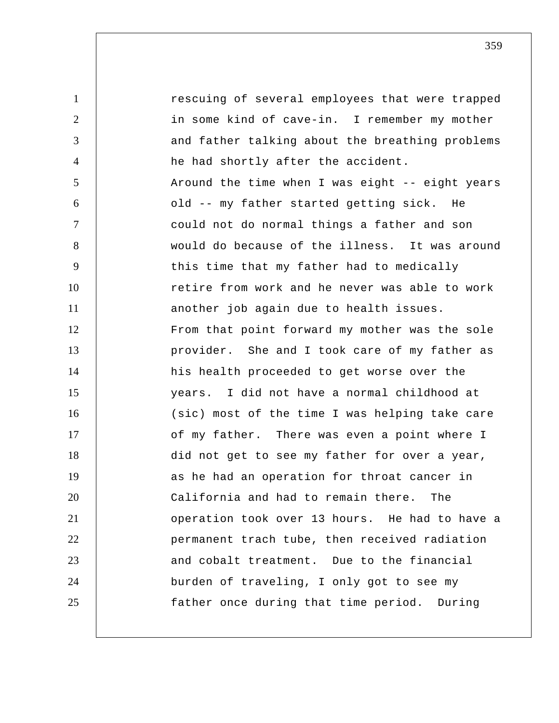1 2 3 4 5 6 7 8 9 10 11 12 13 14 15 16 17 18 19 20 21 22 23 24 25 rescuing of several employees that were trapped in some kind of cave-in. I remember my mother and father talking about the breathing problems he had shortly after the accident. Around the time when I was eight -- eight years old -- my father started getting sick. He could not do normal things a father and son would do because of the illness. It was around this time that my father had to medically retire from work and he never was able to work another job again due to health issues. From that point forward my mother was the sole provider. She and I took care of my father as his health proceeded to get worse over the years. I did not have a normal childhood at (sic) most of the time I was helping take care of my father. There was even a point where I did not get to see my father for over a year, as he had an operation for throat cancer in California and had to remain there. The operation took over 13 hours. He had to have a permanent trach tube, then received radiation and cobalt treatment. Due to the financial burden of traveling, I only got to see my father once during that time period. During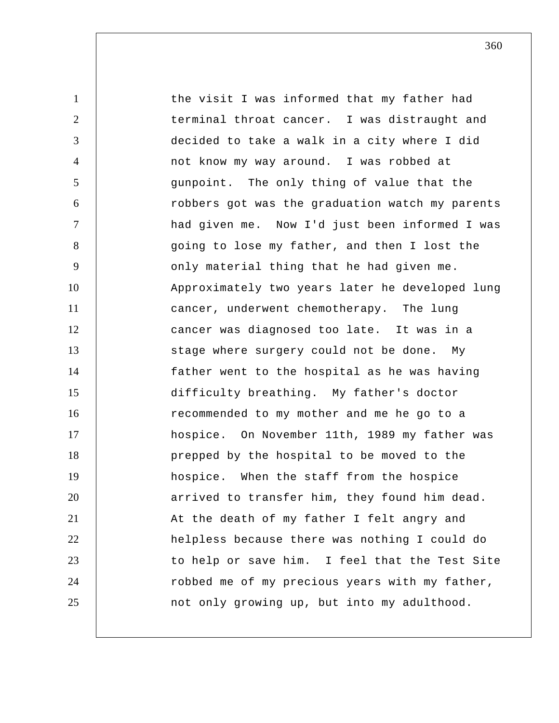1 2 3 4 5 6 7 8 9 10 11 12 13 14 15 16 17 18 19 20 21 22 23 24 25 the visit I was informed that my father had terminal throat cancer. I was distraught and decided to take a walk in a city where I did not know my way around. I was robbed at gunpoint. The only thing of value that the robbers got was the graduation watch my parents had given me. Now I'd just been informed I was going to lose my father, and then I lost the only material thing that he had given me. Approximately two years later he developed lung cancer, underwent chemotherapy. The lung cancer was diagnosed too late. It was in a stage where surgery could not be done. My father went to the hospital as he was having difficulty breathing. My father's doctor recommended to my mother and me he go to a hospice. On November 11th, 1989 my father was prepped by the hospital to be moved to the hospice. When the staff from the hospice arrived to transfer him, they found him dead. At the death of my father I felt angry and helpless because there was nothing I could do to help or save him. I feel that the Test Site robbed me of my precious years with my father, not only growing up, but into my adulthood.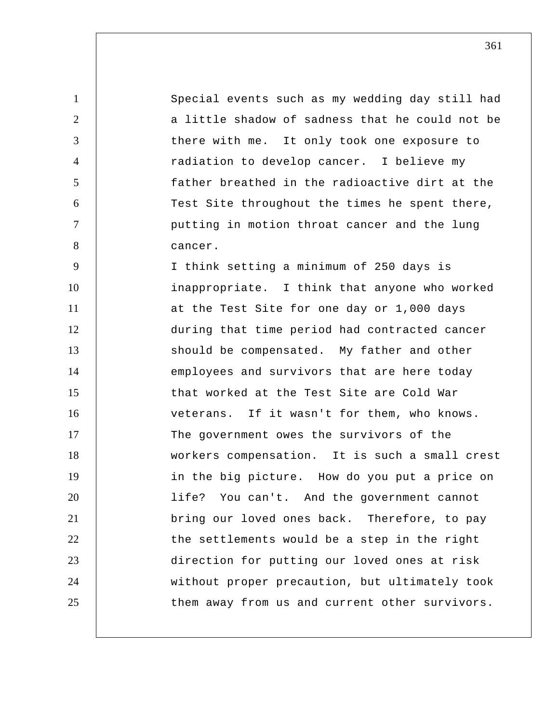Special events such as my wedding day still had a little shadow of sadness that he could not be there with me. It only took one exposure to radiation to develop cancer. I believe my father breathed in the radioactive dirt at the Test Site throughout the times he spent there, putting in motion throat cancer and the lung cancer. I think setting a minimum of 250 days is

1

2

3

4

5

6

7

8

9

10 11 12 13 14 15 16 17 18 19 20 21 22 23 24 25 inappropriate. I think that anyone who worked at the Test Site for one day or 1,000 days during that time period had contracted cancer should be compensated. My father and other employees and survivors that are here today that worked at the Test Site are Cold War veterans. If it wasn't for them, who knows. The government owes the survivors of the workers compensation. It is such a small crest in the big picture. How do you put a price on life? You can't. And the government cannot bring our loved ones back. Therefore, to pay the settlements would be a step in the right direction for putting our loved ones at risk without proper precaution, but ultimately took them away from us and current other survivors.

361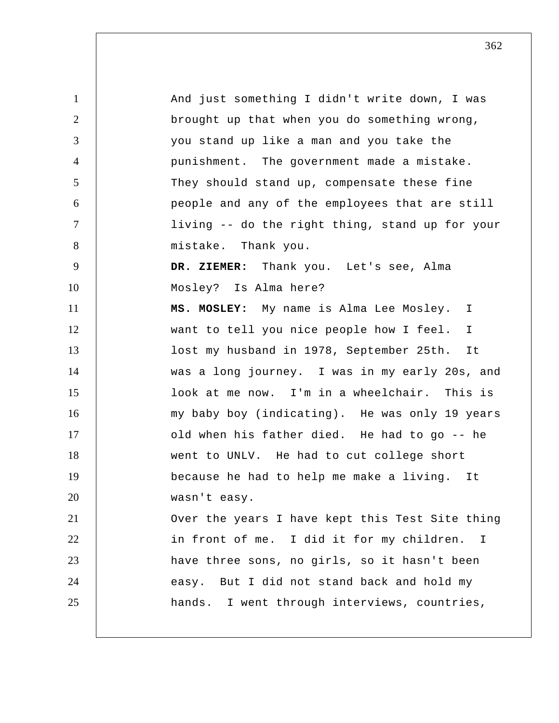1 2 3 4 5 6 7 8 9 10 11 12 13 14 15 16 17 18 19 20 21 22 23 24 25 And just something I didn't write down, I was brought up that when you do something wrong, you stand up like a man and you take the punishment. The government made a mistake. They should stand up, compensate these fine people and any of the employees that are still living -- do the right thing, stand up for your mistake. Thank you.  **DR. ZIEMER:** Thank you. Let's see, Alma Mosley? Is Alma here?  **MS. MOSLEY:** My name is Alma Lee Mosley. I want to tell you nice people how I feel. I lost my husband in 1978, September 25th. It was a long journey. I was in my early 20s, and look at me now. I'm in a wheelchair. This is my baby boy (indicating). He was only 19 years old when his father died. He had to go -- he went to UNLV. He had to cut college short because he had to help me make a living. It wasn't easy. Over the years I have kept this Test Site thing in front of me. I did it for my children. I have three sons, no girls, so it hasn't been easy. But I did not stand back and hold my hands. I went through interviews, countries,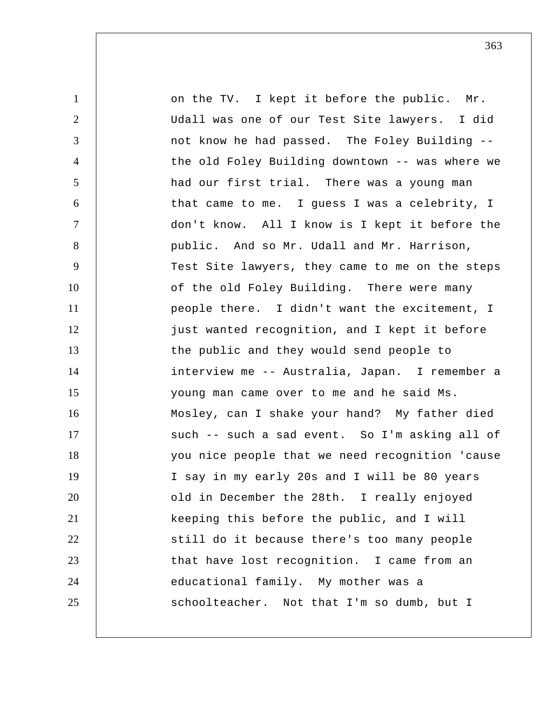1 2 3 4 5 6 7 8 9 10 11 12 13 14 15 16 17 18 19 20 21 22 23 24 25 on the TV. I kept it before the public. Mr. Udall was one of our Test Site lawyers. I did not know he had passed. The Foley Building - the old Foley Building downtown -- was where we had our first trial. There was a young man that came to me. I guess I was a celebrity, I don't know. All I know is I kept it before the public. And so Mr. Udall and Mr. Harrison, Test Site lawyers, they came to me on the steps of the old Foley Building. There were many people there. I didn't want the excitement, I just wanted recognition, and I kept it before the public and they would send people to interview me -- Australia, Japan. I remember a young man came over to me and he said Ms. Mosley, can I shake your hand? My father died such -- such a sad event. So I'm asking all of you nice people that we need recognition 'cause I say in my early 20s and I will be 80 years old in December the 28th. I really enjoyed keeping this before the public, and I will still do it because there's too many people that have lost recognition. I came from an educational family. My mother was a schoolteacher. Not that I'm so dumb, but I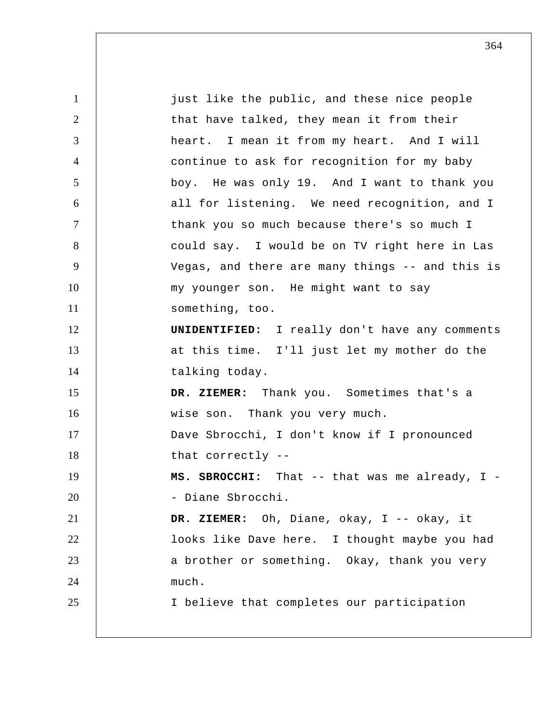1 2 3 4 5 6 7 8 9 10 11 12 13 14 15 16 17 18 19 20 21 22 23 24 25 just like the public, and these nice people that have talked, they mean it from their heart. I mean it from my heart. And I will continue to ask for recognition for my baby boy. He was only 19. And I want to thank you all for listening. We need recognition, and I thank you so much because there's so much I could say. I would be on TV right here in Las Vegas, and there are many things -- and this is my younger son. He might want to say something, too. **UNIDENTIFIED:** I really don't have any comments at this time. I'll just let my mother do the talking today.  **DR. ZIEMER:** Thank you. Sometimes that's a wise son. Thank you very much. Dave Sbrocchi, I don't know if I pronounced that correctly -- **MS. SBROCCHI:** That -- that was me already, I - Diane Sbrocchi.  **DR. ZIEMER:** Oh, Diane, okay, I -- okay, it looks like Dave here. I thought maybe you had a brother or something. Okay, thank you very much. I believe that completes our participation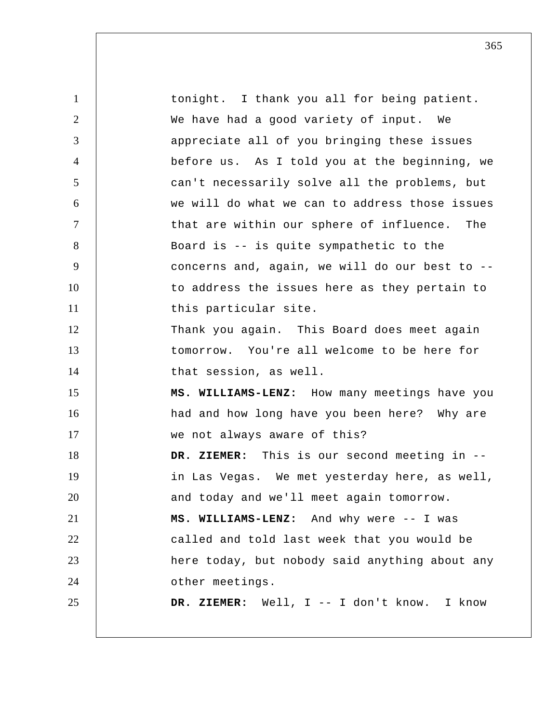1 2 3 4 5 6 7 8 9 10 11 12 13 14 15 16 17 18 19 20 21 22 23 24 25 tonight. I thank you all for being patient. We have had a good variety of input. We appreciate all of you bringing these issues before us. As I told you at the beginning, we can't necessarily solve all the problems, but we will do what we can to address those issues that are within our sphere of influence. The Board is -- is quite sympathetic to the concerns and, again, we will do our best to - to address the issues here as they pertain to this particular site. Thank you again. This Board does meet again tomorrow. You're all welcome to be here for that session, as well.  **MS. WILLIAMS-LENZ:** How many meetings have you had and how long have you been here? Why are we not always aware of this?  **DR. ZIEMER:** This is our second meeting in - in Las Vegas. We met yesterday here, as well, and today and we'll meet again tomorrow.  **MS. WILLIAMS-LENZ:** And why were -- I was called and told last week that you would be here today, but nobody said anything about any other meetings.  **DR. ZIEMER:** Well, I -- I don't know. I know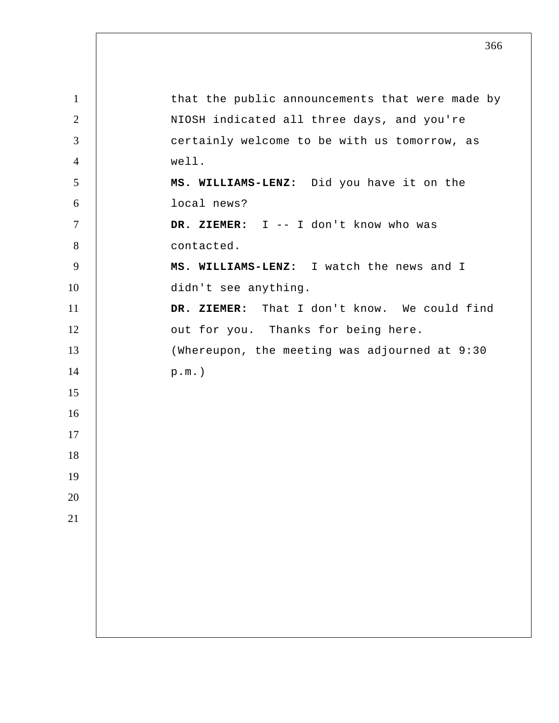| $\mathbf{1}$   | that the public announcements that were made by |
|----------------|-------------------------------------------------|
| $\overline{2}$ | NIOSH indicated all three days, and you're      |
| 3              | certainly welcome to be with us tomorrow, as    |
| $\overline{4}$ | well.                                           |
| 5              | MS. WILLIAMS-LENZ: Did you have it on the       |
| 6              | local news?                                     |
| $\overline{7}$ | DR. ZIEMER: I -- I don't know who was           |
| 8              | contacted.                                      |
| 9              | MS. WILLIAMS-LENZ: I watch the news and I       |
| 10             | didn't see anything.                            |
| 11             | DR. ZIEMER: That I don't know. We could find    |
| 12             | out for you. Thanks for being here.             |
| 13             | (Whereupon, the meeting was adjourned at 9:30   |
| 14             | $p.m.$ )                                        |
| 15             |                                                 |
| 16             |                                                 |
| 17             |                                                 |
| 18             |                                                 |
| 19             |                                                 |
| 20             |                                                 |
| 21             |                                                 |
|                |                                                 |
|                |                                                 |
|                |                                                 |
|                |                                                 |
|                |                                                 |